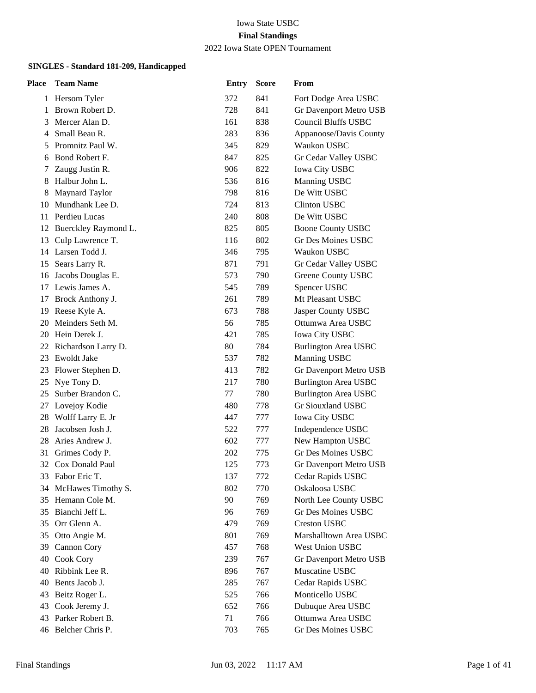#### Iowa State USBC **Final Standings** 2022 Iowa State OPEN Tournament

| Place | <b>Team Name</b>     | <b>Entry</b> | <b>Score</b> | From                        |
|-------|----------------------|--------------|--------------|-----------------------------|
| 1     | Hersom Tyler         | 372          | 841          | Fort Dodge Area USBC        |
| 1     | Brown Robert D.      | 728          | 841          | Gr Davenport Metro USB      |
| 3     | Mercer Alan D.       | 161          | 838          | <b>Council Bluffs USBC</b>  |
| 4     | Small Beau R.        | 283          | 836          | Appanoose/Davis County      |
| 5     | Promnitz Paul W.     | 345          | 829          | Waukon USBC                 |
| 6     | Bond Robert F.       | 847          | 825          | Gr Cedar Valley USBC        |
| 7     | Zaugg Justin R.      | 906          | 822          | <b>Iowa City USBC</b>       |
| 8     | Halbur John L.       | 536          | 816          | Manning USBC                |
| 8     | Maynard Taylor       | 798          | 816          | De Witt USBC                |
| 10    | Mundhank Lee D.      | 724          | 813          | Clinton USBC                |
| 11    | Perdieu Lucas        | 240          | 808          | De Witt USBC                |
| 12    | Buerckley Raymond L. | 825          | 805          | <b>Boone County USBC</b>    |
| 13    | Culp Lawrence T.     | 116          | 802          | <b>Gr Des Moines USBC</b>   |
|       | 14 Larsen Todd J.    | 346          | 795          | Waukon USBC                 |
| 15    | Sears Larry R.       | 871          | 791          | Gr Cedar Valley USBC        |
| 16    | Jacobs Douglas E.    | 573          | 790          | Greene County USBC          |
| 17    | Lewis James A.       | 545          | 789          | Spencer USBC                |
| 17    | Brock Anthony J.     | 261          | 789          | Mt Pleasant USBC            |
| 19    | Reese Kyle A.        | 673          | 788          | Jasper County USBC          |
| 20    | Meinders Seth M.     | 56           | 785          | Ottumwa Area USBC           |
| 20    | Hein Derek J.        | 421          | 785          | <b>Iowa City USBC</b>       |
| 22    | Richardson Larry D.  | 80           | 784          | <b>Burlington Area USBC</b> |
| 23    | Ewoldt Jake          | 537          | 782          | Manning USBC                |
| 23    | Flower Stephen D.    | 413          | 782          | Gr Davenport Metro USB      |
| 25    | Nye Tony D.          | 217          | 780          | <b>Burlington Area USBC</b> |
| 25    | Surber Brandon C.    | 77           | 780          | <b>Burlington Area USBC</b> |
| 27    | Lovejoy Kodie        | 480          | 778          | Gr Siouxland USBC           |
| 28    | Wolff Larry E. Jr    | 447          | 777          | Iowa City USBC              |
| 28    | Jacobsen Josh J.     | 522          | 777          | Independence USBC           |
| 28    | Aries Andrew J.      | 602          | 777          | New Hampton USBC            |
| 31    | Grimes Cody P.       | 202          | 775          | Gr Des Moines USBC          |
| 32    | Cox Donald Paul      | 125          | 773          | Gr Davenport Metro USB      |
|       | 33 Fabor Eric T.     | 137          | 772          | Cedar Rapids USBC           |
| 34    | McHawes Timothy S.   | 802          | 770          | Oskaloosa USBC              |
| 35    | Hemann Cole M.       | 90           | 769          | North Lee County USBC       |
| 35    | Bianchi Jeff L.      | 96           | 769          | <b>Gr Des Moines USBC</b>   |
| 35    | Orr Glenn A.         | 479          | 769          | <b>Creston USBC</b>         |
| 35    | Otto Angie M.        | 801          | 769          | Marshalltown Area USBC      |
| 39    | Cannon Cory          | 457          | 768          | West Union USBC             |
| 40    | Cook Cory            | 239          | 767          | Gr Davenport Metro USB      |
| 40    | Ribbink Lee R.       | 896          | 767          | Muscatine USBC              |
| 40    | Bents Jacob J.       | 285          | 767          | Cedar Rapids USBC           |
| 43    | Beitz Roger L.       | 525          | 766          | Monticello USBC             |
| 43    | Cook Jeremy J.       | 652          | 766          | Dubuque Area USBC           |
| 43    | Parker Robert B.     | 71           | 766          | Ottumwa Area USBC           |
| 46    | Belcher Chris P.     | 703          | 765          | Gr Des Moines USBC          |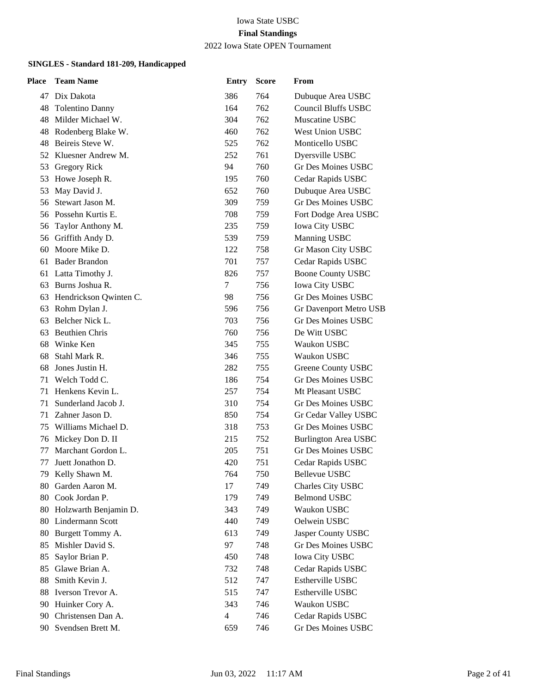### 2022 Iowa State OPEN Tournament

| <b>Team Name</b>       | <b>Entry</b>                                                 | <b>Score</b> | From                          |
|------------------------|--------------------------------------------------------------|--------------|-------------------------------|
| 47 Dix Dakota          | 386                                                          | 764          | Dubuque Area USBC             |
| Tolentino Danny        | 164                                                          | 762          | <b>Council Bluffs USBC</b>    |
| Milder Michael W.      | 304                                                          | 762          | Muscatine USBC                |
| Rodenberg Blake W.     | 460                                                          | 762          | <b>West Union USBC</b>        |
| Beireis Steve W.       | 525                                                          | 762          | Monticello USBC               |
| Kluesner Andrew M.     | 252                                                          | 761          | Dyersville USBC               |
| Gregory Rick           | 94                                                           | 760          | Gr Des Moines USBC            |
| Howe Joseph R.         | 195                                                          | 760          | Cedar Rapids USBC             |
| May David J.           | 652                                                          | 760          | Dubuque Area USBC             |
| Stewart Jason M.       | 309                                                          | 759          | Gr Des Moines USBC            |
| Possehn Kurtis E.      | 708                                                          | 759          | Fort Dodge Area USBC          |
| Taylor Anthony M.      | 235                                                          | 759          | <b>Iowa City USBC</b>         |
| 56 Griffith Andy D.    | 539                                                          | 759          | Manning USBC                  |
| Moore Mike D.          | 122                                                          | 758          | Gr Mason City USBC            |
| <b>Bader Brandon</b>   | 701                                                          | 757          | Cedar Rapids USBC             |
| Latta Timothy J.       | 826                                                          | 757          | <b>Boone County USBC</b>      |
| Burns Joshua R.        | 7                                                            | 756          | <b>Iowa City USBC</b>         |
| Hendrickson Qwinten C. | 98                                                           | 756          | Gr Des Moines USBC            |
| Rohm Dylan J.          | 596                                                          | 756          | <b>Gr Davenport Metro USB</b> |
| Belcher Nick L.        | 703                                                          | 756          | Gr Des Moines USBC            |
| <b>Beuthien Chris</b>  | 760                                                          | 756          | De Witt USBC                  |
| Winke Ken              | 345                                                          | 755          | Waukon USBC                   |
| Stahl Mark R.          | 346                                                          | 755          | Waukon USBC                   |
| Jones Justin H.        | 282                                                          | 755          | Greene County USBC            |
| Welch Todd C.          | 186                                                          | 754          | Gr Des Moines USBC            |
| Henkens Kevin L.       | 257                                                          | 754          | Mt Pleasant USBC              |
| Sunderland Jacob J.    | 310                                                          | 754          | Gr Des Moines USBC            |
| Zahner Jason D.        | 850                                                          | 754          | Gr Cedar Valley USBC          |
| Williams Michael D.    | 318                                                          | 753          | Gr Des Moines USBC            |
| Mickey Don D. II       | 215                                                          | 752          | <b>Burlington Area USBC</b>   |
| Marchant Gordon L.     | 205                                                          | 751          | Gr Des Moines USBC            |
| Juett Jonathon D.      | 420                                                          | 751          | Cedar Rapids USBC             |
| 79 Kelly Shawn M.      | 764                                                          | 750          | <b>Bellevue USBC</b>          |
| Garden Aaron M.        | 17                                                           | 749          | Charles City USBC             |
| Cook Jordan P.         | 179                                                          | 749          | <b>Belmond USBC</b>           |
|                        | 343                                                          | 749          | Waukon USBC                   |
| 80 Lindermann Scott    | 440                                                          | 749          | Oelwein USBC                  |
|                        | 613                                                          | 749          | Jasper County USBC            |
| Mishler David S.       | 97                                                           | 748          | <b>Gr Des Moines USBC</b>     |
|                        | 450                                                          | 748          | <b>Iowa City USBC</b>         |
| Glawe Brian A.         | 732                                                          | 748          | Cedar Rapids USBC             |
| Smith Kevin J.         |                                                              |              | Estherville USBC              |
| Iverson Trevor A.      | 515                                                          | 747          | <b>Estherville USBC</b>       |
| Huinker Cory A.        | 343                                                          | 746          | Waukon USBC                   |
| 90 Christensen Dan A.  | 4                                                            | 746          | Cedar Rapids USBC             |
| 90 Svendsen Brett M.   | 659                                                          | 746          | Gr Des Moines USBC            |
|                        | Holzwarth Benjamin D.<br>Burgett Tommy A.<br>Saylor Brian P. | 512          | 747                           |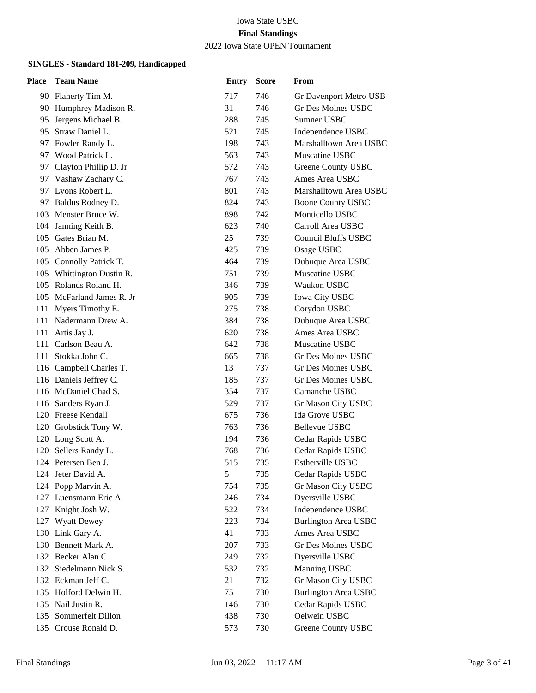#### 2022 Iowa State OPEN Tournament

| Place | <b>Team Name</b>          | <b>Entry</b>  | <b>Score</b> | From                        |
|-------|---------------------------|---------------|--------------|-----------------------------|
|       | 90 Flaherty Tim M.        | 717           | 746          | Gr Davenport Metro USB      |
|       | 90 Humphrey Madison R.    | 31            | 746          | Gr Des Moines USBC          |
| 95    | Jergens Michael B.        | 288           | 745          | Sumner USBC                 |
|       | 95 Straw Daniel L.        | 521           | 745          | Independence USBC           |
|       | 97 Fowler Randy L.        | 198           | 743          | Marshalltown Area USBC      |
| 97    | Wood Patrick L.           | 563           | 743          | Muscatine USBC              |
| 97    | Clayton Phillip D. Jr     | 572           | 743          | Greene County USBC          |
| 97    | Vashaw Zachary C.         | 767           | 743          | Ames Area USBC              |
|       | 97 Lyons Robert L.        | 801           | 743          | Marshalltown Area USBC      |
|       | 97 Baldus Rodney D.       | 824           | 743          | <b>Boone County USBC</b>    |
|       | 103 Menster Bruce W.      | 898           | 742          | Monticello USBC             |
|       | 104 Janning Keith B.      | 623           | 740          | Carroll Area USBC           |
|       | 105 Gates Brian M.        | 25            | 739          | <b>Council Bluffs USBC</b>  |
| 105   | Abben James P.            | 425           | 739          | Osage USBC                  |
|       | 105 Connolly Patrick T.   | 464           | 739          | Dubuque Area USBC           |
|       | 105 Whittington Dustin R. | 751           | 739          | Muscatine USBC              |
|       | 105 Rolands Roland H.     | 346           | 739          | Waukon USBC                 |
|       | 105 McFarland James R. Jr | 905           | 739          | Iowa City USBC              |
| 111 - | Myers Timothy E.          | 275           | 738          | Corydon USBC                |
|       | 111 Nadermann Drew A.     | 384           | 738          | Dubuque Area USBC           |
|       | 111 Artis Jay J.          | 620           | 738          | Ames Area USBC              |
| 111   | Carlson Beau A.           | 642           | 738          | Muscatine USBC              |
| 111   | Stokka John C.            | 665           | 738          | Gr Des Moines USBC          |
|       | 116 Campbell Charles T.   | 13            | 737          | Gr Des Moines USBC          |
|       | 116 Daniels Jeffrey C.    | 185           | 737          | Gr Des Moines USBC          |
|       | 116 McDaniel Chad S.      | 354           | 737          | Camanche USBC               |
|       | 116 Sanders Ryan J.       | 529           | 737          | Gr Mason City USBC          |
|       | 120 Freese Kendall        | 675           | 736          | Ida Grove USBC              |
|       | 120 Grobstick Tony W.     | 763           | 736          | <b>Bellevue USBC</b>        |
|       | 120 Long Scott A.         | 194           | 736          | Cedar Rapids USBC           |
| 120   | Sellers Randy L.          | 768           | 736          | Cedar Rapids USBC           |
|       | 124 Petersen Ben J.       | 515           | 735          | Estherville USBC            |
|       | 124 Jeter David A.        | $\mathfrak s$ | 735          | Cedar Rapids USBC           |
|       | 124 Popp Marvin A.        | 754           | 735          | Gr Mason City USBC          |
| 127   | Luensmann Eric A.         | 246           | 734          | Dyersville USBC             |
| 127   | Knight Josh W.            | 522           | 734          | Independence USBC           |
| 127   | <b>Wyatt Dewey</b>        | 223           | 734          | <b>Burlington Area USBC</b> |
|       | 130 Link Gary A.          | 41            | 733          | Ames Area USBC              |
| 130   | Bennett Mark A.           | 207           | 733          | Gr Des Moines USBC          |
| 132   | Becker Alan C.            | 249           | 732          | Dyersville USBC             |
|       | 132 Siedelmann Nick S.    | 532           | 732          | Manning USBC                |
|       | 132 Eckman Jeff C.        | 21            | 732          | Gr Mason City USBC          |
|       | 135 Holford Delwin H.     | 75            | 730          | <b>Burlington Area USBC</b> |
|       | 135 Nail Justin R.        | 146           | 730          | Cedar Rapids USBC           |
|       | 135 Sommerfelt Dillon     | 438           | 730          | Oelwein USBC                |
|       | 135 Crouse Ronald D.      | 573           | 730          | Greene County USBC          |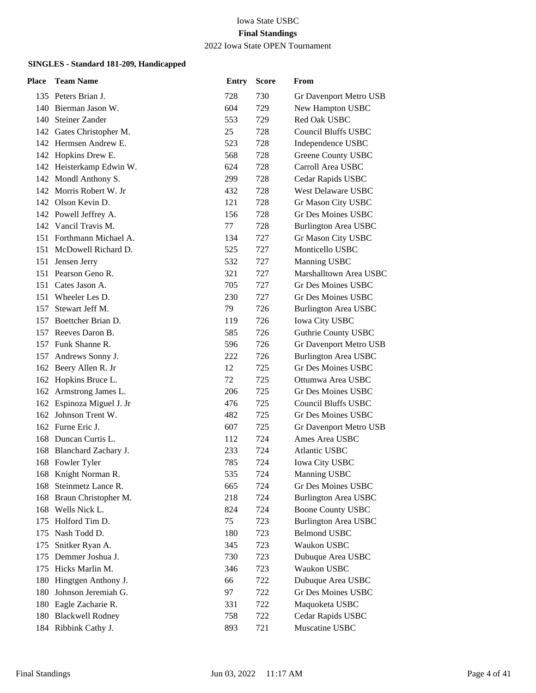## 2022 Iowa State OPEN Tournament

| Place | <b>Team Name</b>          | <b>Entry</b> | <b>Score</b> | From                        |
|-------|---------------------------|--------------|--------------|-----------------------------|
|       | 135 Peters Brian J.       | 728          | 730          | Gr Davenport Metro USB      |
|       | 140 Bierman Jason W.      | 604          | 729          | New Hampton USBC            |
|       | 140 Steiner Zander        | 553          | 729          | Red Oak USBC                |
|       | 142 Gates Christopher M.  | 25           | 728          | <b>Council Bluffs USBC</b>  |
|       | 142 Hermsen Andrew E.     | 523          | 728          | Independence USBC           |
|       | 142 Hopkins Drew E.       | 568          | 728          | Greene County USBC          |
|       | 142 Heisterkamp Edwin W.  | 624          | 728          | Carroll Area USBC           |
|       | 142 Mondl Anthony S.      | 299          | 728          | Cedar Rapids USBC           |
|       | 142 Morris Robert W. Jr   | 432          | 728          | West Delaware USBC          |
|       | 142 Olson Kevin D.        | 121          | 728          | Gr Mason City USBC          |
|       | 142 Powell Jeffrey A.     | 156          | 728          | Gr Des Moines USBC          |
|       | 142 Vancil Travis M.      | 77           | 728          | <b>Burlington Area USBC</b> |
|       | 151 Forthmann Michael A.  | 134          | 727          | Gr Mason City USBC          |
|       | 151 McDowell Richard D.   | 525          | 727          | Monticello USBC             |
|       | 151 Jensen Jerry          | 532          | 727          | <b>Manning USBC</b>         |
|       | 151 Pearson Geno R.       | 321          | 727          | Marshalltown Area USBC      |
|       | 151 Cates Jason A.        | 705          | 727          | Gr Des Moines USBC          |
| 151   | Wheeler Les D.            | 230          | 727          | Gr Des Moines USBC          |
| 157   | Stewart Jeff M.           | 79           | 726          | <b>Burlington Area USBC</b> |
|       | 157 Boettcher Brian D.    | 119          | 726          | Iowa City USBC              |
|       | 157 Reeves Daron B.       | 585          | 726          | <b>Guthrie County USBC</b>  |
|       | 157 Funk Shanne R.        | 596          | 726          | Gr Davenport Metro USB      |
| 157   | Andrews Sonny J.          | 222          | 726          | <b>Burlington Area USBC</b> |
|       | 162 Beery Allen R. Jr     | 12           | 725          | Gr Des Moines USBC          |
|       | 162 Hopkins Bruce L.      | 72           | 725          | Ottumwa Area USBC           |
|       | 162 Armstrong James L.    | 206          | 725          | Gr Des Moines USBC          |
|       | 162 Espinoza Miguel J. Jr | 476          | 725          | <b>Council Bluffs USBC</b>  |
|       | 162 Johnson Trent W.      | 482          | 725          | <b>Gr Des Moines USBC</b>   |
|       | 162 Furne Eric J.         | 607          | 725          | Gr Davenport Metro USB      |
|       | 168 Duncan Curtis L.      | 112          | 724          | Ames Area USBC              |
|       | 168 Blanchard Zachary J.  | 233          | 724          | <b>Atlantic USBC</b>        |
|       | 168 Fowler Tyler          | 785          | 724          | <b>Iowa City USBC</b>       |
|       | 168 Knight Norman R.      | 535          | 724          | Manning USBC                |
| 168   | Steinmetz Lance R.        | 665          | 724          | Gr Des Moines USBC          |
| 168   | Braun Christopher M.      | 218          | 724          | <b>Burlington Area USBC</b> |
| 168   | Wells Nick L.             | 824          | 724          | <b>Boone County USBC</b>    |
| 175   | Holford Tim D.            | 75           | 723          | <b>Burlington Area USBC</b> |
| 175   | Nash Todd D.              | 180          | 723          | <b>Belmond USBC</b>         |
| 175   | Snitker Ryan A.           | 345          | 723          | Waukon USBC                 |
| 175   | Demmer Joshua J.          | 730          | 723          | Dubuque Area USBC           |
| 175   | Hicks Marlin M.           | 346          | 723          | Waukon USBC                 |
| 180   | Hingtgen Anthony J.       | 66           | 722          | Dubuque Area USBC           |
| 180   | Johnson Jeremiah G.       | 97           | 722          | Gr Des Moines USBC          |
| 180   | Eagle Zacharie R.         | 331          | 722          | Maquoketa USBC              |
|       | 180 Blackwell Rodney      | 758          | 722          | Cedar Rapids USBC           |
|       | 184 Ribbink Cathy J.      | 893          | 721          | Muscatine USBC              |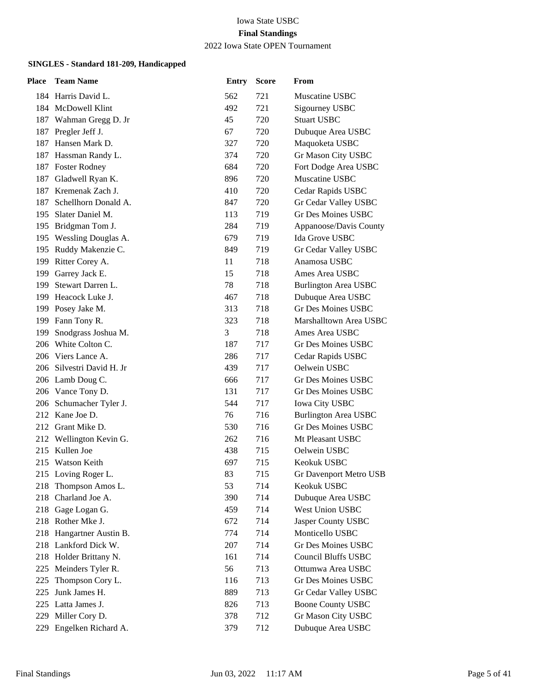2022 Iowa State OPEN Tournament

| Place | <b>Team Name</b>          | <b>Entry</b> | <b>Score</b> | From                        |
|-------|---------------------------|--------------|--------------|-----------------------------|
|       | 184 Harris David L.       | 562          | 721          | Muscatine USBC              |
|       | 184 McDowell Klint        | 492          | 721          | Sigourney USBC              |
|       | 187 Wahman Gregg D. Jr    | 45           | 720          | <b>Stuart USBC</b>          |
| 187   | Pregler Jeff J.           | 67           | 720          | Dubuque Area USBC           |
|       | 187 Hansen Mark D.        | 327          | 720          | Maquoketa USBC              |
|       | 187 Hassman Randy L.      | 374          | 720          | Gr Mason City USBC          |
|       | 187 Foster Rodney         | 684          | 720          | Fort Dodge Area USBC        |
| 187   | Gladwell Ryan K.          | 896          | 720          | Muscatine USBC              |
|       | 187 Kremenak Zach J.      | 410          | 720          | Cedar Rapids USBC           |
| 187   | Schellhorn Donald A.      | 847          | 720          | Gr Cedar Valley USBC        |
| 195   | Slater Daniel M.          | 113          | 719          | <b>Gr Des Moines USBC</b>   |
| 195   | Bridgman Tom J.           | 284          | 719          | Appanoose/Davis County      |
|       | 195 Wessling Douglas A.   | 679          | 719          | Ida Grove USBC              |
|       | 195 Ruddy Makenzie C.     | 849          | 719          | Gr Cedar Valley USBC        |
| 199   | Ritter Corey A.           | 11           | 718          | Anamosa USBC                |
| 199   | Garrey Jack E.            | 15           | 718          | Ames Area USBC              |
|       | 199 Stewart Darren L.     | 78           | 718          | Burlington Area USBC        |
|       | 199 Heacock Luke J.       | 467          | 718          | Dubuque Area USBC           |
|       | 199 Posey Jake M.         | 313          | 718          | <b>Gr Des Moines USBC</b>   |
| 199   | Fann Tony R.              | 323          | 718          | Marshalltown Area USBC      |
| 199   | Snodgrass Joshua M.       | 3            | 718          | Ames Area USBC              |
|       | 206 White Colton C.       | 187          | 717          | Gr Des Moines USBC          |
|       | 206 Viers Lance A.        | 286          | 717          | Cedar Rapids USBC           |
|       | 206 Silvestri David H. Jr | 439          | 717          | Oelwein USBC                |
|       | 206 Lamb Doug C.          | 666          | 717          | Gr Des Moines USBC          |
|       | 206 Vance Tony D.         | 131          | 717          | Gr Des Moines USBC          |
|       | 206 Schumacher Tyler J.   | 544          | 717          | Iowa City USBC              |
|       | 212 Kane Joe D.           | 76           | 716          | <b>Burlington Area USBC</b> |
|       | 212 Grant Mike D.         | 530          | 716          | <b>Gr Des Moines USBC</b>   |
|       | 212 Wellington Kevin G.   | 262          | 716          | Mt Pleasant USBC            |
|       | 215 Kullen Joe            | 438          | 715          | Oelwein USBC                |
|       | 215 Watson Keith          | 697          | 715          | Keokuk USBC                 |
|       | 215 Loving Roger L.       | 83           | 715          | Gr Davenport Metro USB      |
| 218   | Thompson Amos L.          | 53           | 714          | Keokuk USBC                 |
| 218   | Charland Joe A.           | 390          | 714          | Dubuque Area USBC           |
| 218   | Gage Logan G.             | 459          | 714          | West Union USBC             |
|       | 218 Rother Mke J.         | 672          | 714          | Jasper County USBC          |
| 218   | Hangartner Austin B.      | 774          | 714          | Monticello USBC             |
|       | 218 Lankford Dick W.      | 207          | 714          | <b>Gr Des Moines USBC</b>   |
| 218   | Holder Brittany N.        | 161          | 714          | <b>Council Bluffs USBC</b>  |
| 225   | Meinders Tyler R.         | 56           | 713          | Ottumwa Area USBC           |
| 225   | Thompson Cory L.          | 116          | 713          | Gr Des Moines USBC          |
| 225   | Junk James H.             | 889          | 713          | Gr Cedar Valley USBC        |
| 225   | Latta James J.            | 826          | 713          | <b>Boone County USBC</b>    |
| 229   | Miller Cory D.            | 378          | 712          | Gr Mason City USBC          |
| 229   | Engelken Richard A.       | 379          | 712          | Dubuque Area USBC           |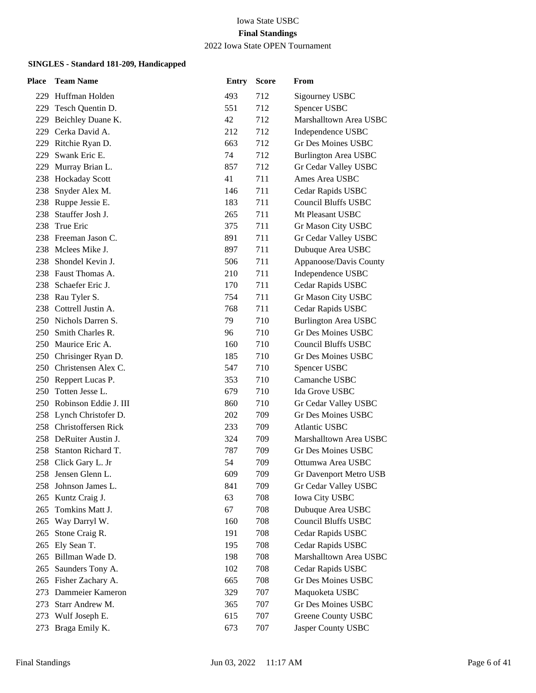#### 2022 Iowa State OPEN Tournament

| Place | <b>Team Name</b>          | <b>Entry</b> | <b>Score</b> | From                        |
|-------|---------------------------|--------------|--------------|-----------------------------|
|       | 229 Huffman Holden        | 493          | 712          | Sigourney USBC              |
|       | 229 Tesch Quentin D.      | 551          | 712          | Spencer USBC                |
| 229   | Beichley Duane K.         | 42           | 712          | Marshalltown Area USBC      |
| 229   | Cerka David A.            | 212          | 712          | Independence USBC           |
|       | 229 Ritchie Ryan D.       | 663          | 712          | <b>Gr Des Moines USBC</b>   |
| 229   | Swank Eric E.             | 74           | 712          | <b>Burlington Area USBC</b> |
| 229 - | Murray Brian L.           | 857          | 712          | Gr Cedar Valley USBC        |
|       | 238 Hockaday Scott        | 41           | 711          | Ames Area USBC              |
|       | 238 Snyder Alex M.        | 146          | 711          | Cedar Rapids USBC           |
|       | 238 Ruppe Jessie E.       | 183          | 711          | <b>Council Bluffs USBC</b>  |
| 238   | Stauffer Josh J.          | 265          | 711          | Mt Pleasant USBC            |
| 238   | True Eric                 | 375          | 711          | Gr Mason City USBC          |
|       | 238 Freeman Jason C.      | 891          | 711          | Gr Cedar Valley USBC        |
|       | 238 Mclees Mike J.        | 897          | 711          | Dubuque Area USBC           |
| 238 - | Shondel Kevin J.          | 506          | 711          | Appanoose/Davis County      |
|       | 238 Faust Thomas A.       | 210          | 711          | Independence USBC           |
|       | 238 Schaefer Eric J.      | 170          | 711          | Cedar Rapids USBC           |
|       | 238 Rau Tyler S.          | 754          | 711          | Gr Mason City USBC          |
|       | 238 Cottrell Justin A.    | 768          | 711          | Cedar Rapids USBC           |
|       | 250 Nichols Darren S.     | 79           | 710          | <b>Burlington Area USBC</b> |
|       | 250 Smith Charles R.      | 96           | 710          | <b>Gr Des Moines USBC</b>   |
|       | 250 Maurice Eric A.       | 160          | 710          | <b>Council Bluffs USBC</b>  |
| 250   | Chrisinger Ryan D.        | 185          | 710          | Gr Des Moines USBC          |
|       | 250 Christensen Alex C.   | 547          | 710          | Spencer USBC                |
|       | 250 Reppert Lucas P.      | 353          | 710          | Camanche USBC               |
| 250   | Totten Jesse L.           | 679          | 710          | Ida Grove USBC              |
|       | 250 Robinson Eddie J. III | 860          | 710          | Gr Cedar Valley USBC        |
|       | 258 Lynch Christofer D.   | 202          | 709          | <b>Gr Des Moines USBC</b>   |
|       | 258 Christoffersen Rick   | 233          | 709          | <b>Atlantic USBC</b>        |
|       | 258 DeRuiter Austin J.    | 324          | 709          | Marshalltown Area USBC      |
| 258.  | Stanton Richard T.        | 787          | 709          | <b>Gr Des Moines USBC</b>   |
|       | 258 Click Gary L. Jr      | 54           | 709          | Ottumwa Area USBC           |
|       | 258 Jensen Glenn L.       | 609          | 709          | Gr Davenport Metro USB      |
| 258   | Johnson James L.          | 841          | 709          | Gr Cedar Valley USBC        |
| 265   | Kuntz Craig J.            | 63           | 708          | <b>Iowa City USBC</b>       |
| 265   | Tomkins Matt J.           | 67           | 708          | Dubuque Area USBC           |
| 265   | Way Darryl W.             | 160          | 708          | <b>Council Bluffs USBC</b>  |
| 265   | Stone Craig R.            | 191          | 708          | Cedar Rapids USBC           |
| 265   | Ely Sean T.               | 195          | 708          | Cedar Rapids USBC           |
| 265   | Billman Wade D.           | 198          | 708          | Marshalltown Area USBC      |
| 265   | Saunders Tony A.          | 102          | 708          | Cedar Rapids USBC           |
| 265   | Fisher Zachary A.         | 665          | 708          | Gr Des Moines USBC          |
| 273   | Dammeier Kameron          | 329          | 707          | Maquoketa USBC              |
| 273   | Starr Andrew M.           | 365          | 707          | Gr Des Moines USBC          |
| 273   | Wulf Joseph E.            | 615          | 707          | Greene County USBC          |
| 273   | Braga Emily K.            | 673          | 707          | Jasper County USBC          |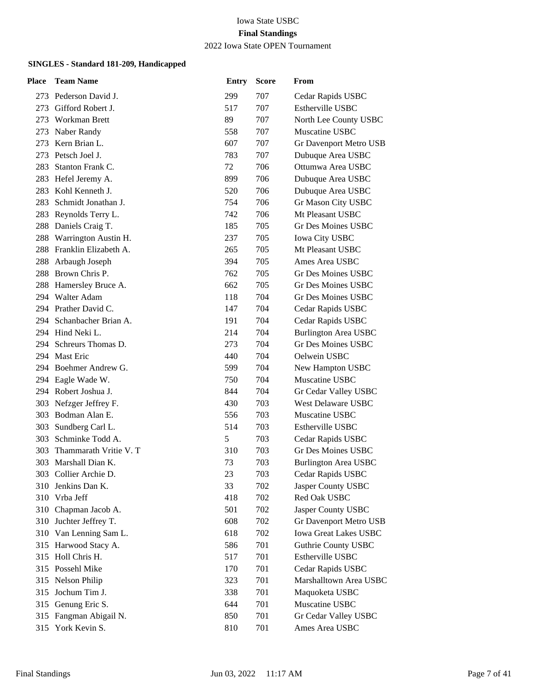2022 Iowa State OPEN Tournament

| Place | <b>Team Name</b>         | <b>Entry</b> | <b>Score</b> | From                         |
|-------|--------------------------|--------------|--------------|------------------------------|
|       | 273 Pederson David J.    | 299          | 707          | Cedar Rapids USBC            |
| 273   | Gifford Robert J.        | 517          | 707          | Estherville USBC             |
| 273   | Workman Brett            | 89           | 707          | North Lee County USBC        |
| 273   | Naber Randy              | 558          | 707          | Muscatine USBC               |
| 273   | Kern Brian L.            | 607          | 707          | Gr Davenport Metro USB       |
| 273   | Petsch Joel J.           | 783          | 707          | Dubuque Area USBC            |
| 283   | Stanton Frank C.         | 72           | 706          | Ottumwa Area USBC            |
|       | 283 Hefel Jeremy A.      | 899          | 706          | Dubuque Area USBC            |
|       | 283 Kohl Kenneth J.      | 520          | 706          | Dubuque Area USBC            |
| 283   | Schmidt Jonathan J.      | 754          | 706          | Gr Mason City USBC           |
| 283   | Reynolds Terry L.        | 742          | 706          | Mt Pleasant USBC             |
|       | 288 Daniels Craig T.     | 185          | 705          | <b>Gr Des Moines USBC</b>    |
|       | 288 Warrington Austin H. | 237          | 705          | <b>Iowa City USBC</b>        |
| 288   | Franklin Elizabeth A.    | 265          | 705          | Mt Pleasant USBC             |
| 288   | Arbaugh Joseph           | 394          | 705          | Ames Area USBC               |
| 288   | Brown Chris P.           | 762          | 705          | Gr Des Moines USBC           |
|       | 288 Hamersley Bruce A.   | 662          | 705          | Gr Des Moines USBC           |
|       | 294 Walter Adam          | 118          | 704          | Gr Des Moines USBC           |
|       | 294 Prather David C.     | 147          | 704          | Cedar Rapids USBC            |
|       | 294 Schanbacher Brian A. | 191          | 704          | Cedar Rapids USBC            |
|       | 294 Hind Neki L.         | 214          | 704          | <b>Burlington Area USBC</b>  |
|       | 294 Schreurs Thomas D.   | 273          | 704          | Gr Des Moines USBC           |
|       | 294 Mast Eric            | 440          | 704          | Oelwein USBC                 |
|       | 294 Boehmer Andrew G.    | 599          | 704          | New Hampton USBC             |
|       | 294 Eagle Wade W.        | 750          | 704          | Muscatine USBC               |
|       | 294 Robert Joshua J.     | 844          | 704          | Gr Cedar Valley USBC         |
| 303   | Nefzger Jeffrey F.       | 430          | 703          | West Delaware USBC           |
|       | 303 Bodman Alan E.       | 556          | 703          | Muscatine USBC               |
|       | 303 Sundberg Carl L.     | 514          | 703          | Estherville USBC             |
| 303   | Schminke Todd A.         | 5            | 703          | Cedar Rapids USBC            |
| 303   | Thammarath Vritie V. T   | 310          | 703          | Gr Des Moines USBC           |
| 303   | Marshall Dian K.         | 73           | 703          | <b>Burlington Area USBC</b>  |
|       | 303 Collier Archie D.    | 23           | 703          | Cedar Rapids USBC            |
| 310   | Jenkins Dan K.           | 33           | 702          | Jasper County USBC           |
| 310   | Vrba Jeff                | 418          | 702          | Red Oak USBC                 |
| 310   | Chapman Jacob A.         | 501          | 702          | Jasper County USBC           |
|       | 310 Juchter Jeffrey T.   | 608          | 702          | Gr Davenport Metro USB       |
|       | 310 Van Lenning Sam L.   | 618          | 702          | <b>Iowa Great Lakes USBC</b> |
|       | 315 Harwood Stacy A.     | 586          | 701          | Guthrie County USBC          |
| 315   | Holl Chris H.            | 517          | 701          | Estherville USBC             |
| 315   | Possehl Mike             | 170          | 701          | Cedar Rapids USBC            |
| 315   | Nelson Philip            | 323          | 701          | Marshalltown Area USBC       |
| 315   | Jochum Tim J.            | 338          | 701          | Maquoketa USBC               |
| 315   | Genung Eric S.           | 644          | 701          | Muscatine USBC               |
| 315   | Fangman Abigail N.       | 850          | 701          | Gr Cedar Valley USBC         |
| 315   | York Kevin S.            | 810          | 701          | Ames Area USBC               |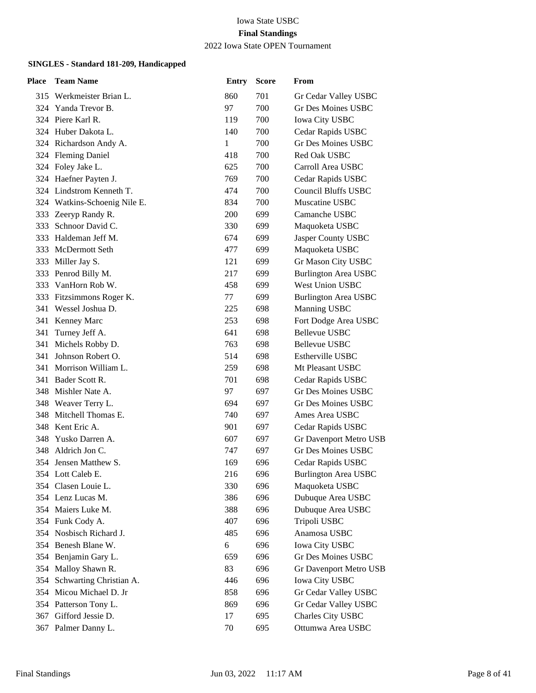# 2022 Iowa State OPEN Tournament

| Place | <b>Team Name</b>             | <b>Entry</b> | <b>Score</b> | From                        |
|-------|------------------------------|--------------|--------------|-----------------------------|
|       | 315 Werkmeister Brian L.     | 860          | 701          | Gr Cedar Valley USBC        |
|       | 324 Yanda Trevor B.          | 97           | 700          | Gr Des Moines USBC          |
|       | 324 Piere Karl R.            | 119          | 700          | <b>Iowa City USBC</b>       |
|       | 324 Huber Dakota L.          | 140          | 700          | Cedar Rapids USBC           |
|       | 324 Richardson Andy A.       | 1            | 700          | <b>Gr Des Moines USBC</b>   |
|       | 324 Fleming Daniel           | 418          | 700          | <b>Red Oak USBC</b>         |
|       | 324 Foley Jake L.            | 625          | 700          | Carroll Area USBC           |
|       | 324 Haefner Payten J.        | 769          | 700          | Cedar Rapids USBC           |
|       | 324 Lindstrom Kenneth T.     | 474          | 700          | <b>Council Bluffs USBC</b>  |
|       | 324 Watkins-Schoenig Nile E. | 834          | 700          | Muscatine USBC              |
| 333   | Zeeryp Randy R.              | 200          | 699          | Camanche USBC               |
|       | 333 Schnoor David C.         | 330          | 699          | Maquoketa USBC              |
|       | 333 Haldeman Jeff M.         | 674          | 699          | Jasper County USBC          |
|       | 333 McDermott Seth           | 477          | 699          | Maquoketa USBC              |
| 333   | Miller Jay S.                | 121          | 699          | Gr Mason City USBC          |
|       | 333 Penrod Billy M.          | 217          | 699          | <b>Burlington Area USBC</b> |
|       | 333 VanHorn Rob W.           | 458          | 699          | <b>West Union USBC</b>      |
|       | 333 Fitzsimmons Roger K.     | 77           | 699          | <b>Burlington Area USBC</b> |
|       | 341 Wessel Joshua D.         | 225          | 698          | Manning USBC                |
|       | 341 Kenney Marc              | 253          | 698          | Fort Dodge Area USBC        |
| 341   | Turney Jeff A.               | 641          | 698          | <b>Bellevue USBC</b>        |
| 341   | Michels Robby D.             | 763          | 698          | Bellevue USBC               |
| 341   | Johnson Robert O.            | 514          | 698          | Estherville USBC            |
|       | 341 Morrison William L.      | 259          | 698          | Mt Pleasant USBC            |
|       | 341 Bader Scott R.           | 701          | 698          | Cedar Rapids USBC           |
|       | 348 Mishler Nate A.          | 97           | 697          | Gr Des Moines USBC          |
|       | 348 Weaver Terry L.          | 694          | 697          | Gr Des Moines USBC          |
|       | 348 Mitchell Thomas E.       | 740          | 697          | Ames Area USBC              |
|       | 348 Kent Eric A.             | 901          | 697          | Cedar Rapids USBC           |
| 348   | Yusko Darren A.              | 607          | 697          | Gr Davenport Metro USB      |
| 348   | Aldrich Jon C.               | 747          | 697          | Gr Des Moines USBC          |
|       | 354 Jensen Matthew S.        | 169          | 696          | Cedar Rapids USBC           |
|       | 354 Lott Caleb E.            | 216          | 696          | <b>Burlington Area USBC</b> |
|       | 354 Clasen Louie L.          | 330          | 696          | Maquoketa USBC              |
|       | 354 Lenz Lucas M.            | 386          | 696          | Dubuque Area USBC           |
|       | 354 Maiers Luke M.           | 388          | 696          | Dubuque Area USBC           |
|       | 354 Funk Cody A.             | 407          | 696          | Tripoli USBC                |
|       | 354 Nosbisch Richard J.      | 485          | 696          | Anamosa USBC                |
| 354   | Benesh Blane W.              | 6            | 696          | <b>Iowa City USBC</b>       |
|       | 354 Benjamin Gary L.         | 659          | 696          | Gr Des Moines USBC          |
|       | 354 Malloy Shawn R.          | 83           | 696          | Gr Davenport Metro USB      |
| 354   | Schwarting Christian A.      | 446          | 696          | <b>Iowa City USBC</b>       |
| 354   | Micou Michael D. Jr          | 858          | 696          | Gr Cedar Valley USBC        |
|       | 354 Patterson Tony L.        | 869          | 696          | Gr Cedar Valley USBC        |
|       | 367 Gifford Jessie D.        | 17           | 695          | Charles City USBC           |
|       | 367 Palmer Danny L.          | 70           | 695          | Ottumwa Area USBC           |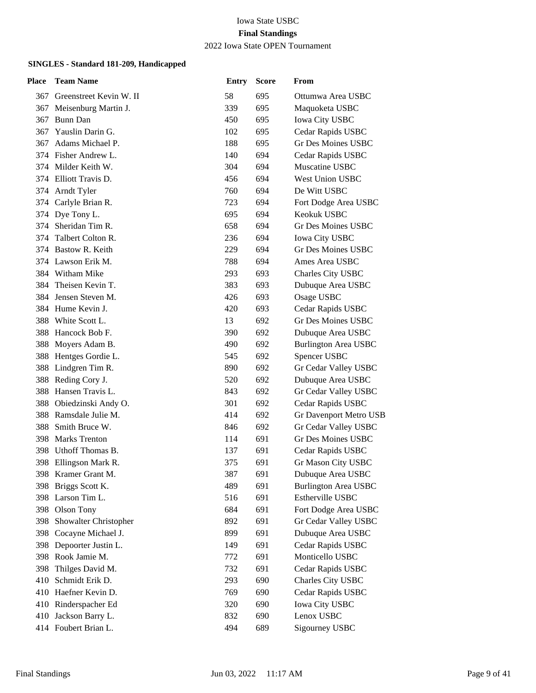#### Iowa State USBC **Final Standings** 2022 Iowa State OPEN Tournament

| Place | <b>Team Name</b>            | <b>Entry</b> | <b>Score</b> | From                        |
|-------|-----------------------------|--------------|--------------|-----------------------------|
|       | 367 Greenstreet Kevin W. II | 58           | 695          | Ottumwa Area USBC           |
|       | 367 Meisenburg Martin J.    | 339          | 695          | Maquoketa USBC              |
| 367   | Bunn Dan                    | 450          | 695          | <b>Iowa City USBC</b>       |
| 367   | Yauslin Darin G.            | 102          | 695          | Cedar Rapids USBC           |
| 367   | Adams Michael P.            | 188          | 695          | Gr Des Moines USBC          |
|       | 374 Fisher Andrew L.        | 140          | 694          | Cedar Rapids USBC           |
|       | 374 Milder Keith W.         | 304          | 694          | Muscatine USBC              |
|       | 374 Elliott Travis D.       | 456          | 694          | <b>West Union USBC</b>      |
|       | 374 Arndt Tyler             | 760          | 694          | De Witt USBC                |
|       | 374 Carlyle Brian R.        | 723          | 694          | Fort Dodge Area USBC        |
|       | 374 Dye Tony L.             | 695          | 694          | Keokuk USBC                 |
|       | 374 Sheridan Tim R.         | 658          | 694          | Gr Des Moines USBC          |
|       | 374 Talbert Colton R.       | 236          | 694          | <b>Iowa City USBC</b>       |
|       | 374 Bastow R. Keith         | 229          | 694          | Gr Des Moines USBC          |
|       | 374 Lawson Erik M.          | 788          | 694          | Ames Area USBC              |
|       | 384 Witham Mike             | 293          | 693          | Charles City USBC           |
|       | 384 Theisen Kevin T.        | 383          | 693          | Dubuque Area USBC           |
|       | 384 Jensen Steven M.        | 426          | 693          | Osage USBC                  |
|       | 384 Hume Kevin J.           | 420          | 693          | Cedar Rapids USBC           |
|       | 388 White Scott L.          | 13           | 692          | <b>Gr Des Moines USBC</b>   |
|       | 388 Hancock Bob F.          | 390          | 692          | Dubuque Area USBC           |
|       | 388 Moyers Adam B.          | 490          | 692          | <b>Burlington Area USBC</b> |
|       | 388 Hentges Gordie L.       | 545          | 692          | Spencer USBC                |
|       | 388 Lindgren Tim R.         | 890          | 692          | Gr Cedar Valley USBC        |
|       | 388 Reding Cory J.          | 520          | 692          | Dubuque Area USBC           |
|       | 388 Hansen Travis L.        | 843          | 692          | Gr Cedar Valley USBC        |
|       | 388 Obiedzinski Andy O.     | 301          | 692          | Cedar Rapids USBC           |
|       | 388 Ramsdale Julie M.       | 414          | 692          | Gr Davenport Metro USB      |
|       | 388 Smith Bruce W.          | 846          | 692          | Gr Cedar Valley USBC        |
|       | 398 Marks Trenton           | 114          | 691          | Gr Des Moines USBC          |
|       | 398 Uthoff Thomas B.        | 137          | 691          | Cedar Rapids USBC           |
|       | 398 Ellingson Mark R.       | 375          | 691          | Gr Mason City USBC          |
|       | 398 Kramer Grant M.         | 387          | 691          | Dubuque Area USBC           |
|       | 398 Briggs Scott K.         | 489          | 691          | <b>Burlington Area USBC</b> |
|       | 398 Larson Tim L.           | 516          | 691          | Estherville USBC            |
| 398   | Olson Tony                  | 684          | 691          | Fort Dodge Area USBC        |
| 398   | Showalter Christopher       | 892          | 691          | Gr Cedar Valley USBC        |
|       | 398 Cocayne Michael J.      | 899          | 691          | Dubuque Area USBC           |
| 398   | Depoorter Justin L.         | 149          | 691          | Cedar Rapids USBC           |
|       | 398 Rook Jamie M.           | 772          | 691          | Monticello USBC             |
| 398   | Thilges David M.            | 732          | 691          | Cedar Rapids USBC           |
| 410   | Schmidt Erik D.             | 293          | 690          | Charles City USBC           |
| 410   | Haefner Kevin D.            | 769          | 690          | Cedar Rapids USBC           |
| 410   | Rinderspacher Ed            | 320          | 690          | <b>Iowa City USBC</b>       |
|       | 410 Jackson Barry L.        | 832          | 690          | Lenox USBC                  |
|       | 414 Foubert Brian L.        | 494          | 689          | Sigourney USBC              |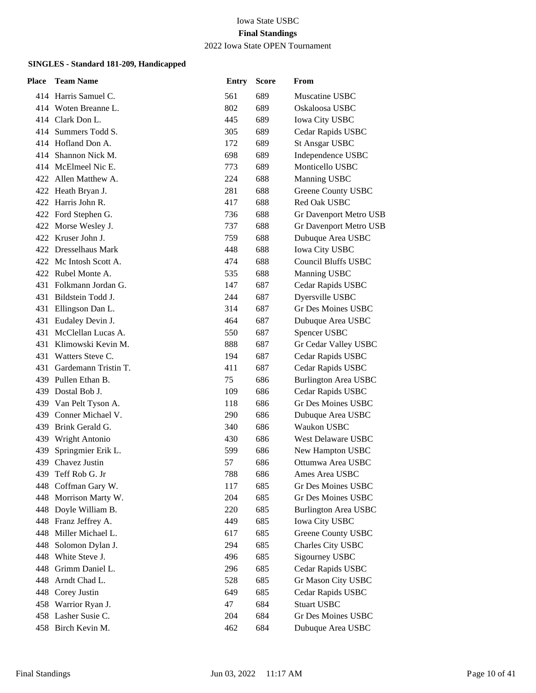2022 Iowa State OPEN Tournament

| Place | <b>Team Name</b>         | <b>Entry</b> | <b>Score</b> | From                        |
|-------|--------------------------|--------------|--------------|-----------------------------|
|       | 414 Harris Samuel C.     | 561          | 689          | Muscatine USBC              |
|       | 414 Woten Breanne L.     | 802          | 689          | Oskaloosa USBC              |
|       | 414 Clark Don L.         | 445          | 689          | <b>Iowa City USBC</b>       |
|       | 414 Summers Todd S.      | 305          | 689          | Cedar Rapids USBC           |
|       | 414 Hofland Don A.       | 172          | 689          | <b>St Ansgar USBC</b>       |
|       | 414 Shannon Nick M.      | 698          | 689          | Independence USBC           |
|       | 414 McElmeel Nic E.      | 773          | 689          | Monticello USBC             |
|       | 422 Allen Matthew A.     | 224          | 688          | Manning USBC                |
|       | 422 Heath Bryan J.       | 281          | 688          | <b>Greene County USBC</b>   |
|       | 422 Harris John R.       | 417          | 688          | Red Oak USBC                |
|       | 422 Ford Stephen G.      | 736          | 688          | Gr Davenport Metro USB      |
|       | 422 Morse Wesley J.      | 737          | 688          | Gr Davenport Metro USB      |
|       | 422 Kruser John J.       | 759          | 688          | Dubuque Area USBC           |
|       | 422 Dresselhaus Mark     | 448          | 688          | Iowa City USBC              |
|       | 422 Mc Intosh Scott A.   | 474          | 688          | <b>Council Bluffs USBC</b>  |
|       | 422 Rubel Monte A.       | 535          | 688          | Manning USBC                |
|       | 431 Folkmann Jordan G.   | 147          | 687          | Cedar Rapids USBC           |
|       | 431 Bildstein Todd J.    | 244          | 687          | Dyersville USBC             |
| 431   | Ellingson Dan L.         | 314          | 687          | <b>Gr Des Moines USBC</b>   |
|       | 431 Eudaley Devin J.     | 464          | 687          | Dubuque Area USBC           |
|       | 431 McClellan Lucas A.   | 550          | 687          | Spencer USBC                |
|       | 431 Klimowski Kevin M.   | 888          | 687          | Gr Cedar Valley USBC        |
|       | 431 Watters Steve C.     | 194          | 687          | Cedar Rapids USBC           |
|       | 431 Gardemann Tristin T. | 411          | 687          | Cedar Rapids USBC           |
|       | 439 Pullen Ethan B.      | 75           | 686          | <b>Burlington Area USBC</b> |
|       | 439 Dostal Bob J.        | 109          | 686          | Cedar Rapids USBC           |
|       | 439 Van Pelt Tyson A.    | 118          | 686          | <b>Gr Des Moines USBC</b>   |
|       | 439 Conner Michael V.    | 290          | 686          | Dubuque Area USBC           |
|       | 439 Brink Gerald G.      | 340          | 686          | Waukon USBC                 |
|       | 439 Wright Antonio       | 430          | 686          | West Delaware USBC          |
| 439   | Springmier Erik L.       | 599          | 686          | New Hampton USBC            |
|       | 439 Chavez Justin        | 57           | 686          | Ottumwa Area USBC           |
|       | 439 Teff Rob G. Jr       | 788          | 686          | Ames Area USBC              |
| 448   | Coffman Gary W.          | 117          | 685          | <b>Gr Des Moines USBC</b>   |
| 448   | Morrison Marty W.        | 204          | 685          | Gr Des Moines USBC          |
|       | 448 Doyle William B.     | 220          | 685          | <b>Burlington Area USBC</b> |
|       | 448 Franz Jeffrey A.     | 449          | 685          | Iowa City USBC              |
|       | 448 Miller Michael L.    | 617          | 685          | <b>Greene County USBC</b>   |
| 448   | Solomon Dylan J.         | 294          | 685          | Charles City USBC           |
|       | 448 White Steve J.       | 496          | 685          | Sigourney USBC              |
|       | 448 Grimm Daniel L.      | 296          | 685          | Cedar Rapids USBC           |
| 448   | Arndt Chad L.            | 528          | 685          | Gr Mason City USBC          |
|       | 448 Corey Justin         | 649          | 685          | Cedar Rapids USBC           |
|       | 458 Warrior Ryan J.      | 47           | 684          | <b>Stuart USBC</b>          |
|       | 458 Lasher Susie C.      | 204          | 684          | Gr Des Moines USBC          |
|       | 458 Birch Kevin M.       | 462          | 684          | Dubuque Area USBC           |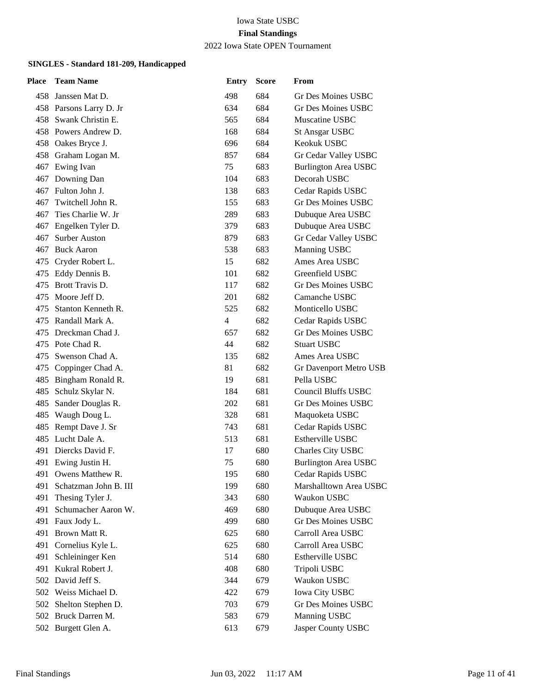2022 Iowa State OPEN Tournament

| Place | <b>Team Name</b>        | <b>Entry</b>   | <b>Score</b> | From                        |
|-------|-------------------------|----------------|--------------|-----------------------------|
| 458   | Janssen Mat D.          | 498            | 684          | Gr Des Moines USBC          |
|       | 458 Parsons Larry D. Jr | 634            | 684          | Gr Des Moines USBC          |
| 458   | Swank Christin E.       | 565            | 684          | Muscatine USBC              |
|       | 458 Powers Andrew D.    | 168            | 684          | <b>St Ansgar USBC</b>       |
|       | 458 Oakes Bryce J.      | 696            | 684          | Keokuk USBC                 |
|       | 458 Graham Logan M.     | 857            | 684          | Gr Cedar Valley USBC        |
| 467   | Ewing Ivan              | 75             | 683          | <b>Burlington Area USBC</b> |
| 467   | Downing Dan             | 104            | 683          | Decorah USBC                |
|       | 467 Fulton John J.      | 138            | 683          | Cedar Rapids USBC           |
| 467   | Twitchell John R.       | 155            | 683          | Gr Des Moines USBC          |
| 467   | Ties Charlie W. Jr      | 289            | 683          | Dubuque Area USBC           |
| 467   | Engelken Tyler D.       | 379            | 683          | Dubuque Area USBC           |
| 467   | Surber Auston           | 879            | 683          | Gr Cedar Valley USBC        |
| 467   | <b>Buck Aaron</b>       | 538            | 683          | Manning USBC                |
| 475   | Cryder Robert L.        | 15             | 682          | Ames Area USBC              |
| 475   | Eddy Dennis B.          | 101            | 682          | Greenfield USBC             |
| 475   | Brott Travis D.         | 117            | 682          | Gr Des Moines USBC          |
| 475   | Moore Jeff D.           | 201            | 682          | Camanche USBC               |
| 475   | Stanton Kenneth R.      | 525            | 682          | Monticello USBC             |
| 475   | Randall Mark A.         | $\overline{4}$ | 682          | Cedar Rapids USBC           |
| 475   | Dreckman Chad J.        | 657            | 682          | Gr Des Moines USBC          |
| 475   | Pote Chad R.            | 44             | 682          | <b>Stuart USBC</b>          |
| 475   | Swenson Chad A.         | 135            | 682          | Ames Area USBC              |
|       | 475 Coppinger Chad A.   | 81             | 682          | Gr Davenport Metro USB      |
|       | 485 Bingham Ronald R.   | 19             | 681          | Pella USBC                  |
|       | 485 Schulz Skylar N.    | 184            | 681          | <b>Council Bluffs USBC</b>  |
| 485   | Sander Douglas R.       | 202            | 681          | Gr Des Moines USBC          |
| 485   | Waugh Doug L.           | 328            | 681          | Maquoketa USBC              |
|       | 485 Rempt Dave J. Sr    | 743            | 681          | Cedar Rapids USBC           |
|       | 485 Lucht Dale A.       | 513            | 681          | Estherville USBC            |
| 491   | Diercks David F.        | 17             | 680          | Charles City USBC           |
|       | 491 Ewing Justin H.     | 75             | 680          | <b>Burlington Area USBC</b> |
|       | 491 Owens Matthew R.    | 195            | 680          | Cedar Rapids USBC           |
| 491   | Schatzman John B. III   | 199            | 680          | Marshalltown Area USBC      |
| 491   | Thesing Tyler J.        | 343            | 680          | Waukon USBC                 |
| 491   | Schumacher Aaron W.     | 469            | 680          | Dubuque Area USBC           |
|       | 491 Faux Jody L.        | 499            | 680          | Gr Des Moines USBC          |
| 491   | Brown Matt R.           | 625            | 680          | Carroll Area USBC           |
| 491   | Cornelius Kyle L.       | 625            | 680          | Carroll Area USBC           |
| 491   | Schleininger Ken        | 514            | 680          | Estherville USBC            |
| 491   | Kukral Robert J.        | 408            | 680          | Tripoli USBC                |
| 502   | David Jeff S.           | 344            | 679          | Waukon USBC                 |
| 502   | Weiss Michael D.        | 422            | 679          | <b>Iowa City USBC</b>       |
| 502   | Shelton Stephen D.      | 703            | 679          | Gr Des Moines USBC          |
|       | 502 Bruck Darren M.     | 583            | 679          | Manning USBC                |
|       | 502 Burgett Glen A.     | 613            | 679          | Jasper County USBC          |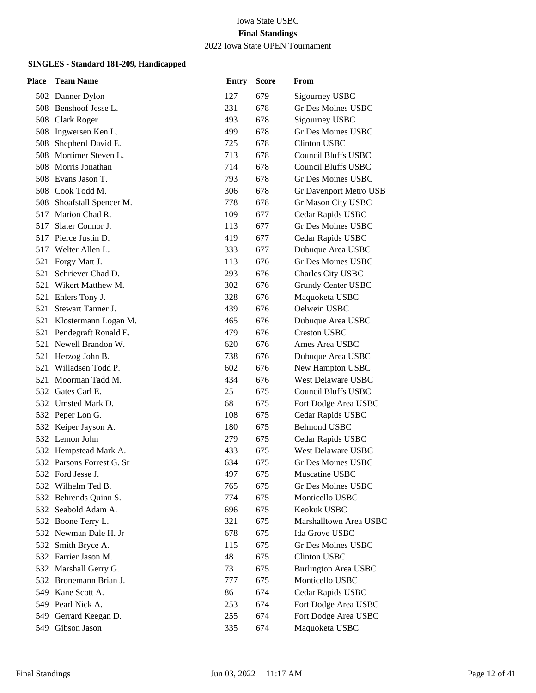2022 Iowa State OPEN Tournament

| Place | <b>Team Name</b>          | <b>Entry</b> | <b>Score</b> | From                        |
|-------|---------------------------|--------------|--------------|-----------------------------|
|       | 502 Danner Dylon          | 127          | 679          | Sigourney USBC              |
|       | 508 Benshoof Jesse L.     | 231          | 678          | <b>Gr Des Moines USBC</b>   |
|       | 508 Clark Roger           | 493          | 678          | Sigourney USBC              |
| 508   | Ingwersen Ken L.          | 499          | 678          | Gr Des Moines USBC          |
| 508   | Shepherd David E.         | 725          | 678          | <b>Clinton USBC</b>         |
|       | 508 Mortimer Steven L.    | 713          | 678          | <b>Council Bluffs USBC</b>  |
| 508   | Morris Jonathan           | 714          | 678          | Council Bluffs USBC         |
|       | 508 Evans Jason T.        | 793          | 678          | <b>Gr Des Moines USBC</b>   |
|       | 508 Cook Todd M.          | 306          | 678          | Gr Davenport Metro USB      |
|       | 508 Shoafstall Spencer M. | 778          | 678          | Gr Mason City USBC          |
| 517   | Marion Chad R.            | 109          | 677          | Cedar Rapids USBC           |
| 517   | Slater Connor J.          | 113          | 677          | Gr Des Moines USBC          |
|       | 517 Pierce Justin D.      | 419          | 677          | Cedar Rapids USBC           |
| 517   | Welter Allen L.           | 333          | 677          | Dubuque Area USBC           |
| 521   | Forgy Matt J.             | 113          | 676          | <b>Gr Des Moines USBC</b>   |
| 521   | Schriever Chad D.         | 293          | 676          | Charles City USBC           |
|       | 521 Wikert Matthew M.     | 302          | 676          | Grundy Center USBC          |
|       | 521 Ehlers Tony J.        | 328          | 676          | Maquoketa USBC              |
| 521   | Stewart Tanner J.         | 439          | 676          | Oelwein USBC                |
| 521   | Klostermann Logan M.      | 465          | 676          | Dubuque Area USBC           |
|       | 521 Pendegraft Ronald E.  | 479          | 676          | <b>Creston USBC</b>         |
|       | 521 Newell Brandon W.     | 620          | 676          | Ames Area USBC              |
| 521   | Herzog John B.            | 738          | 676          | Dubuque Area USBC           |
| 521   | Willadsen Todd P.         | 602          | 676          | New Hampton USBC            |
|       | 521 Moorman Tadd M.       | 434          | 676          | <b>West Delaware USBC</b>   |
|       | 532 Gates Carl E.         | 25           | 675          | <b>Council Bluffs USBC</b>  |
|       | 532 Umsted Mark D.        | 68           | 675          | Fort Dodge Area USBC        |
|       | 532 Peper Lon G.          | 108          | 675          | Cedar Rapids USBC           |
|       | 532 Keiper Jayson A.      | 180          | 675          | <b>Belmond USBC</b>         |
|       | 532 Lemon John            | 279          | 675          | Cedar Rapids USBC           |
|       | 532 Hempstead Mark A.     | 433          | 675          | West Delaware USBC          |
|       | 532 Parsons Forrest G. Sr | 634          | 675          | Gr Des Moines USBC          |
|       | 532 Ford Jesse J.         | 497          | 675          | Muscatine USBC              |
| 532   | Wilhelm Ted B.            | 765          | 675          | Gr Des Moines USBC          |
| 532   | Behrends Quinn S.         | 774          | 675          | Monticello USBC             |
| 532   | Seabold Adam A.           | 696          | 675          | Keokuk USBC                 |
|       | 532 Boone Terry L.        | 321          | 675          | Marshalltown Area USBC      |
|       | 532 Newman Dale H. Jr     | 678          | 675          | Ida Grove USBC              |
| 532   | Smith Bryce A.            | 115          | 675          | Gr Des Moines USBC          |
|       | 532 Farrier Jason M.      | 48           | 675          | <b>Clinton USBC</b>         |
|       | 532 Marshall Gerry G.     | 73           | 675          | <b>Burlington Area USBC</b> |
|       | 532 Bronemann Brian J.    | 777          | 675          | Monticello USBC             |
| 549.  | Kane Scott A.             | 86           | 674          | Cedar Rapids USBC           |
| 549   | Pearl Nick A.             | 253          | 674          | Fort Dodge Area USBC        |
| 549   | Gerrard Keegan D.         | 255          | 674          | Fort Dodge Area USBC        |
| 549   | Gibson Jason              | 335          | 674          | Maquoketa USBC              |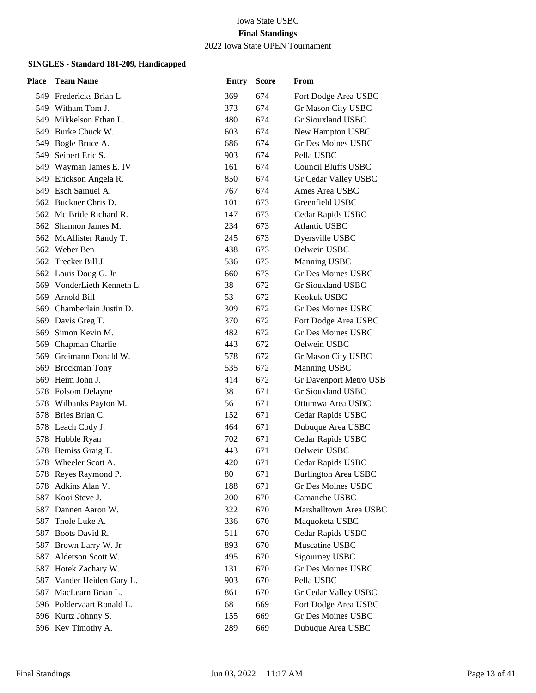2022 Iowa State OPEN Tournament

| <b>Place</b> | <b>Team Name</b>           | <b>Entry</b> | <b>Score</b> | From                        |
|--------------|----------------------------|--------------|--------------|-----------------------------|
|              | 549 Fredericks Brian L.    | 369          | 674          | Fort Dodge Area USBC        |
|              | 549 Witham Tom J.          | 373          | 674          | Gr Mason City USBC          |
| 549          | Mikkelson Ethan L.         | 480          | 674          | Gr Siouxland USBC           |
| 549.         | Burke Chuck W.             | 603          | 674          | New Hampton USBC            |
|              | 549 Bogle Bruce A.         | 686          | 674          | <b>Gr Des Moines USBC</b>   |
|              | 549 Seibert Eric S.        | 903          | 674          | Pella USBC                  |
|              | 549 Wayman James E. IV     | 161          | 674          | <b>Council Bluffs USBC</b>  |
| 549          | Erickson Angela R.         | 850          | 674          | Gr Cedar Valley USBC        |
|              | 549 Esch Samuel A.         | 767          | 674          | Ames Area USBC              |
|              | 562 Buckner Chris D.       | 101          | 673          | Greenfield USBC             |
| 562          | Mc Bride Richard R.        | 147          | 673          | Cedar Rapids USBC           |
|              | 562 Shannon James M.       | 234          | 673          | <b>Atlantic USBC</b>        |
|              | 562 McAllister Randy T.    | 245          | 673          | Dyersville USBC             |
|              | 562 Weber Ben              | 438          | 673          | Oelwein USBC                |
| 562          | Trecker Bill J.            | 536          | 673          | Manning USBC                |
|              | 562 Louis Doug G. Jr       | 660          | 673          | Gr Des Moines USBC          |
|              | 569 VonderLieth Kenneth L. | 38           | 672          | Gr Siouxland USBC           |
| 569          | Arnold Bill                | 53           | 672          | Keokuk USBC                 |
| 569          | Chamberlain Justin D.      | 309          | 672          | <b>Gr Des Moines USBC</b>   |
| 569          | Davis Greg T.              | 370          | 672          | Fort Dodge Area USBC        |
| 569          | Simon Kevin M.             | 482          | 672          | <b>Gr Des Moines USBC</b>   |
|              | 569 Chapman Charlie        | 443          | 672          | Oelwein USBC                |
| 569          | Greimann Donald W.         | 578          | 672          | Gr Mason City USBC          |
| 569          | <b>Brockman Tony</b>       | 535          | 672          | Manning USBC                |
| 569          | Heim John J.               | 414          | 672          | Gr Davenport Metro USB      |
|              | 578 Folsom Delayne         | 38           | 671          | Gr Siouxland USBC           |
| 578          | Wilbanks Payton M.         | 56           | 671          | Ottumwa Area USBC           |
| 578          | Bries Brian C.             | 152          | 671          | Cedar Rapids USBC           |
|              | 578 Leach Cody J.          | 464          | 671          | Dubuque Area USBC           |
|              | 578 Hubble Ryan            | 702          | 671          | Cedar Rapids USBC           |
| 578          | Bemiss Graig T.            | 443          | 671          | Oelwein USBC                |
|              | 578 Wheeler Scott A.       | 420          | 671          | Cedar Rapids USBC           |
|              | 578 Reyes Raymond P.       | 80           | 671          | <b>Burlington Area USBC</b> |
| 578          | Adkins Alan V.             | 188          | 671          | Gr Des Moines USBC          |
| 587          | Kooi Steve J.              | 200          | 670          | Camanche USBC               |
| 587          | Dannen Aaron W.            | 322          | 670          | Marshalltown Area USBC      |
| 587          | Thole Luke A.              | 336          | 670          | Maquoketa USBC              |
| 587          | Boots David R.             | 511          | 670          | Cedar Rapids USBC           |
| 587          | Brown Larry W. Jr          | 893          | 670          | Muscatine USBC              |
| 587          | Alderson Scott W.          | 495          | 670          | Sigourney USBC              |
| 587          | Hotek Zachary W.           | 131          | 670          | <b>Gr Des Moines USBC</b>   |
| 587          | Vander Heiden Gary L.      | 903          | 670          | Pella USBC                  |
| 587          | MacLearn Brian L.          | 861          | 670          | Gr Cedar Valley USBC        |
|              | 596 Poldervaart Ronald L.  | 68           | 669          | Fort Dodge Area USBC        |
|              | 596 Kurtz Johnny S.        | 155          | 669          | Gr Des Moines USBC          |
|              | 596 Key Timothy A.         | 289          | 669          | Dubuque Area USBC           |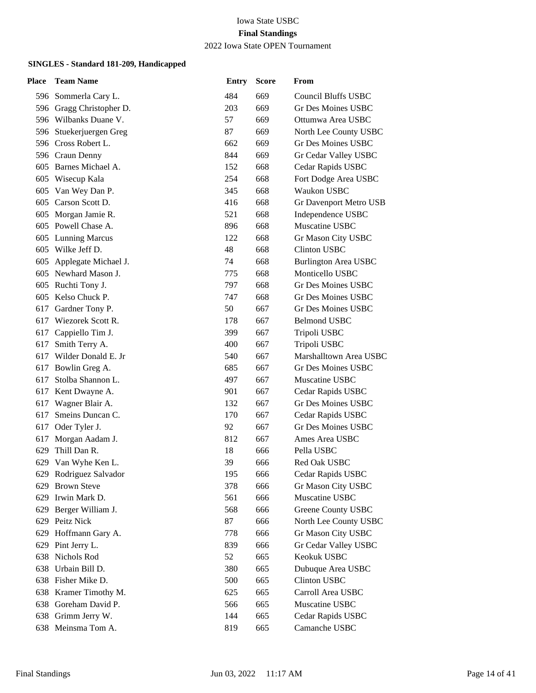### 2022 Iowa State OPEN Tournament

| Place | <b>Team Name</b>         | <b>Entry</b> | <b>Score</b> | From                        |
|-------|--------------------------|--------------|--------------|-----------------------------|
|       | 596 Sommerla Cary L.     | 484          | 669          | <b>Council Bluffs USBC</b>  |
|       | 596 Gragg Christopher D. | 203          | 669          | Gr Des Moines USBC          |
|       | 596 Wilbanks Duane V.    | 57           | 669          | Ottumwa Area USBC           |
|       | 596 Stuekerjuergen Greg  | 87           | 669          | North Lee County USBC       |
|       | 596 Cross Robert L.      | 662          | 669          | Gr Des Moines USBC          |
|       | 596 Craun Denny          | 844          | 669          | Gr Cedar Valley USBC        |
|       | 605 Barnes Michael A.    | 152          | 668          | Cedar Rapids USBC           |
|       | 605 Wisecup Kala         | 254          | 668          | Fort Dodge Area USBC        |
|       | 605 Van Wey Dan P.       | 345          | 668          | Waukon USBC                 |
|       | 605 Carson Scott D.      | 416          | 668          | Gr Davenport Metro USB      |
| 605   | Morgan Jamie R.          | 521          | 668          | Independence USBC           |
|       | 605 Powell Chase A.      | 896          | 668          | Muscatine USBC              |
|       | 605 Lunning Marcus       | 122          | 668          | Gr Mason City USBC          |
| 605   | Wilke Jeff D.            | 48           | 668          | <b>Clinton USBC</b>         |
| 605   | Applegate Michael J.     | 74           | 668          | <b>Burlington Area USBC</b> |
|       | 605 Newhard Mason J.     | 775          | 668          | Monticello USBC             |
|       | 605 Ruchti Tony J.       | 797          | 668          | Gr Des Moines USBC          |
| 605   | Kelso Chuck P.           | 747          | 668          | Gr Des Moines USBC          |
| 617   | Gardner Tony P.          | 50           | 667          | Gr Des Moines USBC          |
| 617   | Wiezorek Scott R.        | 178          | 667          | <b>Belmond USBC</b>         |
|       | 617 Cappiello Tim J.     | 399          | 667          | Tripoli USBC                |
| 617   | Smith Terry A.           | 400          | 667          | Tripoli USBC                |
| 617   | Wilder Donald E. Jr      | 540          | 667          | Marshalltown Area USBC      |
| 617   | Bowlin Greg A.           | 685          | 667          | <b>Gr Des Moines USBC</b>   |
| 617   | Stolba Shannon L.        | 497          | 667          | Muscatine USBC              |
| 617   | Kent Dwayne A.           | 901          | 667          | Cedar Rapids USBC           |
| 617   | Wagner Blair A.          | 132          | 667          | <b>Gr Des Moines USBC</b>   |
| 617   | Smeins Duncan C.         | 170          | 667          | Cedar Rapids USBC           |
|       | 617 Oder Tyler J.        | 92           | 667          | <b>Gr Des Moines USBC</b>   |
| 617   | Morgan Aadam J.          | 812          | 667          | Ames Area USBC              |
| 629   | Thill Dan R.             | 18           | 666          | Pella USBC                  |
| 629   | Van Wyhe Ken L.          | 39           | 666          | Red Oak USBC                |
|       | 629 Rodriguez Salvador   | 195          | 666          | Cedar Rapids USBC           |
| 629   | <b>Brown Steve</b>       | 378          | 666          | Gr Mason City USBC          |
| 629   | Irwin Mark D.            | 561          | 666          | Muscatine USBC              |
| 629   | Berger William J.        | 568          | 666          | Greene County USBC          |
|       | 629 Peitz Nick           | 87           | 666          | North Lee County USBC       |
| 629   | Hoffmann Gary A.         | 778          | 666          | Gr Mason City USBC          |
| 629   | Pint Jerry L.            | 839          | 666          | Gr Cedar Valley USBC        |
| 638   | Nichols Rod              | 52           | 665          | Keokuk USBC                 |
| 638   | Urbain Bill D.           | 380          | 665          | Dubuque Area USBC           |
| 638   | Fisher Mike D.           | 500          | 665          | <b>Clinton USBC</b>         |
| 638   | Kramer Timothy M.        | 625          | 665          | Carroll Area USBC           |
| 638   | Goreham David P.         | 566          | 665          | Muscatine USBC              |
|       | 638 Grimm Jerry W.       | 144          | 665          | Cedar Rapids USBC           |
|       | 638 Meinsma Tom A.       | 819          | 665          | Camanche USBC               |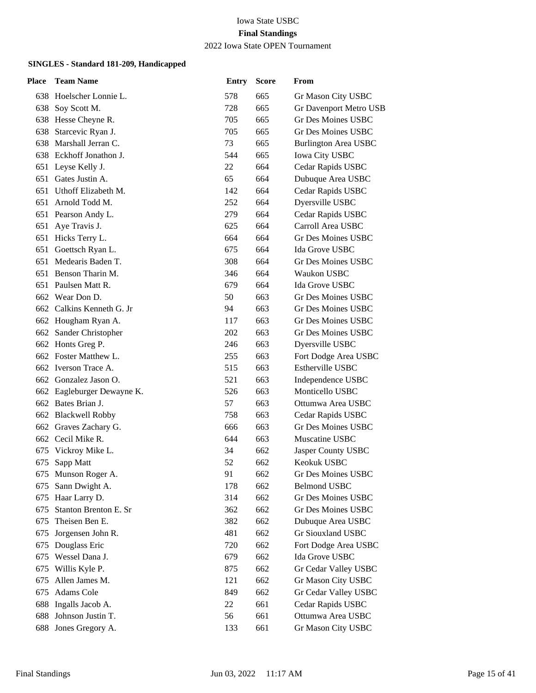#### Iowa State USBC **Final Standings** 2022 Iowa State OPEN Tournament

| Place | <b>Team Name</b>           | <b>Entry</b> | <b>Score</b> | From                        |
|-------|----------------------------|--------------|--------------|-----------------------------|
|       | 638 Hoelscher Lonnie L.    | 578          | 665          | Gr Mason City USBC          |
| 638   | Soy Scott M.               | 728          | 665          | Gr Davenport Metro USB      |
|       | 638 Hesse Cheyne R.        | 705          | 665          | <b>Gr Des Moines USBC</b>   |
| 638   | Starcevic Ryan J.          | 705          | 665          | <b>Gr Des Moines USBC</b>   |
|       | 638 Marshall Jerran C.     | 73           | 665          | <b>Burlington Area USBC</b> |
|       | 638 Eckhoff Jonathon J.    | 544          | 665          | <b>Iowa City USBC</b>       |
|       | 651 Leyse Kelly J.         | 22           | 664          | Cedar Rapids USBC           |
|       | 651 Gates Justin A.        | 65           | 664          | Dubuque Area USBC           |
|       | 651 Uthoff Elizabeth M.    | 142          | 664          | Cedar Rapids USBC           |
| 651   | Arnold Todd M.             | 252          | 664          | Dyersville USBC             |
|       | 651 Pearson Andy L.        | 279          | 664          | Cedar Rapids USBC           |
|       | 651 Aye Travis J.          | 625          | 664          | Carroll Area USBC           |
|       | 651 Hicks Terry L.         | 664          | 664          | Gr Des Moines USBC          |
|       | 651 Goettsch Ryan L.       | 675          | 664          | Ida Grove USBC              |
| 651   | Medearis Baden T.          | 308          | 664          | Gr Des Moines USBC          |
|       | 651 Benson Tharin M.       | 346          | 664          | Waukon USBC                 |
|       | 651 Paulsen Matt R.        | 679          | 664          | Ida Grove USBC              |
|       | 662 Wear Don D.            | 50           | 663          | <b>Gr Des Moines USBC</b>   |
|       | 662 Calkins Kenneth G. Jr  | 94           | 663          | Gr Des Moines USBC          |
|       | 662 Hougham Ryan A.        | 117          | 663          | <b>Gr Des Moines USBC</b>   |
|       | 662 Sander Christopher     | 202          | 663          | Gr Des Moines USBC          |
|       | 662 Honts Greg P.          | 246          | 663          | Dyersville USBC             |
|       | 662 Foster Matthew L.      | 255          | 663          | Fort Dodge Area USBC        |
|       | 662 Iverson Trace A.       | 515          | 663          | <b>Estherville USBC</b>     |
|       | 662 Gonzalez Jason O.      | 521          | 663          | Independence USBC           |
|       | 662 Eagleburger Dewayne K. | 526          | 663          | Monticello USBC             |
|       | 662 Bates Brian J.         | 57           | 663          | Ottumwa Area USBC           |
|       | 662 Blackwell Robby        | 758          | 663          | Cedar Rapids USBC           |
|       | 662 Graves Zachary G.      | 666          | 663          | Gr Des Moines USBC          |
|       | 662 Cecil Mike R.          | 644          | 663          | Muscatine USBC              |
| 675   | Vickroy Mike L.            | 34           | 662          | Jasper County USBC          |
| 675   | Sapp Matt                  | 52           | 662          | Keokuk USBC                 |
|       | 675 Munson Roger A.        | 91           | 662          | Gr Des Moines USBC          |
| 675   | Sann Dwight A.             | 178          | 662          | <b>Belmond USBC</b>         |
| 675   | Haar Larry D.              | 314          | 662          | Gr Des Moines USBC          |
| 675   | Stanton Brenton E. Sr      | 362          | 662          | <b>Gr Des Moines USBC</b>   |
| 675   | Theisen Ben E.             | 382          | 662          | Dubuque Area USBC           |
| 675   | Jorgensen John R.          | 481          | 662          | <b>Gr Siouxland USBC</b>    |
| 675   | Douglass Eric              | 720          | 662          | Fort Dodge Area USBC        |
| 675   | Wessel Dana J.             | 679          | 662          | Ida Grove USBC              |
| 675   | Willis Kyle P.             | 875          | 662          | Gr Cedar Valley USBC        |
| 675   | Allen James M.             | 121          | 662          | Gr Mason City USBC          |
| 675   | Adams Cole                 | 849          | 662          | Gr Cedar Valley USBC        |
| 688   | Ingalls Jacob A.           | 22           | 661          | Cedar Rapids USBC           |
| 688   | Johnson Justin T.          | 56           | 661          | Ottumwa Area USBC           |
| 688   | Jones Gregory A.           | 133          | 661          | Gr Mason City USBC          |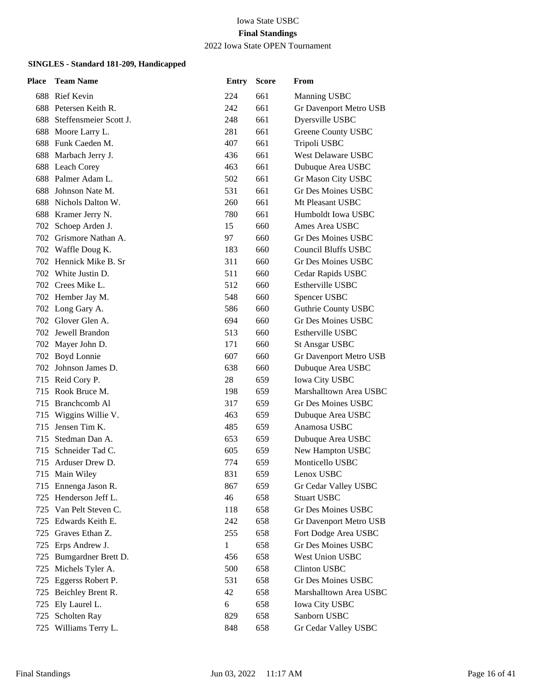2022 Iowa State OPEN Tournament

| <b>Place</b> | <b>Team Name</b>           | <b>Entry</b> | <b>Score</b> | From                       |
|--------------|----------------------------|--------------|--------------|----------------------------|
|              | 688 Rief Kevin             | 224          | 661          | Manning USBC               |
|              | 688 Petersen Keith R.      | 242          | 661          | Gr Davenport Metro USB     |
|              | 688 Steffensmeier Scott J. | 248          | 661          | Dyersville USBC            |
|              | 688 Moore Larry L.         | 281          | 661          | <b>Greene County USBC</b>  |
|              | 688 Funk Caeden M.         | 407          | 661          | Tripoli USBC               |
|              | 688 Marbach Jerry J.       | 436          | 661          | West Delaware USBC         |
|              | 688 Leach Corey            | 463          | 661          | Dubuque Area USBC          |
|              | 688 Palmer Adam L.         | 502          | 661          | Gr Mason City USBC         |
|              | 688 Johnson Nate M.        | 531          | 661          | <b>Gr Des Moines USBC</b>  |
|              | 688 Nichols Dalton W.      | 260          | 661          | Mt Pleasant USBC           |
|              | 688 Kramer Jerry N.        | 780          | 661          | Humboldt Iowa USBC         |
| 702          | Schoep Arden J.            | 15           | 660          | Ames Area USBC             |
|              | 702 Grismore Nathan A.     | 97           | 660          | Gr Des Moines USBC         |
|              | 702 Waffle Doug K.         | 183          | 660          | <b>Council Bluffs USBC</b> |
|              | 702 Hennick Mike B. Sr     | 311          | 660          | <b>Gr Des Moines USBC</b>  |
|              | 702 White Justin D.        | 511          | 660          | Cedar Rapids USBC          |
|              | 702 Crees Mike L.          | 512          | 660          | Estherville USBC           |
|              | 702 Hember Jay M.          | 548          | 660          | Spencer USBC               |
|              | 702 Long Gary A.           | 586          | 660          | <b>Guthrie County USBC</b> |
|              | 702 Glover Glen A.         | 694          | 660          | <b>Gr Des Moines USBC</b>  |
|              | 702 Jewell Brandon         | 513          | 660          | Estherville USBC           |
|              | 702 Mayer John D.          | 171          | 660          | <b>St Ansgar USBC</b>      |
|              | 702 Boyd Lonnie            | 607          | 660          | Gr Davenport Metro USB     |
|              | 702 Johnson James D.       | 638          | 660          | Dubuque Area USBC          |
|              | 715 Reid Cory P.           | 28           | 659          | Iowa City USBC             |
| 715          | Rook Bruce M.              | 198          | 659          | Marshalltown Area USBC     |
| 715          | Branchcomb Al              | 317          | 659          | Gr Des Moines USBC         |
| 715          | Wiggins Willie V.          | 463          | 659          | Dubuque Area USBC          |
| 715          | Jensen Tim K.              | 485          | 659          | Anamosa USBC               |
| 715          | Stedman Dan A.             | 653          | 659          | Dubuque Area USBC          |
| 715          | Schneider Tad C.           | 605          | 659          | New Hampton USBC           |
| 715          | Arduser Drew D.            | 774          | 659          | Monticello USBC            |
|              | 715 Main Wiley             | 831          | 659          | Lenox USBC                 |
| 715          | Ennenga Jason R.           | 867          | 659          | Gr Cedar Valley USBC       |
| 725          | Henderson Jeff L.          | 46           | 658          | <b>Stuart USBC</b>         |
|              | 725 Van Pelt Steven C.     | 118          | 658          | <b>Gr Des Moines USBC</b>  |
|              | 725 Edwards Keith E.       | 242          | 658          | Gr Davenport Metro USB     |
|              | 725 Graves Ethan Z.        | 255          | 658          | Fort Dodge Area USBC       |
|              | 725 Erps Andrew J.         | 1            | 658          | <b>Gr Des Moines USBC</b>  |
| 725          | Bumgardner Brett D.        | 456          | 658          | West Union USBC            |
| 725          | Michels Tyler A.           | 500          | 658          | <b>Clinton USBC</b>        |
| 725          | Eggerss Robert P.          | 531          | 658          | Gr Des Moines USBC         |
| 725          | Beichley Brent R.          | 42           | 658          | Marshalltown Area USBC     |
| 725          | Ely Laurel L.              | 6            | 658          | <b>Iowa City USBC</b>      |
|              | 725 Scholten Ray           | 829          | 658          | Sanborn USBC               |
| 725          | Williams Terry L.          | 848          | 658          | Gr Cedar Valley USBC       |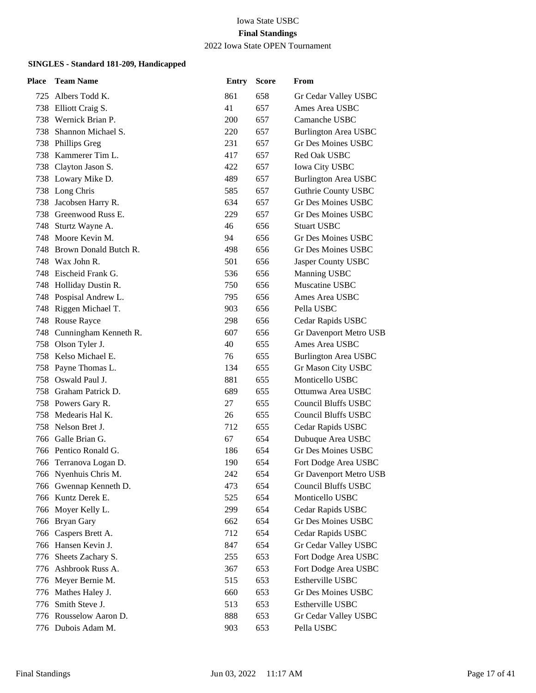2022 Iowa State OPEN Tournament

| Place | <b>Team Name</b>          | <b>Entry</b> | <b>Score</b> | From                        |
|-------|---------------------------|--------------|--------------|-----------------------------|
| 725   | Albers Todd K.            | 861          | 658          | Gr Cedar Valley USBC        |
|       | 738 Elliott Craig S.      | 41           | 657          | Ames Area USBC              |
| 738   | Wernick Brian P.          | 200          | 657          | Camanche USBC               |
| 738   | Shannon Michael S.        | 220          | 657          | <b>Burlington Area USBC</b> |
| 738   | <b>Phillips Greg</b>      | 231          | 657          | <b>Gr Des Moines USBC</b>   |
| 738   | Kammerer Tim L.           | 417          | 657          | Red Oak USBC                |
| 738   | Clayton Jason S.          | 422          | 657          | <b>Iowa City USBC</b>       |
|       | 738 Lowary Mike D.        | 489          | 657          | <b>Burlington Area USBC</b> |
|       | 738 Long Chris            | 585          | 657          | <b>Guthrie County USBC</b>  |
| 738   | Jacobsen Harry R.         | 634          | 657          | <b>Gr Des Moines USBC</b>   |
| 738   | Greenwood Russ E.         | 229          | 657          | Gr Des Moines USBC          |
| 748   | Sturtz Wayne A.           | 46           | 656          | <b>Stuart USBC</b>          |
|       | 748 Moore Kevin M.        | 94           | 656          | Gr Des Moines USBC          |
| 748   | Brown Donald Butch R.     | 498          | 656          | <b>Gr Des Moines USBC</b>   |
| 748   | Wax John R.               | 501          | 656          | Jasper County USBC          |
|       | 748 Eischeid Frank G.     | 536          | 656          | Manning USBC                |
|       | 748 Holliday Dustin R.    | 750          | 656          | Muscatine USBC              |
|       | 748 Pospisal Andrew L.    | 795          | 656          | Ames Area USBC              |
|       | 748 Riggen Michael T.     | 903          | 656          | Pella USBC                  |
|       | 748 Rouse Rayce           | 298          | 656          | Cedar Rapids USBC           |
|       | 748 Cunningham Kenneth R. | 607          | 656          | Gr Davenport Metro USB      |
| 758   | Olson Tyler J.            | 40           | 655          | Ames Area USBC              |
|       | 758 Kelso Michael E.      | 76           | 655          | <b>Burlington Area USBC</b> |
|       | 758 Payne Thomas L.       | 134          | 655          | Gr Mason City USBC          |
|       | 758 Oswald Paul J.        | 881          | 655          | Monticello USBC             |
|       | 758 Graham Patrick D.     | 689          | 655          | Ottumwa Area USBC           |
|       | 758 Powers Gary R.        | 27           | 655          | <b>Council Bluffs USBC</b>  |
| 758   | Medearis Hal K.           | 26           | 655          | Council Bluffs USBC         |
| 758   | Nelson Bret J.            | 712          | 655          | Cedar Rapids USBC           |
|       | 766 Galle Brian G.        | 67           | 654          | Dubuque Area USBC           |
|       | 766 Pentico Ronald G.     | 186          | 654          | Gr Des Moines USBC          |
|       | 766 Terranova Logan D.    | 190          | 654          | Fort Dodge Area USBC        |
|       | 766 Nyenhuis Chris M.     | 242          | 654          | Gr Davenport Metro USB      |
|       | 766 Gwennap Kenneth D.    | 473          | 654          | Council Bluffs USBC         |
|       | 766 Kuntz Derek E.        | 525          | 654          | Monticello USBC             |
|       | 766 Moyer Kelly L.        | 299          | 654          | Cedar Rapids USBC           |
|       | 766 Bryan Gary            | 662          | 654          | Gr Des Moines USBC          |
|       | 766 Caspers Brett A.      | 712          | 654          | Cedar Rapids USBC           |
|       | 766 Hansen Kevin J.       | 847          | 654          | Gr Cedar Valley USBC        |
| 776   | Sheets Zachary S.         | 255          | 653          | Fort Dodge Area USBC        |
|       | 776 Ashbrook Russ A.      | 367          | 653          | Fort Dodge Area USBC        |
| 776   | Meyer Bernie M.           | 515          | 653          | Estherville USBC            |
| 776   | Mathes Haley J.           | 660          | 653          | Gr Des Moines USBC          |
| 776   | Smith Steve J.            | 513          | 653          | Estherville USBC            |
|       | 776 Rousselow Aaron D.    | 888          | 653          | Gr Cedar Valley USBC        |
|       | 776 Dubois Adam M.        | 903          | 653          | Pella USBC                  |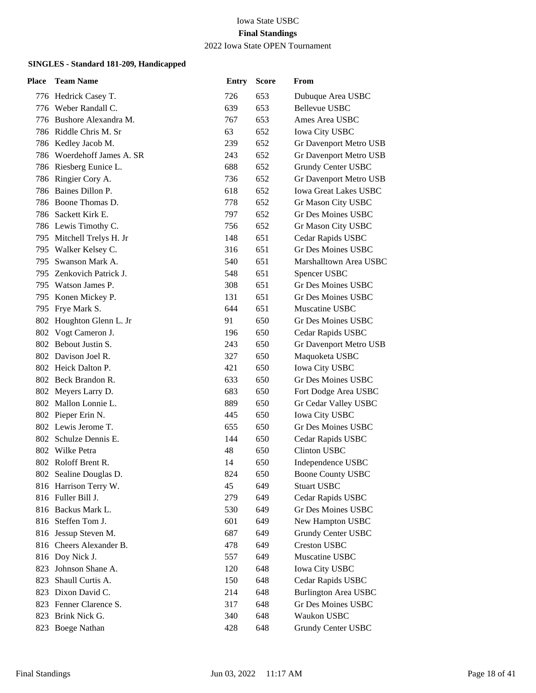### 2022 Iowa State OPEN Tournament

| Place | <b>Team Name</b>           | <b>Entry</b> | <b>Score</b> | From                         |
|-------|----------------------------|--------------|--------------|------------------------------|
|       | 776 Hedrick Casey T.       | 726          | 653          | Dubuque Area USBC            |
|       | 776 Weber Randall C.       | 639          | 653          | Bellevue USBC                |
|       | 776 Bushore Alexandra M.   | 767          | 653          | Ames Area USBC               |
|       | 786 Riddle Chris M. Sr     | 63           | 652          | <b>Iowa City USBC</b>        |
|       | 786 Kedley Jacob M.        | 239          | 652          | Gr Davenport Metro USB       |
|       | 786 Woerdehoff James A. SR | 243          | 652          | Gr Davenport Metro USB       |
|       | 786 Riesberg Eunice L.     | 688          | 652          | Grundy Center USBC           |
|       | 786 Ringier Cory A.        | 736          | 652          | Gr Davenport Metro USB       |
|       | 786 Baines Dillon P.       | 618          | 652          | <b>Iowa Great Lakes USBC</b> |
|       | 786 Boone Thomas D.        | 778          | 652          | Gr Mason City USBC           |
|       | 786 Sackett Kirk E.        | 797          | 652          | Gr Des Moines USBC           |
|       | 786 Lewis Timothy C.       | 756          | 652          | Gr Mason City USBC           |
|       | 795 Mitchell Trelys H. Jr  | 148          | 651          | Cedar Rapids USBC            |
|       | 795 Walker Kelsey C.       | 316          | 651          | Gr Des Moines USBC           |
|       | 795 Swanson Mark A.        | 540          | 651          | Marshalltown Area USBC       |
|       | 795 Zenkovich Patrick J.   | 548          | 651          | Spencer USBC                 |
|       | 795 Watson James P.        | 308          | 651          | Gr Des Moines USBC           |
|       | 795 Konen Mickey P.        | 131          | 651          | Gr Des Moines USBC           |
|       | 795 Frye Mark S.           | 644          | 651          | Muscatine USBC               |
|       | 802 Houghton Glenn L. Jr   | 91           | 650          | <b>Gr Des Moines USBC</b>    |
|       | 802 Vogt Cameron J.        | 196          | 650          | Cedar Rapids USBC            |
|       | 802 Bebout Justin S.       | 243          | 650          | Gr Davenport Metro USB       |
|       | 802 Davison Joel R.        | 327          | 650          | Maquoketa USBC               |
|       | 802 Heick Dalton P.        | 421          | 650          | Iowa City USBC               |
|       | 802 Beck Brandon R.        | 633          | 650          | Gr Des Moines USBC           |
|       | 802 Meyers Larry D.        | 683          | 650          | Fort Dodge Area USBC         |
|       | 802 Mallon Lonnie L.       | 889          | 650          | Gr Cedar Valley USBC         |
|       | 802 Pieper Erin N.         | 445          | 650          | <b>Iowa City USBC</b>        |
|       | 802 Lewis Jerome T.        | 655          | 650          | <b>Gr Des Moines USBC</b>    |
|       | 802 Schulze Dennis E.      | 144          | 650          | Cedar Rapids USBC            |
|       | 802 Wilke Petra            | 48           | 650          | <b>Clinton USBC</b>          |
|       | 802 Roloff Brent R.        | 14           | 650          | Independence USBC            |
|       | 802 Sealine Douglas D.     | 824          | 650          | <b>Boone County USBC</b>     |
|       | 816 Harrison Terry W.      | 45           | 649          | <b>Stuart USBC</b>           |
|       | 816 Fuller Bill J.         | 279          | 649          | Cedar Rapids USBC            |
|       | 816 Backus Mark L.         | 530          | 649          | <b>Gr Des Moines USBC</b>    |
|       | 816 Steffen Tom J.         | 601          | 649          | New Hampton USBC             |
|       | 816 Jessup Steven M.       | 687          | 649          | Grundy Center USBC           |
|       | 816 Cheers Alexander B.    | 478          | 649          | <b>Creston USBC</b>          |
|       | 816 Doy Nick J.            | 557          | 649          | Muscatine USBC               |
| 823   | Johnson Shane A.           | 120          | 648          | <b>Iowa City USBC</b>        |
| 823   | Shaull Curtis A.           | 150          | 648          | Cedar Rapids USBC            |
| 823   | Dixon David C.             | 214          | 648          | <b>Burlington Area USBC</b>  |
|       | 823 Fenner Clarence S.     | 317          | 648          | Gr Des Moines USBC           |
|       | 823 Brink Nick G.          | 340          | 648          | Waukon USBC                  |
|       | 823 Boege Nathan           | 428          | 648          | Grundy Center USBC           |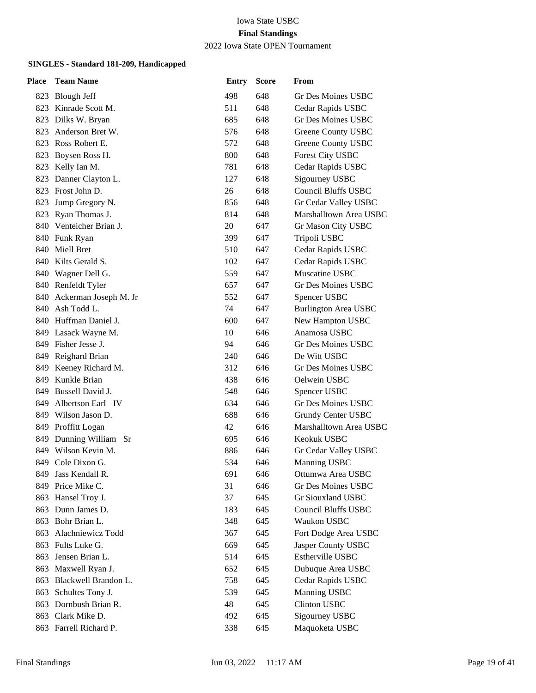2022 Iowa State OPEN Tournament

| Place | <b>Team Name</b>          | <b>Entry</b> | <b>Score</b> | From                        |
|-------|---------------------------|--------------|--------------|-----------------------------|
|       | 823 Blough Jeff           | 498          | 648          | Gr Des Moines USBC          |
|       | 823 Kinrade Scott M.      | 511          | 648          | Cedar Rapids USBC           |
| 823   | Dilks W. Bryan            | 685          | 648          | Gr Des Moines USBC          |
| 823   | Anderson Bret W.          | 576          | 648          | Greene County USBC          |
|       | 823 Ross Robert E.        | 572          | 648          | Greene County USBC          |
| 823   | Boysen Ross H.            | 800          | 648          | Forest City USBC            |
| 823   | Kelly Ian M.              | 781          | 648          | Cedar Rapids USBC           |
| 823   | Danner Clayton L.         | 127          | 648          | Sigourney USBC              |
|       | 823 Frost John D.         | 26           | 648          | <b>Council Bluffs USBC</b>  |
| 823   | Jump Gregory N.           | 856          | 648          | Gr Cedar Valley USBC        |
| 823   | Ryan Thomas J.            | 814          | 648          | Marshalltown Area USBC      |
|       | 840 Venteicher Brian J.   | 20           | 647          | Gr Mason City USBC          |
|       | 840 Funk Ryan             | 399          | 647          | Tripoli USBC                |
|       | 840 Miell Bret            | 510          | 647          | Cedar Rapids USBC           |
|       | 840 Kilts Gerald S.       | 102          | 647          | Cedar Rapids USBC           |
|       | 840 Wagner Dell G.        | 559          | 647          | Muscatine USBC              |
|       | 840 Renfeldt Tyler        | 657          | 647          | Gr Des Moines USBC          |
|       | 840 Ackerman Joseph M. Jr | 552          | 647          | Spencer USBC                |
| 840   | Ash Todd L.               | 74           | 647          | <b>Burlington Area USBC</b> |
|       | 840 Huffman Daniel J.     | 600          | 647          | New Hampton USBC            |
|       | 849 Lasack Wayne M.       | 10           | 646          | Anamosa USBC                |
|       | 849 Fisher Jesse J.       | 94           | 646          | <b>Gr Des Moines USBC</b>   |
|       | 849 Reighard Brian        | 240          | 646          | De Witt USBC                |
|       | 849 Keeney Richard M.     | 312          | 646          | Gr Des Moines USBC          |
|       | 849 Kunkle Brian          | 438          | 646          | Oelwein USBC                |
|       | 849 Bussell David J.      | 548          | 646          | Spencer USBC                |
| 849   | Albertson Earl IV         | 634          | 646          | Gr Des Moines USBC          |
|       | 849 Wilson Jason D.       | 688          | 646          | Grundy Center USBC          |
|       | 849 Proffitt Logan        | 42           | 646          | Marshalltown Area USBC      |
| 849   | Dunning William Sr        | 695          | 646          | Keokuk USBC                 |
| 849   | Wilson Kevin M.           | 886          | 646          | Gr Cedar Valley USBC        |
| 849   | Cole Dixon G.             | 534          | 646          | Manning USBC                |
| 849.  | Jass Kendall R.           | 691          | 646          | Ottumwa Area USBC           |
| 849   | Price Mike C.             | 31           | 646          | <b>Gr Des Moines USBC</b>   |
| 863   | Hansel Troy J.            | 37           | 645          | Gr Siouxland USBC           |
| 863   | Dunn James D.             | 183          | 645          | <b>Council Bluffs USBC</b>  |
|       | 863 Bohr Brian L.         | 348          | 645          | Waukon USBC                 |
| 863   | Alachniewicz Todd         | 367          | 645          | Fort Dodge Area USBC        |
| 863   | Fults Luke G.             | 669          | 645          | Jasper County USBC          |
| 863   | Jensen Brian L.           | 514          | 645          | Estherville USBC            |
| 863   | Maxwell Ryan J.           | 652          | 645          | Dubuque Area USBC           |
| 863   | Blackwell Brandon L.      | 758          | 645          | Cedar Rapids USBC           |
| 863   | Schultes Tony J.          | 539          | 645          | Manning USBC                |
| 863   | Dornbush Brian R.         | 48           | 645          | <b>Clinton USBC</b>         |
|       | 863 Clark Mike D.         | 492          | 645          | Sigourney USBC              |
|       | 863 Farrell Richard P.    | 338          | 645          | Maquoketa USBC              |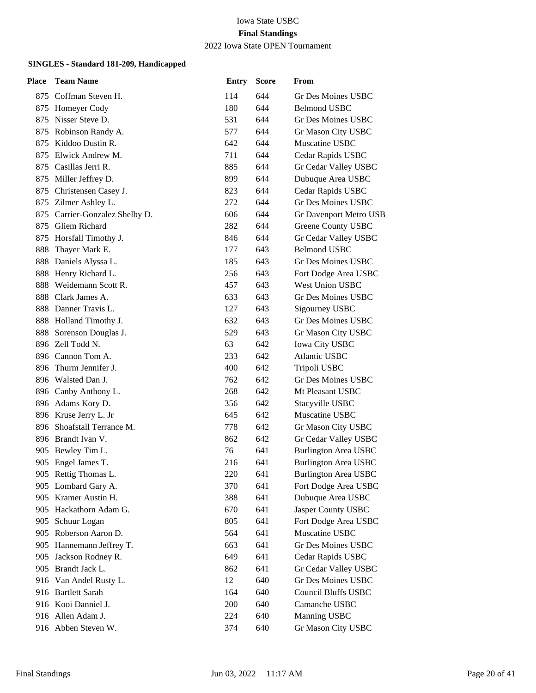### 2022 Iowa State OPEN Tournament

| Place | <b>Team Name</b>           | <b>Entry</b> | <b>Score</b> | From                        |
|-------|----------------------------|--------------|--------------|-----------------------------|
|       | 875 Coffman Steven H.      | 114          | 644          | Gr Des Moines USBC          |
|       | 875 Homeyer Cody           | 180          | 644          | <b>Belmond USBC</b>         |
| 875   | Nisser Steve D.            | 531          | 644          | Gr Des Moines USBC          |
|       | 875 Robinson Randy A.      | 577          | 644          | Gr Mason City USBC          |
| 875   | Kiddoo Dustin R.           | 642          | 644          | Muscatine USBC              |
| 875   | Elwick Andrew M.           | 711          | 644          | Cedar Rapids USBC           |
| 875   | Casillas Jerri R.          | 885          | 644          | Gr Cedar Valley USBC        |
|       | 875 Miller Jeffrey D.      | 899          | 644          | Dubuque Area USBC           |
|       | 875 Christensen Casey J.   | 823          | 644          | Cedar Rapids USBC           |
|       | 875 Zilmer Ashley L.       | 272          | 644          | Gr Des Moines USBC          |
| 875   | Carrier-Gonzalez Shelby D. | 606          | 644          | Gr Davenport Metro USB      |
|       | 875 Gliem Richard          | 282          | 644          | Greene County USBC          |
|       | 875 Horsfall Timothy J.    | 846          | 644          | Gr Cedar Valley USBC        |
| 888   | Thayer Mark E.             | 177          | 643          | <b>Belmond USBC</b>         |
| 888   | Daniels Alyssa L.          | 185          | 643          | Gr Des Moines USBC          |
|       | 888 Henry Richard L.       | 256          | 643          | Fort Dodge Area USBC        |
|       | 888 Weidemann Scott R.     | 457          | 643          | West Union USBC             |
|       | 888 Clark James A.         | 633          | 643          | Gr Des Moines USBC          |
|       | 888 Danner Travis L.       | 127          | 643          | Sigourney USBC              |
|       | 888 Holland Timothy J.     | 632          | 643          | Gr Des Moines USBC          |
|       | 888 Sorenson Douglas J.    | 529          | 643          | Gr Mason City USBC          |
|       | 896 Zell Todd N.           | 63           | 642          | <b>Iowa City USBC</b>       |
|       | 896 Cannon Tom A.          | 233          | 642          | <b>Atlantic USBC</b>        |
|       | 896 Thurm Jennifer J.      | 400          | 642          | Tripoli USBC                |
|       | 896 Walsted Dan J.         | 762          | 642          | Gr Des Moines USBC          |
|       | 896 Canby Anthony L.       | 268          | 642          | Mt Pleasant USBC            |
|       | 896 Adams Kory D.          | 356          | 642          | Stacyville USBC             |
|       | 896 Kruse Jerry L. Jr      | 645          | 642          | Muscatine USBC              |
|       | 896 Shoafstall Terrance M. | 778          | 642          | Gr Mason City USBC          |
|       | 896 Brandt Ivan V.         | 862          | 642          | Gr Cedar Valley USBC        |
| 905   | Bewley Tim L.              | 76           | 641          | <b>Burlington Area USBC</b> |
|       | 905 Engel James T.         | 216          | 641          | <b>Burlington Area USBC</b> |
|       | 905 Rettig Thomas L.       | 220          | 641          | <b>Burlington Area USBC</b> |
| 905   | Lombard Gary A.            | 370          | 641          | Fort Dodge Area USBC        |
| 905   | Kramer Austin H.           | 388          | 641          | Dubuque Area USBC           |
|       | 905 Hackathorn Adam G.     | 670          | 641          | Jasper County USBC          |
|       | 905 Schuur Logan           | 805          | 641          | Fort Dodge Area USBC        |
|       | 905 Roberson Aaron D.      | 564          | 641          | Muscatine USBC              |
| 905   | Hannemann Jeffrey T.       | 663          | 641          | Gr Des Moines USBC          |
| 905   | Jackson Rodney R.          | 649          | 641          | Cedar Rapids USBC           |
| 905   | Brandt Jack L.             | 862          | 641          | Gr Cedar Valley USBC        |
|       | 916 Van Andel Rusty L.     | 12           | 640          | <b>Gr Des Moines USBC</b>   |
|       | 916 Bartlett Sarah         | 164          | 640          | <b>Council Bluffs USBC</b>  |
|       | 916 Kooi Danniel J.        | 200          | 640          | Camanche USBC               |
|       | 916 Allen Adam J.          | 224          | 640          | Manning USBC                |
|       | 916 Abben Steven W.        | 374          | 640          | Gr Mason City USBC          |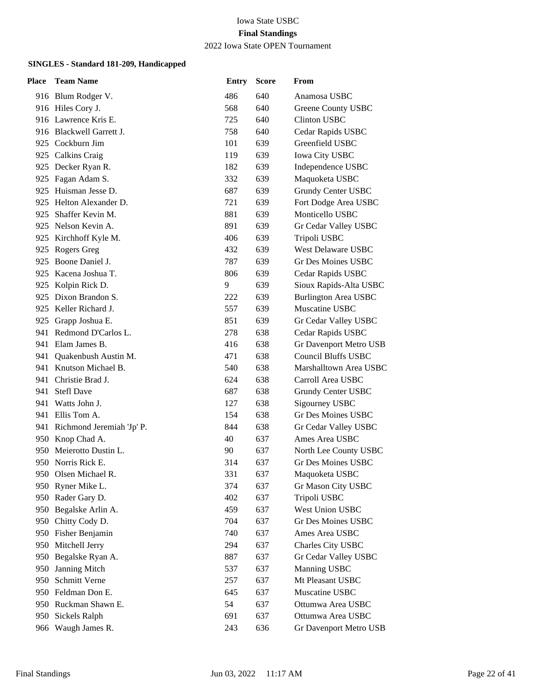2022 Iowa State OPEN Tournament

| Place | <b>Team Name</b>              | <b>Entry</b> | <b>Score</b> | From                        |
|-------|-------------------------------|--------------|--------------|-----------------------------|
|       | 916 Blum Rodger V.            | 486          | 640          | Anamosa USBC                |
|       | 916 Hiles Cory J.             | 568          | 640          | Greene County USBC          |
|       | 916 Lawrence Kris E.          | 725          | 640          | <b>Clinton USBC</b>         |
|       | 916 Blackwell Garrett J.      | 758          | 640          | Cedar Rapids USBC           |
|       | 925 Cockburn Jim              | 101          | 639          | Greenfield USBC             |
|       | 925 Calkins Craig             | 119          | 639          | <b>Iowa City USBC</b>       |
|       | 925 Decker Ryan R.            | 182          | 639          | Independence USBC           |
|       | 925 Fagan Adam S.             | 332          | 639          | Maquoketa USBC              |
|       | 925 Huisman Jesse D.          | 687          | 639          | Grundy Center USBC          |
|       | 925 Helton Alexander D.       | 721          | 639          | Fort Dodge Area USBC        |
| 925   | Shaffer Kevin M.              | 881          | 639          | Monticello USBC             |
|       | 925 Nelson Kevin A.           | 891          | 639          | Gr Cedar Valley USBC        |
|       | 925 Kirchhoff Kyle M.         | 406          | 639          | Tripoli USBC                |
| 925   | Rogers Greg                   | 432          | 639          | West Delaware USBC          |
| 925   | Boone Daniel J.               | 787          | 639          | <b>Gr Des Moines USBC</b>   |
|       | 925 Kacena Joshua T.          | 806          | 639          | Cedar Rapids USBC           |
|       | 925 Kolpin Rick D.            | 9            | 639          | Sioux Rapids-Alta USBC      |
|       | 925 Dixon Brandon S.          | 222          | 639          | <b>Burlington Area USBC</b> |
|       | 925 Keller Richard J.         | 557          | 639          | Muscatine USBC              |
|       | 925 Grapp Joshua E.           | 851          | 639          | Gr Cedar Valley USBC        |
|       | 941 Redmond D'Carlos L.       | 278          | 638          | Cedar Rapids USBC           |
| 941   | Elam James B.                 | 416          | 638          | Gr Davenport Metro USB      |
| 941   | Quakenbush Austin M.          | 471          | 638          | <b>Council Bluffs USBC</b>  |
|       | 941 Knutson Michael B.        | 540          | 638          | Marshalltown Area USBC      |
|       | 941 Christie Brad J.          | 624          | 638          | Carroll Area USBC           |
| 941   | <b>Stefl Dave</b>             | 687          | 638          | Grundy Center USBC          |
| 941   | Watts John J.                 | 127          | 638          | Sigourney USBC              |
|       | 941 Ellis Tom A.              | 154          | 638          | Gr Des Moines USBC          |
|       | 941 Richmond Jeremiah 'Jp' P. | 844          | 638          | Gr Cedar Valley USBC        |
|       | 950 Knop Chad A.              | 40           | 637          | Ames Area USBC              |
| 950.  | Meierotto Dustin L.           | 90           | 637          | North Lee County USBC       |
|       | 950 Norris Rick E.            | 314          | 637          | <b>Gr Des Moines USBC</b>   |
|       | 950 Olsen Michael R.          | 331          | 637          | Maquoketa USBC              |
|       | 950 Ryner Mike L.             | 374          | 637          | Gr Mason City USBC          |
|       | 950 Rader Gary D.             | 402          | 637          | Tripoli USBC                |
|       | 950 Begalske Arlin A.         | 459          | 637          | West Union USBC             |
|       | 950 Chitty Cody D.            | 704          | 637          | Gr Des Moines USBC          |
|       | 950 Fisher Benjamin           | 740          | 637          | Ames Area USBC              |
| 950   | Mitchell Jerry                | 294          | 637          | Charles City USBC           |
| 950   | Begalske Ryan A.              | 887          | 637          | Gr Cedar Valley USBC        |
| 950   | Janning Mitch                 | 537          | 637          | Manning USBC                |
| 950   | Schmitt Verne                 | 257          | 637          | Mt Pleasant USBC            |
|       | 950 Feldman Don E.            | 645          | 637          | Muscatine USBC              |
|       | 950 Ruckman Shawn E.          | 54           | 637          | Ottumwa Area USBC           |
| 950   | Sickels Ralph                 | 691          | 637          | Ottumwa Area USBC           |
| 966   | Waugh James R.                | 243          | 636          | Gr Davenport Metro USB      |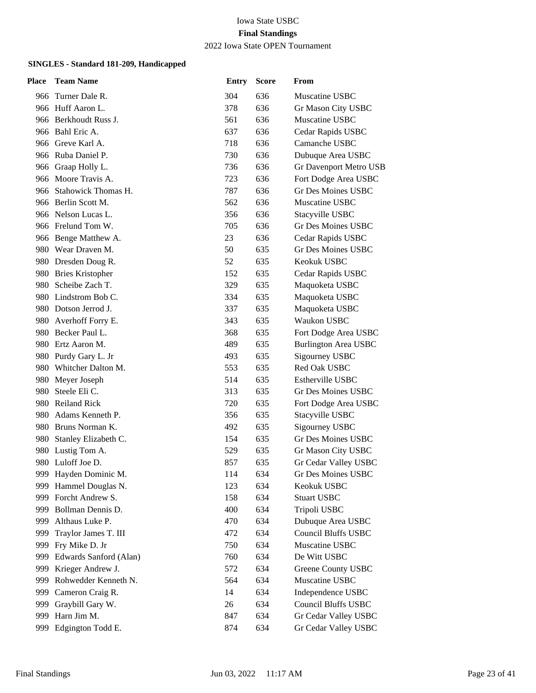2022 Iowa State OPEN Tournament

| <b>Place</b> | <b>Team Name</b>         | <b>Entry</b> | <b>Score</b> | From                        |
|--------------|--------------------------|--------------|--------------|-----------------------------|
|              | 966 Turner Dale R.       | 304          | 636          | Muscatine USBC              |
|              | 966 Huff Aaron L.        | 378          | 636          | Gr Mason City USBC          |
|              | 966 Berkhoudt Russ J.    | 561          | 636          | Muscatine USBC              |
|              | 966 Bahl Eric A.         | 637          | 636          | Cedar Rapids USBC           |
|              | 966 Greve Karl A.        | 718          | 636          | Camanche USBC               |
|              | 966 Ruba Daniel P.       | 730          | 636          | Dubuque Area USBC           |
|              | 966 Graap Holly L.       | 736          | 636          | Gr Davenport Metro USB      |
|              | 966 Moore Travis A.      | 723          | 636          | Fort Dodge Area USBC        |
|              | 966 Stahowick Thomas H.  | 787          | 636          | <b>Gr Des Moines USBC</b>   |
|              | 966 Berlin Scott M.      | 562          | 636          | Muscatine USBC              |
|              | 966 Nelson Lucas L.      | 356          | 636          | Stacyville USBC             |
|              | 966 Frelund Tom W.       | 705          | 636          | <b>Gr Des Moines USBC</b>   |
|              | 966 Benge Matthew A.     | 23           | 636          | Cedar Rapids USBC           |
|              | 980 Wear Draven M.       | 50           | 635          | Gr Des Moines USBC          |
|              | 980 Dresden Doug R.      | 52           | 635          | Keokuk USBC                 |
|              | 980 Bries Kristopher     | 152          | 635          | Cedar Rapids USBC           |
|              | 980 Scheibe Zach T.      | 329          | 635          | Maquoketa USBC              |
|              | 980 Lindstrom Bob C.     | 334          | 635          | Maquoketa USBC              |
|              | 980 Dotson Jerrod J.     | 337          | 635          | Maquoketa USBC              |
| 980-         | Averhoff Forry E.        | 343          | 635          | Waukon USBC                 |
|              | 980 Becker Paul L.       | 368          | 635          | Fort Dodge Area USBC        |
|              | 980 Ertz Aaron M.        | 489          | 635          | <b>Burlington Area USBC</b> |
|              | 980 Purdy Gary L. Jr     | 493          | 635          | Sigourney USBC              |
|              | 980 Whitcher Dalton M.   | 553          | 635          | Red Oak USBC                |
|              | 980 Meyer Joseph         | 514          | 635          | <b>Estherville USBC</b>     |
| 980          | Steele Eli C.            | 313          | 635          | Gr Des Moines USBC          |
|              | 980 Reiland Rick         | 720          | 635          | Fort Dodge Area USBC        |
| 980.         | Adams Kenneth P.         | 356          | 635          | Stacyville USBC             |
|              | 980 Bruns Norman K.      | 492          | 635          | Sigourney USBC              |
|              | 980 Stanley Elizabeth C. | 154          | 635          | Gr Des Moines USBC          |
|              | 980 Lustig Tom A.        | 529          | 635          | Gr Mason City USBC          |
|              | 980 Luloff Joe D.        | 857          | 635          | Gr Cedar Valley USBC        |
|              | 999 Hayden Dominic M.    | 114          | 634          | Gr Des Moines USBC          |
| 999          | Hammel Douglas N.        | 123          | 634          | Keokuk USBC                 |
| 999          | Forcht Andrew S.         | 158          | 634          | <b>Stuart USBC</b>          |
| 999          | Bollman Dennis D.        | 400          | 634          | Tripoli USBC                |
| 999          | Althaus Luke P.          | 470          | 634          | Dubuque Area USBC           |
| 999          | Traylor James T. III     | 472          | 634          | <b>Council Bluffs USBC</b>  |
| 999          | Fry Mike D. Jr           | 750          | 634          | Muscatine USBC              |
| 999          | Edwards Sanford (Alan)   | 760          | 634          | De Witt USBC                |
| 999          | Krieger Andrew J.        | 572          | 634          | <b>Greene County USBC</b>   |
| 999          | Rohwedder Kenneth N.     | 564          | 634          | Muscatine USBC              |
| 999          | Cameron Craig R.         | 14           | 634          | Independence USBC           |
| 999          | Graybill Gary W.         | 26           | 634          | Council Bluffs USBC         |
| 999          | Harn Jim M.              | 847          | 634          | Gr Cedar Valley USBC        |
| 999          | Edgington Todd E.        | 874          | 634          | Gr Cedar Valley USBC        |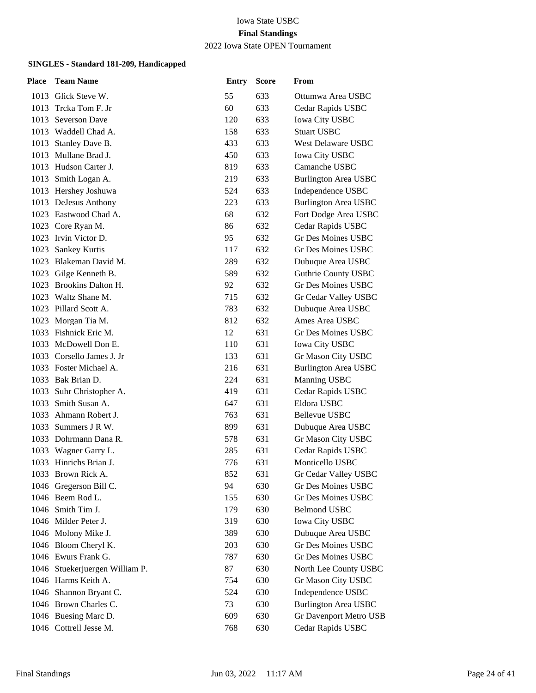#### 2022 Iowa State OPEN Tournament

| Place | <b>Team Name</b>               | <b>Entry</b> | <b>Score</b> | From                        |
|-------|--------------------------------|--------------|--------------|-----------------------------|
| 1013  | Glick Steve W.                 | 55           | 633          | Ottumwa Area USBC           |
| 1013  | Trcka Tom F. Jr                | 60           | 633          | Cedar Rapids USBC           |
| 1013  | <b>Severson Dave</b>           | 120          | 633          | <b>Iowa City USBC</b>       |
|       | 1013 Waddell Chad A.           | 158          | 633          | <b>Stuart USBC</b>          |
| 1013  | Stanley Dave B.                | 433          | 633          | West Delaware USBC          |
|       | 1013 Mullane Brad J.           | 450          | 633          | <b>Iowa City USBC</b>       |
|       | 1013 Hudson Carter J.          | 819          | 633          | Camanche USBC               |
|       | 1013 Smith Logan A.            | 219          | 633          | <b>Burlington Area USBC</b> |
|       | 1013 Hershey Joshuwa           | 524          | 633          | Independence USBC           |
|       | 1013 DeJesus Anthony           | 223          | 633          | <b>Burlington Area USBC</b> |
|       | 1023 Eastwood Chad A.          | 68           | 632          | Fort Dodge Area USBC        |
|       | 1023 Core Ryan M.              | 86           | 632          | Cedar Rapids USBC           |
|       | 1023 Irvin Victor D.           | 95           | 632          | <b>Gr Des Moines USBC</b>   |
| 1023  | Sankey Kurtis                  | 117          | 632          | Gr Des Moines USBC          |
| 1023  | Blakeman David M.              | 289          | 632          | Dubuque Area USBC           |
|       | 1023 Gilge Kenneth B.          | 589          | 632          | <b>Guthrie County USBC</b>  |
|       | 1023 Brookins Dalton H.        | 92           | 632          | <b>Gr Des Moines USBC</b>   |
|       | 1023 Waltz Shane M.            | 715          | 632          | Gr Cedar Valley USBC        |
|       | 1023 Pillard Scott A.          | 783          | 632          | Dubuque Area USBC           |
|       | 1023 Morgan Tia M.             | 812          | 632          | Ames Area USBC              |
|       | 1033 Fishnick Eric M.          | 12           | 631          | Gr Des Moines USBC          |
|       | 1033 McDowell Don E.           | 110          | 631          | <b>Iowa City USBC</b>       |
|       | 1033 Corsello James J. Jr      | 133          | 631          | Gr Mason City USBC          |
|       | 1033 Foster Michael A.         | 216          | 631          | <b>Burlington Area USBC</b> |
|       | 1033 Bak Brian D.              | 224          | 631          | Manning USBC                |
| 1033  | Suhr Christopher A.            | 419          | 631          | Cedar Rapids USBC           |
| 1033  | Smith Susan A.                 | 647          | 631          | Eldora USBC                 |
|       | 1033 Ahmann Robert J.          | 763          | 631          | Bellevue USBC               |
|       | 1033 Summers J R W.            | 899          | 631          | Dubuque Area USBC           |
|       | 1033 Dohrmann Dana R.          | 578          | 631          | Gr Mason City USBC          |
| 1033  | Wagner Garry L.                | 285          | 631          | Cedar Rapids USBC           |
| 1033  | Hinrichs Brian J.              | 776          | 631          | Monticello USBC             |
|       | 1033 Brown Rick A.             | 852          | 631          | Gr Cedar Valley USBC        |
|       | 1046 Gregerson Bill C.         | 94           | 630          | <b>Gr Des Moines USBC</b>   |
|       | 1046 Beem Rod L.               | 155          | 630          | Gr Des Moines USBC          |
|       | 1046 Smith Tim J.              | 179          | 630          | <b>Belmond USBC</b>         |
|       | 1046 Milder Peter J.           | 319          | 630          | Iowa City USBC              |
|       | 1046 Molony Mike J.            | 389          | 630          | Dubuque Area USBC           |
|       | 1046 Bloom Cheryl K.           | 203          | 630          | Gr Des Moines USBC          |
|       | 1046 Ewurs Frank G.            | 787          | 630          | Gr Des Moines USBC          |
|       | 1046 Stuekerjuergen William P. | 87           | 630          | North Lee County USBC       |
|       | 1046 Harms Keith A.            | 754          | 630          | Gr Mason City USBC          |
|       | 1046 Shannon Bryant C.         | 524          | 630          | Independence USBC           |
|       | 1046 Brown Charles C.          | 73           | 630          | <b>Burlington Area USBC</b> |
|       | 1046 Buesing Marc D.           | 609          | 630          | Gr Davenport Metro USB      |
|       | 1046 Cottrell Jesse M.         | 768          | 630          | Cedar Rapids USBC           |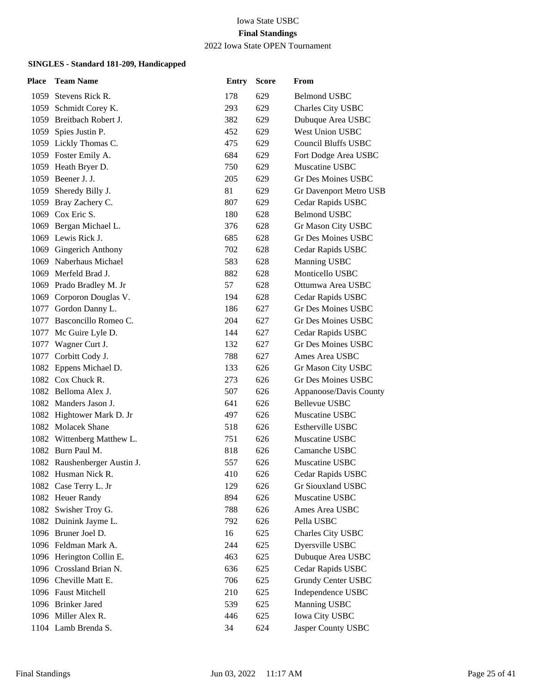2022 Iowa State OPEN Tournament

| <b>Place</b> | <b>Team Name</b>             | <b>Entry</b> | <b>Score</b> | From                       |
|--------------|------------------------------|--------------|--------------|----------------------------|
|              | 1059 Stevens Rick R.         | 178          | 629          | <b>Belmond USBC</b>        |
|              | 1059 Schmidt Corey K.        | 293          | 629          | Charles City USBC          |
|              | 1059 Breitbach Robert J.     | 382          | 629          | Dubuque Area USBC          |
| 1059         | Spies Justin P.              | 452          | 629          | <b>West Union USBC</b>     |
|              | 1059 Lickly Thomas C.        | 475          | 629          | <b>Council Bluffs USBC</b> |
|              | 1059 Foster Emily A.         | 684          | 629          | Fort Dodge Area USBC       |
|              | 1059 Heath Bryer D.          | 750          | 629          | Muscatine USBC             |
|              | 1059 Beener J. J.            | 205          | 629          | Gr Des Moines USBC         |
|              | 1059 Sheredy Billy J.        | 81           | 629          | Gr Davenport Metro USB     |
|              | 1059 Bray Zachery C.         | 807          | 629          | Cedar Rapids USBC          |
|              | 1069 Cox Eric S.             | 180          | 628          | <b>Belmond USBC</b>        |
|              | 1069 Bergan Michael L.       | 376          | 628          | Gr Mason City USBC         |
|              | 1069 Lewis Rick J.           | 685          | 628          | Gr Des Moines USBC         |
|              | 1069 Gingerich Anthony       | 702          | 628          | Cedar Rapids USBC          |
|              | 1069 Naberhaus Michael       | 583          | 628          | Manning USBC               |
|              | 1069 Merfeld Brad J.         | 882          | 628          | Monticello USBC            |
|              | 1069 Prado Bradley M. Jr     | 57           | 628          | Ottumwa Area USBC          |
|              | 1069 Corporon Douglas V.     | 194          | 628          | Cedar Rapids USBC          |
|              | 1077 Gordon Danny L.         | 186          | 627          | Gr Des Moines USBC         |
|              | 1077 Basconcillo Romeo C.    | 204          | 627          | Gr Des Moines USBC         |
|              | 1077 Mc Guire Lyle D.        | 144          | 627          | Cedar Rapids USBC          |
|              | 1077 Wagner Curt J.          | 132          | 627          | Gr Des Moines USBC         |
|              | 1077 Corbitt Cody J.         | 788          | 627          | Ames Area USBC             |
|              | 1082 Eppens Michael D.       | 133          | 626          | Gr Mason City USBC         |
|              | 1082 Cox Chuck R.            | 273          | 626          | Gr Des Moines USBC         |
|              | 1082 Belloma Alex J.         | 507          | 626          | Appanoose/Davis County     |
|              | 1082 Manders Jason J.        | 641          | 626          | Bellevue USBC              |
|              | 1082 Hightower Mark D. Jr    | 497          | 626          | Muscatine USBC             |
|              | 1082 Molacek Shane           | 518          | 626          | <b>Estherville USBC</b>    |
|              | 1082 Wittenberg Matthew L.   | 751          | 626          | Muscatine USBC             |
|              | 1082 Burn Paul M.            | 818          | 626          | Camanche USBC              |
|              | 1082 Raushenberger Austin J. | 557          | 626          | Muscatine USBC             |
|              | 1082 Husman Nick R.          | 410          | 626          | Cedar Rapids USBC          |
|              | 1082 Case Terry L. Jr        | 129          | 626          | Gr Siouxland USBC          |
|              | 1082 Heuer Randy             | 894          | 626          | Muscatine USBC             |
|              | 1082 Swisher Troy G.         | 788          | 626          | Ames Area USBC             |
|              | 1082 Duinink Jayme L.        | 792          | 626          | Pella USBC                 |
|              | 1096 Bruner Joel D.          | 16           | 625          | Charles City USBC          |
|              | 1096 Feldman Mark A.         | 244          | 625          | Dyersville USBC            |
|              | 1096 Herington Collin E.     | 463          | 625          | Dubuque Area USBC          |
|              | 1096 Crossland Brian N.      | 636          | 625          | Cedar Rapids USBC          |
|              | 1096 Cheville Matt E.        | 706          | 625          | <b>Grundy Center USBC</b>  |
|              | 1096 Faust Mitchell          | 210          | 625          | Independence USBC          |
|              | 1096 Brinker Jared           | 539          | 625          | Manning USBC               |
|              | 1096 Miller Alex R.          | 446          | 625          | Iowa City USBC             |
|              | 1104 Lamb Brenda S.          | 34           | 624          | Jasper County USBC         |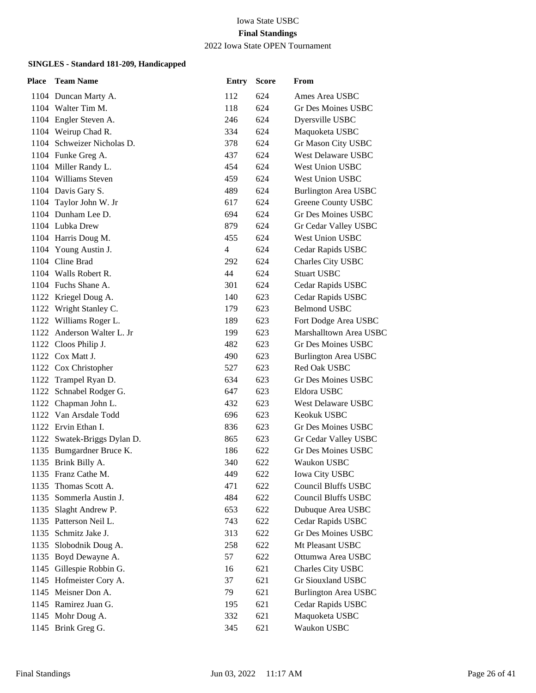2022 Iowa State OPEN Tournament

| Place | <b>Team Name</b>            | <b>Entry</b>   | <b>Score</b> | From                        |
|-------|-----------------------------|----------------|--------------|-----------------------------|
|       | 1104 Duncan Marty A.        | 112            | 624          | Ames Area USBC              |
|       | 1104 Walter Tim M.          | 118            | 624          | Gr Des Moines USBC          |
|       | 1104 Engler Steven A.       | 246            | 624          | Dyersville USBC             |
|       | 1104 Weirup Chad R.         | 334            | 624          | Maquoketa USBC              |
|       | 1104 Schweizer Nicholas D.  | 378            | 624          | Gr Mason City USBC          |
|       | 1104 Funke Greg A.          | 437            | 624          | West Delaware USBC          |
|       | 1104 Miller Randy L.        | 454            | 624          | <b>West Union USBC</b>      |
|       | 1104 Williams Steven        | 459            | 624          | <b>West Union USBC</b>      |
|       | 1104 Davis Gary S.          | 489            | 624          | <b>Burlington Area USBC</b> |
|       | 1104 Taylor John W. Jr      | 617            | 624          | Greene County USBC          |
|       | 1104 Dunham Lee D.          | 694            | 624          | Gr Des Moines USBC          |
|       | 1104 Lubka Drew             | 879            | 624          | Gr Cedar Valley USBC        |
|       | 1104 Harris Doug M.         | 455            | 624          | West Union USBC             |
|       | 1104 Young Austin J.        | $\overline{4}$ | 624          | Cedar Rapids USBC           |
|       | 1104 Cline Brad             | 292            | 624          | Charles City USBC           |
|       | 1104 Walls Robert R.        | 44             | 624          | <b>Stuart USBC</b>          |
|       | 1104 Fuchs Shane A.         | 301            | 624          | Cedar Rapids USBC           |
|       | 1122 Kriegel Doug A.        | 140            | 623          | Cedar Rapids USBC           |
|       | 1122 Wright Stanley C.      | 179            | 623          | <b>Belmond USBC</b>         |
|       | 1122 Williams Roger L.      | 189            | 623          | Fort Dodge Area USBC        |
|       | 1122 Anderson Walter L. Jr  | 199            | 623          | Marshalltown Area USBC      |
|       | 1122 Cloos Philip J.        | 482            | 623          | Gr Des Moines USBC          |
|       | 1122 Cox Matt J.            | 490            | 623          | <b>Burlington Area USBC</b> |
|       | 1122 Cox Christopher        | 527            | 623          | Red Oak USBC                |
|       | 1122 Trampel Ryan D.        | 634            | 623          | Gr Des Moines USBC          |
|       | 1122 Schnabel Rodger G.     | 647            | 623          | Eldora USBC                 |
|       | 1122 Chapman John L.        | 432            | 623          | <b>West Delaware USBC</b>   |
|       | 1122 Van Arsdale Todd       | 696            | 623          | Keokuk USBC                 |
|       | 1122 Ervin Ethan I.         | 836            | 623          | Gr Des Moines USBC          |
|       | 1122 Swatek-Briggs Dylan D. | 865            | 623          | Gr Cedar Valley USBC        |
|       | 1135 Bumgardner Bruce K.    | 186            | 622          | Gr Des Moines USBC          |
|       | 1135 Brink Billy A.         | 340            | 622          | Waukon USBC                 |
|       | 1135 Franz Cathe M.         | 449            | 622          | <b>Iowa City USBC</b>       |
|       | 1135 Thomas Scott A.        | 471            | 622          | <b>Council Bluffs USBC</b>  |
| 1135  | Sommerla Austin J.          | 484            | 622          | <b>Council Bluffs USBC</b>  |
| 1135  | Slaght Andrew P.            | 653            | 622          | Dubuque Area USBC           |
|       | 1135 Patterson Neil L.      | 743            | 622          | Cedar Rapids USBC           |
|       | 1135 Schmitz Jake J.        | 313            | 622          | Gr Des Moines USBC          |
|       | 1135 Slobodnik Doug A.      | 258            | 622          | Mt Pleasant USBC            |
| 1135  | Boyd Dewayne A.             | 57             | 622          | Ottumwa Area USBC           |
|       | 1145 Gillespie Robbin G.    | 16             | 621          | Charles City USBC           |
|       | 1145 Hofmeister Cory A.     | 37             | 621          | Gr Siouxland USBC           |
|       | 1145 Meisner Don A.         | 79             | 621          | <b>Burlington Area USBC</b> |
|       | 1145 Ramirez Juan G.        | 195            | 621          | Cedar Rapids USBC           |
|       | 1145 Mohr Doug A.           | 332            | 621          | Maquoketa USBC              |
|       | 1145 Brink Greg G.          | 345            | 621          | Waukon USBC                 |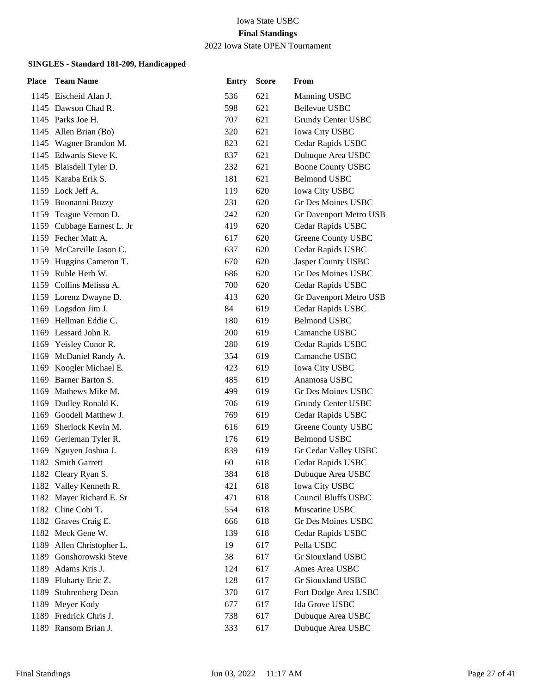2022 Iowa State OPEN Tournament

| <b>Place</b> | <b>Team Name</b>         | <b>Entry</b> | <b>Score</b> | From                       |
|--------------|--------------------------|--------------|--------------|----------------------------|
|              | 1145 Eischeid Alan J.    | 536          | 621          | Manning USBC               |
|              | 1145 Dawson Chad R.      | 598          | 621          | Bellevue USBC              |
|              | 1145 Parks Joe H.        | 707          | 621          | Grundy Center USBC         |
|              | 1145 Allen Brian (Bo)    | 320          | 621          | <b>Iowa City USBC</b>      |
|              | 1145 Wagner Brandon M.   | 823          | 621          | Cedar Rapids USBC          |
|              | 1145 Edwards Steve K.    | 837          | 621          | Dubuque Area USBC          |
|              | 1145 Blaisdell Tyler D.  | 232          | 621          | <b>Boone County USBC</b>   |
|              | 1145 Karaba Erik S.      | 181          | 621          | <b>Belmond USBC</b>        |
|              | 1159 Lock Jeff A.        | 119          | 620          | <b>Iowa City USBC</b>      |
|              | 1159 Buonanni Buzzy      | 231          | 620          | Gr Des Moines USBC         |
|              | 1159 Teague Vernon D.    | 242          | 620          | Gr Davenport Metro USB     |
| 1159         | Cubbage Earnest L. Jr    | 419          | 620          | Cedar Rapids USBC          |
|              | 1159 Fecher Matt A.      | 617          | 620          | Greene County USBC         |
|              | 1159 McCarville Jason C. | 637          | 620          | Cedar Rapids USBC          |
|              | 1159 Huggins Cameron T.  | 670          | 620          | Jasper County USBC         |
|              | 1159 Ruble Herb W.       | 686          | 620          | <b>Gr Des Moines USBC</b>  |
|              | 1159 Collins Melissa A.  | 700          | 620          | Cedar Rapids USBC          |
|              | 1159 Lorenz Dwayne D.    | 413          | 620          | Gr Davenport Metro USB     |
|              | 1169 Logsdon Jim J.      | 84           | 619          | Cedar Rapids USBC          |
|              | 1169 Hellman Eddie C.    | 180          | 619          | <b>Belmond USBC</b>        |
|              | 1169 Lessard John R.     | 200          | 619          | Camanche USBC              |
|              | 1169 Yeisley Conor R.    | 280          | 619          | Cedar Rapids USBC          |
|              | 1169 McDaniel Randy A.   | 354          | 619          | Camanche USBC              |
|              | 1169 Koogler Michael E.  | 423          | 619          | Iowa City USBC             |
|              | 1169 Barner Barton S.    | 485          | 619          | Anamosa USBC               |
|              | 1169 Mathews Mike M.     | 499          | 619          | Gr Des Moines USBC         |
|              | 1169 Dudley Ronald K.    | 706          | 619          | Grundy Center USBC         |
| 1169         | Goodell Matthew J.       | 769          | 619          | Cedar Rapids USBC          |
| 1169         | Sherlock Kevin M.        | 616          | 619          | Greene County USBC         |
|              | 1169 Gerleman Tyler R.   | 176          | 619          | <b>Belmond USBC</b>        |
| 1169         | Nguyen Joshua J.         | 839          | 619          | Gr Cedar Valley USBC       |
|              | 1182 Smith Garrett       | 60           | 618          | Cedar Rapids USBC          |
|              | 1182 Cleary Ryan S.      | 384          | 618          | Dubuque Area USBC          |
|              | 1182 Valley Kenneth R.   | 421          | 618          | <b>Iowa City USBC</b>      |
|              | 1182 Mayer Richard E. Sr | 471          | 618          | <b>Council Bluffs USBC</b> |
|              | 1182 Cline Cobi T.       | 554          | 618          | Muscatine USBC             |
|              | 1182 Graves Craig E.     | 666          | 618          | <b>Gr Des Moines USBC</b>  |
|              | 1182 Meck Gene W.        | 139          | 618          | Cedar Rapids USBC          |
| 1189         | Allen Christopher L.     | 19           | 617          | Pella USBC                 |
| 1189         | Gonshorowski Steve       | 38           | 617          | <b>Gr Siouxland USBC</b>   |
| 1189         | Adams Kris J.            | 124          | 617          | Ames Area USBC             |
|              | 1189 Fluharty Eric Z.    | 128          | 617          | Gr Siouxland USBC          |
| 1189         | <b>Stuhrenberg Dean</b>  | 370          | 617          | Fort Dodge Area USBC       |
| 1189         | Meyer Kody               | 677          | 617          | Ida Grove USBC             |
|              | 1189 Fredrick Chris J.   | 738          | 617          | Dubuque Area USBC          |
| 1189         | Ransom Brian J.          | 333          | 617          | Dubuque Area USBC          |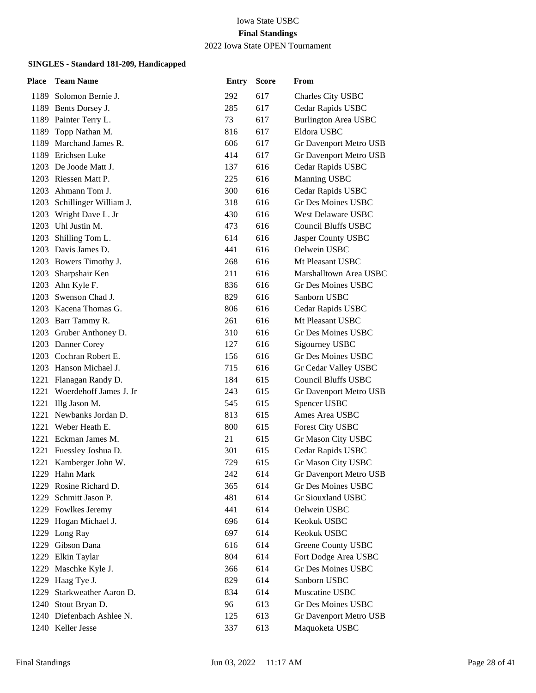2022 Iowa State OPEN Tournament

| Place | <b>Team Name</b>            | <b>Entry</b> | <b>Score</b> | From                        |
|-------|-----------------------------|--------------|--------------|-----------------------------|
|       | 1189 Solomon Bernie J.      | 292          | 617          | Charles City USBC           |
|       | 1189 Bents Dorsey J.        | 285          | 617          | Cedar Rapids USBC           |
|       | 1189 Painter Terry L.       | 73           | 617          | <b>Burlington Area USBC</b> |
|       | 1189 Topp Nathan M.         | 816          | 617          | Eldora USBC                 |
|       | 1189 Marchand James R.      | 606          | 617          | Gr Davenport Metro USB      |
|       | 1189 Erichsen Luke          | 414          | 617          | Gr Davenport Metro USB      |
|       | 1203 De Joode Matt J.       | 137          | 616          | Cedar Rapids USBC           |
|       | 1203 Riessen Matt P.        | 225          | 616          | Manning USBC                |
|       | 1203 Ahmann Tom J.          | 300          | 616          | Cedar Rapids USBC           |
|       | 1203 Schillinger William J. | 318          | 616          | Gr Des Moines USBC          |
|       | 1203 Wright Dave L. Jr      | 430          | 616          | West Delaware USBC          |
|       | 1203 Uhl Justin M.          | 473          | 616          | <b>Council Bluffs USBC</b>  |
|       | 1203 Shilling Tom L.        | 614          | 616          | Jasper County USBC          |
|       | 1203 Davis James D.         | 441          | 616          | Oelwein USBC                |
|       | 1203 Bowers Timothy J.      | 268          | 616          | Mt Pleasant USBC            |
|       | 1203 Sharpshair Ken         | 211          | 616          | Marshalltown Area USBC      |
|       | 1203 Ahn Kyle F.            | 836          | 616          | Gr Des Moines USBC          |
|       | 1203 Swenson Chad J.        | 829          | 616          | Sanborn USBC                |
|       | 1203 Kacena Thomas G.       | 806          | 616          | Cedar Rapids USBC           |
|       | 1203 Barr Tammy R.          | 261          | 616          | Mt Pleasant USBC            |
|       | 1203 Gruber Anthoney D.     | 310          | 616          | Gr Des Moines USBC          |
|       | 1203 Danner Corey           | 127          | 616          | Sigourney USBC              |
|       | 1203 Cochran Robert E.      | 156          | 616          | Gr Des Moines USBC          |
|       | 1203 Hanson Michael J.      | 715          | 616          | Gr Cedar Valley USBC        |
|       | 1221 Flanagan Randy D.      | 184          | 615          | <b>Council Bluffs USBC</b>  |
|       | 1221 Woerdehoff James J. Jr | 243          | 615          | Gr Davenport Metro USB      |
| 1221  | Illg Jason M.               | 545          | 615          | Spencer USBC                |
|       | 1221 Newbanks Jordan D.     | 813          | 615          | Ames Area USBC              |
|       | 1221 Weber Heath E.         | 800          | 615          | <b>Forest City USBC</b>     |
| 1221  | Eckman James M.             | 21           | 615          | Gr Mason City USBC          |
| 1221  | Fuessley Joshua D.          | 301          | 615          | Cedar Rapids USBC           |
| 1221  | Kamberger John W.           | 729          | 615          | Gr Mason City USBC          |
|       | 1229 Hahn Mark              | 242          | 614          | Gr Davenport Metro USB      |
| 1229  | Rosine Richard D.           | 365          | 614          | Gr Des Moines USBC          |
| 1229  | Schmitt Jason P.            | 481          | 614          | <b>Gr Siouxland USBC</b>    |
|       | 1229 Fowlkes Jeremy         | 441          | 614          | Oelwein USBC                |
|       | 1229 Hogan Michael J.       | 696          | 614          | Keokuk USBC                 |
|       | 1229 Long Ray               | 697          | 614          | Keokuk USBC                 |
| 1229  | Gibson Dana                 | 616          | 614          | Greene County USBC          |
| 1229  | Elkin Taylar                | 804          | 614          | Fort Dodge Area USBC        |
| 1229  | Maschke Kyle J.             | 366          | 614          | Gr Des Moines USBC          |
| 1229  | Haag Tye J.                 | 829          | 614          | Sanborn USBC                |
| 1229  | Starkweather Aaron D.       | 834          | 614          | Muscatine USBC              |
| 1240  | Stout Bryan D.              | 96           | 613          | Gr Des Moines USBC          |
|       | 1240 Diefenbach Ashlee N.   | 125          | 613          | Gr Davenport Metro USB      |
|       | 1240 Keller Jesse           | 337          | 613          | Maquoketa USBC              |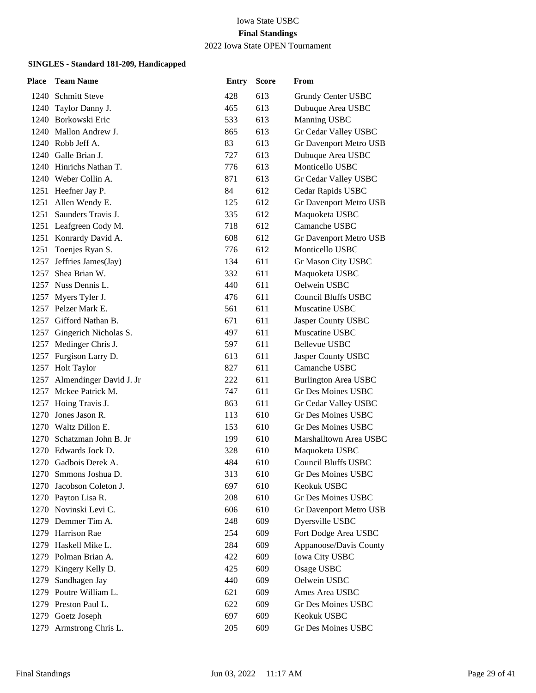2022 Iowa State OPEN Tournament

| Place | <b>Team Name</b>             | <b>Entry</b> | <b>Score</b> | From                        |
|-------|------------------------------|--------------|--------------|-----------------------------|
|       | 1240 Schmitt Steve           | 428          | 613          | Grundy Center USBC          |
|       | 1240 Taylor Danny J.         | 465          | 613          | Dubuque Area USBC           |
|       | 1240 Borkowski Eric          | 533          | 613          | Manning USBC                |
|       | 1240 Mallon Andrew J.        | 865          | 613          | Gr Cedar Valley USBC        |
|       | 1240 Robb Jeff A.            | 83           | 613          | Gr Davenport Metro USB      |
|       | 1240 Galle Brian J.          | 727          | 613          | Dubuque Area USBC           |
|       | 1240 Hinrichs Nathan T.      | 776          | 613          | Monticello USBC             |
|       | 1240 Weber Collin A.         | 871          | 613          | Gr Cedar Valley USBC        |
|       | 1251 Heefner Jay P.          | 84           | 612          | Cedar Rapids USBC           |
|       | 1251 Allen Wendy E.          | 125          | 612          | Gr Davenport Metro USB      |
|       | 1251 Saunders Travis J.      | 335          | 612          | Maquoketa USBC              |
|       | 1251 Leafgreen Cody M.       | 718          | 612          | Camanche USBC               |
|       | 1251 Konrardy David A.       | 608          | 612          | Gr Davenport Metro USB      |
|       | 1251 Toenjes Ryan S.         | 776          | 612          | Monticello USBC             |
|       | 1257 Jeffries James(Jay)     | 134          | 611          | Gr Mason City USBC          |
|       | 1257 Shea Brian W.           | 332          | 611          | Maquoketa USBC              |
|       | 1257 Nuss Dennis L.          | 440          | 611          | Oelwein USBC                |
|       | 1257 Myers Tyler J.          | 476          | 611          | Council Bluffs USBC         |
|       | 1257 Pelzer Mark E.          | 561          | 611          | Muscatine USBC              |
|       | 1257 Gifford Nathan B.       | 671          | 611          | Jasper County USBC          |
|       | 1257 Gingerich Nicholas S.   | 497          | 611          | Muscatine USBC              |
|       | 1257 Medinger Chris J.       | 597          | 611          | <b>Bellevue USBC</b>        |
|       | 1257 Furgison Larry D.       | 613          | 611          | Jasper County USBC          |
|       | 1257 Holt Taylor             | 827          | 611          | Camanche USBC               |
|       | 1257 Almendinger David J. Jr | 222          | 611          | <b>Burlington Area USBC</b> |
|       | 1257 Mckee Patrick M.        | 747          | 611          | Gr Des Moines USBC          |
|       | 1257 Hoing Travis J.         | 863          | 611          | Gr Cedar Valley USBC        |
|       | 1270 Jones Jason R.          | 113          | 610          | Gr Des Moines USBC          |
|       | 1270 Waltz Dillon E.         | 153          | 610          | <b>Gr Des Moines USBC</b>   |
|       | 1270 Schatzman John B. Jr    | 199          | 610          | Marshalltown Area USBC      |
|       | 1270 Edwards Jock D.         | 328          | 610          | Maquoketa USBC              |
|       | 1270 Gadbois Derek A.        | 484          | 610          | <b>Council Bluffs USBC</b>  |
|       | 1270 Smmons Joshua D.        | 313          | 610          | Gr Des Moines USBC          |
|       | 1270 Jacobson Coleton J.     | 697          | 610          | Keokuk USBC                 |
|       | 1270 Payton Lisa R.          | 208          | 610          | Gr Des Moines USBC          |
|       | 1270 Novinski Levi C.        | 606          | 610          | Gr Davenport Metro USB      |
|       | 1279 Demmer Tim A.           | 248          | 609          | Dyersville USBC             |
|       | 1279 Harrison Rae            | 254          | 609          | Fort Dodge Area USBC        |
|       | 1279 Haskell Mike L.         | 284          | 609          | Appanoose/Davis County      |
|       | 1279 Polman Brian A.         | 422          | 609          | Iowa City USBC              |
|       | 1279 Kingery Kelly D.        | 425          | 609          | Osage USBC                  |
| 1279  | Sandhagen Jay                | 440          | 609          | Oelwein USBC                |
|       | 1279 Poutre William L.       | 621          | 609          | Ames Area USBC              |
|       | 1279 Preston Paul L.         | 622          | 609          | Gr Des Moines USBC          |
|       | 1279 Goetz Joseph            | 697          | 609          | Keokuk USBC                 |
|       | 1279 Armstrong Chris L.      | 205          | 609          | Gr Des Moines USBC          |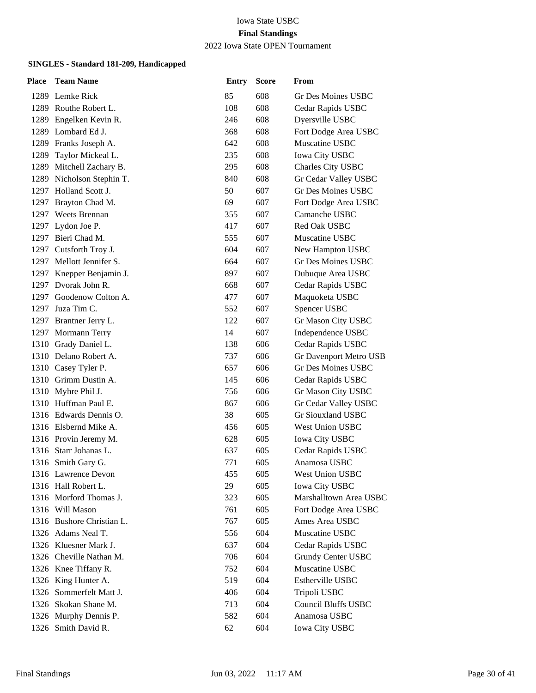### 2022 Iowa State OPEN Tournament

| <b>Team Name</b>            | <b>Entry</b>                                | <b>Score</b> | From                       |
|-----------------------------|---------------------------------------------|--------------|----------------------------|
| 1289 Lemke Rick             | 85                                          | 608          | Gr Des Moines USBC         |
| 1289 Routhe Robert L.       | 108                                         | 608          | Cedar Rapids USBC          |
| 1289 Engelken Kevin R.      | 246                                         | 608          | Dyersville USBC            |
| 1289 Lombard Ed J.          | 368                                         | 608          | Fort Dodge Area USBC       |
| 1289 Franks Joseph A.       | 642                                         | 608          | Muscatine USBC             |
| 1289 Taylor Mickeal L.      | 235                                         | 608          | <b>Iowa City USBC</b>      |
| 1289<br>Mitchell Zachary B. | 295                                         | 608          | Charles City USBC          |
| 1289 Nicholson Stephin T.   | 840                                         | 608          | Gr Cedar Valley USBC       |
| 1297 Holland Scott J.       | 50                                          | 607          | Gr Des Moines USBC         |
| 1297 Brayton Chad M.        | 69                                          | 607          | Fort Dodge Area USBC       |
| 1297 Weets Brennan          | 355                                         | 607          | Camanche USBC              |
| 1297 Lydon Joe P.           | 417                                         | 607          | Red Oak USBC               |
| 1297 Bieri Chad M.          | 555                                         | 607          | Muscatine USBC             |
| 1297 Cutsforth Troy J.      | 604                                         | 607          | New Hampton USBC           |
| 1297 Mellott Jennifer S.    | 664                                         | 607          | <b>Gr Des Moines USBC</b>  |
| 1297 Knepper Benjamin J.    | 897                                         | 607          | Dubuque Area USBC          |
| 1297 Dvorak John R.         | 668                                         | 607          | Cedar Rapids USBC          |
| 1297 Goodenow Colton A.     | 477                                         | 607          | Maquoketa USBC             |
| 1297 Juza Tim C.            | 552                                         | 607          | Spencer USBC               |
| 1297 Brantner Jerry L.      | 122                                         | 607          | Gr Mason City USBC         |
| 1297 Mormann Terry          | 14                                          | 607          | Independence USBC          |
| 1310 Grady Daniel L.        | 138                                         | 606          | Cedar Rapids USBC          |
| 1310 Delano Robert A.       | 737                                         | 606          | Gr Davenport Metro USB     |
| 1310 Casey Tyler P.         | 657                                         | 606          | Gr Des Moines USBC         |
| 1310 Grimm Dustin A.        | 145                                         | 606          | Cedar Rapids USBC          |
| 1310 Myhre Phil J.          | 756                                         | 606          | Gr Mason City USBC         |
| 1310 Huffman Paul E.        | 867                                         | 606          | Gr Cedar Valley USBC       |
| 1316 Edwards Dennis O.      | 38                                          | 605          | Gr Siouxland USBC          |
| 1316 Elsbernd Mike A.       | 456                                         | 605          | West Union USBC            |
| 1316 Provin Jeremy M.       | 628                                         | 605          | <b>Iowa City USBC</b>      |
| 1316 Starr Johanas L.       | 637                                         | 605          | Cedar Rapids USBC          |
| 1316 Smith Gary G.          | 771                                         | 605          | Anamosa USBC               |
| 1316 Lawrence Devon         | 455                                         | 605          | West Union USBC            |
| 1316 Hall Robert L.         | 29                                          | 605          | <b>Iowa City USBC</b>      |
| 1316 Morford Thomas J.      | 323                                         | 605          | Marshalltown Area USBC     |
| 1316 Will Mason             | 761                                         | 605          | Fort Dodge Area USBC       |
| 1316 Bushore Christian L.   | 767                                         | 605          | Ames Area USBC             |
| 1326 Adams Neal T.          | 556                                         | 604          | Muscatine USBC             |
| 1326 Kluesner Mark J.       | 637                                         | 604          | Cedar Rapids USBC          |
| 1326 Cheville Nathan M.     | 706                                         | 604          | Grundy Center USBC         |
|                             | 752                                         | 604          | Muscatine USBC             |
|                             |                                             | 604          | Estherville USBC           |
| 1326 Sommerfelt Matt J.     | 406                                         | 604          | Tripoli USBC               |
| 1326 Skokan Shane M.        | 713                                         | 604          | <b>Council Bluffs USBC</b> |
| 1326 Murphy Dennis P.       | 582                                         | 604          | Anamosa USBC               |
| 1326 Smith David R.         | 62                                          | 604          | Iowa City USBC             |
|                             | 1326 Knee Tiffany R.<br>1326 King Hunter A. | 519          |                            |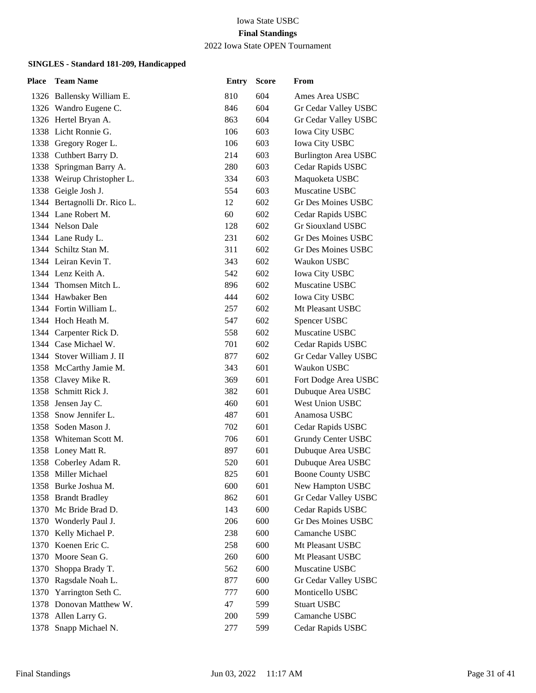### 2022 Iowa State OPEN Tournament

| Place | <b>Team Name</b>             | <b>Entry</b> | <b>Score</b> | From                        |
|-------|------------------------------|--------------|--------------|-----------------------------|
|       | 1326 Ballensky William E.    | 810          | 604          | Ames Area USBC              |
|       | 1326 Wandro Eugene C.        | 846          | 604          | Gr Cedar Valley USBC        |
|       | 1326 Hertel Bryan A.         | 863          | 604          | Gr Cedar Valley USBC        |
|       | 1338 Licht Ronnie G.         | 106          | 603          | <b>Iowa City USBC</b>       |
|       | 1338 Gregory Roger L.        | 106          | 603          | <b>Iowa City USBC</b>       |
|       | 1338 Cuthbert Barry D.       | 214          | 603          | <b>Burlington Area USBC</b> |
|       | 1338 Springman Barry A.      | 280          | 603          | Cedar Rapids USBC           |
|       | 1338 Weirup Christopher L.   | 334          | 603          | Maquoketa USBC              |
|       | 1338 Geigle Josh J.          | 554          | 603          | Muscatine USBC              |
|       | 1344 Bertagnolli Dr. Rico L. | 12           | 602          | Gr Des Moines USBC          |
|       | 1344 Lane Robert M.          | 60           | 602          | Cedar Rapids USBC           |
|       | 1344 Nelson Dale             | 128          | 602          | <b>Gr Siouxland USBC</b>    |
|       | 1344 Lane Rudy L.            | 231          | 602          | Gr Des Moines USBC          |
|       | 1344 Schiltz Stan M.         | 311          | 602          | Gr Des Moines USBC          |
|       | 1344 Leiran Kevin T.         | 343          | 602          | Waukon USBC                 |
|       | 1344 Lenz Keith A.           | 542          | 602          | <b>Iowa City USBC</b>       |
|       | 1344 Thomsen Mitch L.        | 896          | 602          | Muscatine USBC              |
|       | 1344 Hawbaker Ben            | 444          | 602          | <b>Iowa City USBC</b>       |
|       | 1344 Fortin William L.       | 257          | 602          | Mt Pleasant USBC            |
|       | 1344 Hoch Heath M.           | 547          | 602          | Spencer USBC                |
|       | 1344 Carpenter Rick D.       | 558          | 602          | Muscatine USBC              |
|       | 1344 Case Michael W.         | 701          | 602          | Cedar Rapids USBC           |
|       | 1344 Stover William J. II    | 877          | 602          | Gr Cedar Valley USBC        |
|       | 1358 McCarthy Jamie M.       | 343          | 601          | Waukon USBC                 |
|       | 1358 Clavey Mike R.          | 369          | 601          | Fort Dodge Area USBC        |
|       | 1358 Schmitt Rick J.         | 382          | 601          | Dubuque Area USBC           |
|       | 1358 Jensen Jay C.           | 460          | 601          | <b>West Union USBC</b>      |
| 1358  | Snow Jennifer L.             | 487          | 601          | Anamosa USBC                |
|       | 1358 Soden Mason J.          | 702          | 601          | Cedar Rapids USBC           |
|       | 1358 Whiteman Scott M.       | 706          | 601          | Grundy Center USBC          |
|       | 1358 Loney Matt R.           | 897          | 601          | Dubuque Area USBC           |
|       | 1358 Coberley Adam R.        | 520          | 601          | Dubuque Area USBC           |
|       | 1358 Miller Michael          | 825          | 601          | <b>Boone County USBC</b>    |
|       | 1358 Burke Joshua M.         | 600          | 601          | New Hampton USBC            |
|       | 1358 Brandt Bradley          | 862          | 601          | Gr Cedar Valley USBC        |
| 1370  | Mc Bride Brad D.             | 143          | 600          | Cedar Rapids USBC           |
|       | 1370 Wonderly Paul J.        | 206          | 600          | Gr Des Moines USBC          |
|       | 1370 Kelly Michael P.        | 238          | 600          | Camanche USBC               |
| 1370  | Koenen Eric C.               | 258          | 600          | Mt Pleasant USBC            |
| 1370  | Moore Sean G.                | 260          | 600          | Mt Pleasant USBC            |
| 1370  | Shoppa Brady T.              | 562          | 600          | Muscatine USBC              |
| 1370  | Ragsdale Noah L.             | 877          | 600          | Gr Cedar Valley USBC        |
| 1370  | Yarrington Seth C.           | 777          | 600          | Monticello USBC             |
| 1378  | Donovan Matthew W.           | 47           | 599          | <b>Stuart USBC</b>          |
|       | 1378 Allen Larry G.          | 200          | 599          | Camanche USBC               |
|       | 1378 Snapp Michael N.        | 277          | 599          | Cedar Rapids USBC           |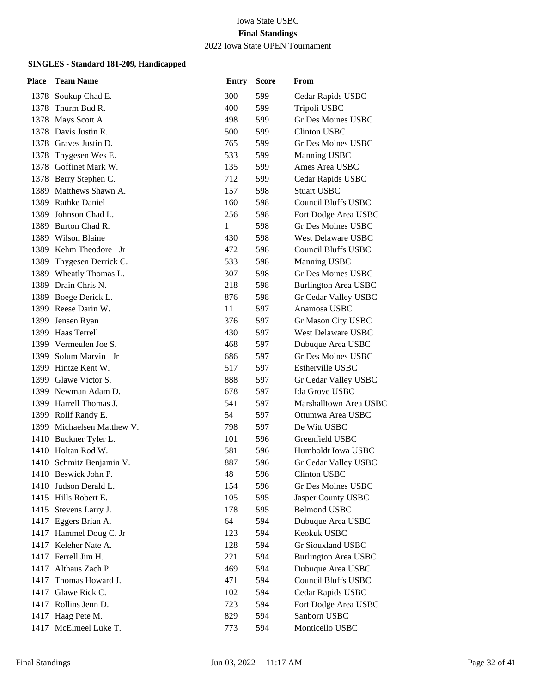2022 Iowa State OPEN Tournament

| Place | <b>Team Name</b>           | <b>Entry</b> | <b>Score</b> | From                        |
|-------|----------------------------|--------------|--------------|-----------------------------|
|       | 1378 Soukup Chad E.        | 300          | 599          | Cedar Rapids USBC           |
| 1378  | Thurm Bud R.               | 400          | 599          | Tripoli USBC                |
| 1378  | Mays Scott A.              | 498          | 599          | <b>Gr Des Moines USBC</b>   |
|       | 1378 Davis Justin R.       | 500          | 599          | <b>Clinton USBC</b>         |
|       | 1378 Graves Justin D.      | 765          | 599          | Gr Des Moines USBC          |
| 1378  | Thygesen Wes E.            | 533          | 599          | Manning USBC                |
| 1378  | Goffinet Mark W.           | 135          | 599          | Ames Area USBC              |
|       | 1378 Berry Stephen C.      | 712          | 599          | Cedar Rapids USBC           |
|       | 1389 Matthews Shawn A.     | 157          | 598          | <b>Stuart USBC</b>          |
| 1389  | <b>Rathke Daniel</b>       | 160          | 598          | <b>Council Bluffs USBC</b>  |
| 1389  | Johnson Chad L.            | 256          | 598          | Fort Dodge Area USBC        |
| 1389  | Burton Chad R.             | 1            | 598          | <b>Gr Des Moines USBC</b>   |
|       | 1389 Wilson Blaine         | 430          | 598          | West Delaware USBC          |
| 1389  | Kehm Theodore Jr           | 472          | 598          | <b>Council Bluffs USBC</b>  |
| 1389  | Thygesen Derrick C.        | 533          | 598          | Manning USBC                |
| 1389  | Wheatly Thomas L.          | 307          | 598          | Gr Des Moines USBC          |
|       | 1389 Drain Chris N.        | 218          | 598          | <b>Burlington Area USBC</b> |
| 1389  | Boege Derick L.            | 876          | 598          | Gr Cedar Valley USBC        |
|       | 1399 Reese Darin W.        | 11           | 597          | Anamosa USBC                |
| 1399  | Jensen Ryan                | 376          | 597          | Gr Mason City USBC          |
|       | 1399 Haas Terrell          | 430          | 597          | West Delaware USBC          |
|       | 1399 Vermeulen Joe S.      | 468          | 597          | Dubuque Area USBC           |
| 1399  | Solum Marvin Jr            | 686          | 597          | <b>Gr Des Moines USBC</b>   |
| 1399  | Hintze Kent W.             | 517          | 597          | <b>Estherville USBC</b>     |
|       | 1399 Glawe Victor S.       | 888          | 597          | Gr Cedar Valley USBC        |
|       | 1399 Newman Adam D.        | 678          | 597          | Ida Grove USBC              |
|       | 1399 Harrell Thomas J.     | 541          | 597          | Marshalltown Area USBC      |
|       | 1399 Rollf Randy E.        | 54           | 597          | Ottumwa Area USBC           |
|       | 1399 Michaelsen Matthew V. | 798          | 597          | De Witt USBC                |
|       | 1410 Buckner Tyler L.      | 101          | 596          | Greenfield USBC             |
| 1410  | Holtan Rod W.              | 581          | 596          | Humboldt Iowa USBC          |
| 1410  | Schmitz Benjamin V.        | 887          | 596          | Gr Cedar Valley USBC        |
|       | 1410 Beswick John P.       | 48           | 596          | <b>Clinton USBC</b>         |
|       | 1410 Judson Derald L.      | 154          | 596          | Gr Des Moines USBC          |
| 1415  | Hills Robert E.            | 105          | 595          | Jasper County USBC          |
| 1415  | Stevens Larry J.           | 178          | 595          | <b>Belmond USBC</b>         |
|       | 1417 Eggers Brian A.       | 64           | 594          | Dubuque Area USBC           |
|       | 1417 Hammel Doug C. Jr     | 123          | 594          | Keokuk USBC                 |
| 1417  | Keleher Nate A.            | 128          | 594          | Gr Siouxland USBC           |
| 1417  | Ferrell Jim H.             | 221          | 594          | <b>Burlington Area USBC</b> |
|       | 1417 Althaus Zach P.       | 469          | 594          | Dubuque Area USBC           |
| 1417  | Thomas Howard J.           | 471          | 594          | <b>Council Bluffs USBC</b>  |
| 1417  | Glawe Rick C.              | 102          | 594          | Cedar Rapids USBC           |
|       | 1417 Rollins Jenn D.       | 723          | 594          | Fort Dodge Area USBC        |
|       | 1417 Haag Pete M.          | 829          | 594          | Sanborn USBC                |
| 1417  | McElmeel Luke T.           | 773          | 594          | Monticello USBC             |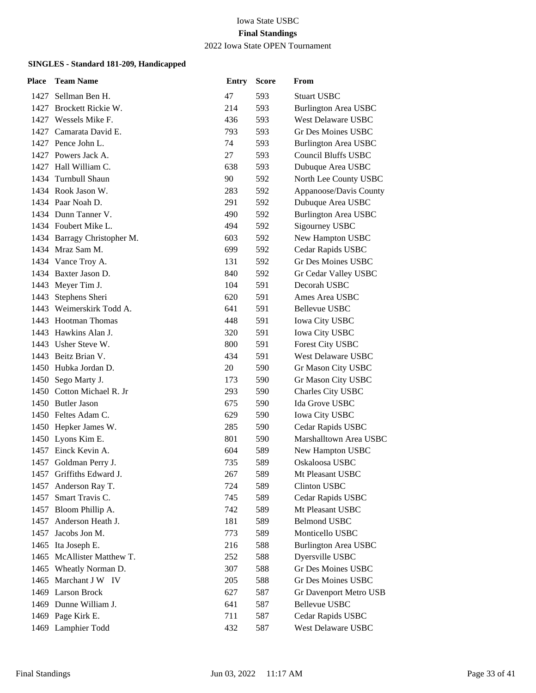### 2022 Iowa State OPEN Tournament

| Place | <b>Team Name</b>            | <b>Entry</b> | <b>Score</b> | From                        |
|-------|-----------------------------|--------------|--------------|-----------------------------|
|       | 1427 Sellman Ben H.         | 47           | 593          | <b>Stuart USBC</b>          |
|       | 1427 Brockett Rickie W.     | 214          | 593          | <b>Burlington Area USBC</b> |
|       | 1427 Wessels Mike F.        | 436          | 593          | <b>West Delaware USBC</b>   |
|       | 1427 Camarata David E.      | 793          | 593          | Gr Des Moines USBC          |
|       | 1427 Pence John L.          | 74           | 593          | <b>Burlington Area USBC</b> |
|       | 1427 Powers Jack A.         | 27           | 593          | <b>Council Bluffs USBC</b>  |
|       | 1427 Hall William C.        | 638          | 593          | Dubuque Area USBC           |
|       | 1434 Turnbull Shaun         | 90           | 592          | North Lee County USBC       |
|       | 1434 Rook Jason W.          | 283          | 592          | Appanoose/Davis County      |
|       | 1434 Paar Noah D.           | 291          | 592          | Dubuque Area USBC           |
|       | 1434 Dunn Tanner V.         | 490          | 592          | <b>Burlington Area USBC</b> |
|       | 1434 Foubert Mike L.        | 494          | 592          | Sigourney USBC              |
|       | 1434 Barragy Christopher M. | 603          | 592          | New Hampton USBC            |
|       | 1434 Mraz Sam M.            | 699          | 592          | Cedar Rapids USBC           |
|       | 1434 Vance Troy A.          | 131          | 592          | Gr Des Moines USBC          |
|       | 1434 Baxter Jason D.        | 840          | 592          | Gr Cedar Valley USBC        |
|       | 1443 Meyer Tim J.           | 104          | 591          | Decorah USBC                |
|       | 1443 Stephens Sheri         | 620          | 591          | Ames Area USBC              |
|       | 1443 Weimerskirk Todd A.    | 641          | 591          | Bellevue USBC               |
|       | 1443 Hootman Thomas         | 448          | 591          | Iowa City USBC              |
|       | 1443 Hawkins Alan J.        | 320          | 591          | Iowa City USBC              |
|       | 1443 Usher Steve W.         | 800          | 591          | Forest City USBC            |
|       | 1443 Beitz Brian V.         | 434          | 591          | <b>West Delaware USBC</b>   |
|       | 1450 Hubka Jordan D.        | 20           | 590          | Gr Mason City USBC          |
|       | 1450 Sego Marty J.          | 173          | 590          | Gr Mason City USBC          |
|       | 1450 Cotton Michael R. Jr   | 293          | 590          | Charles City USBC           |
|       | 1450 Butler Jason           | 675          | 590          | Ida Grove USBC              |
|       | 1450 Feltes Adam C.         | 629          | 590          | <b>Iowa City USBC</b>       |
|       | 1450 Hepker James W.        | 285          | 590          | Cedar Rapids USBC           |
|       | 1450 Lyons Kim E.           | 801          | 590          | Marshalltown Area USBC      |
|       | 1457 Einck Kevin A.         | 604          | 589          | New Hampton USBC            |
|       | 1457 Goldman Perry J.       | 735          | 589          | Oskaloosa USBC              |
|       | 1457 Griffiths Edward J.    | 267          | 589          | Mt Pleasant USBC            |
| 1457  | Anderson Ray T.             | 724          | 589          | Clinton USBC                |
| 1457  | Smart Travis C.             | 745          | 589          | Cedar Rapids USBC           |
|       | 1457 Bloom Phillip A.       | 742          | 589          | Mt Pleasant USBC            |
|       | 1457 Anderson Heath J.      | 181          | 589          | <b>Belmond USBC</b>         |
| 1457  | Jacobs Jon M.               | 773          | 589          | Monticello USBC             |
|       | 1465 Ita Joseph E.          | 216          | 588          | <b>Burlington Area USBC</b> |
|       | 1465 McAllister Matthew T.  | 252          | 588          | Dyersville USBC             |
|       | 1465 Wheatly Norman D.      | 307          | 588          | Gr Des Moines USBC          |
|       | 1465 Marchant J W IV        | 205          | 588          | <b>Gr Des Moines USBC</b>   |
|       | 1469 Larson Brock           | 627          | 587          | Gr Davenport Metro USB      |
|       | 1469 Dunne William J.       | 641          | 587          | <b>Bellevue USBC</b>        |
|       | 1469 Page Kirk E.           | 711          | 587          | Cedar Rapids USBC           |
|       | 1469 Lamphier Todd          | 432          | 587          | West Delaware USBC          |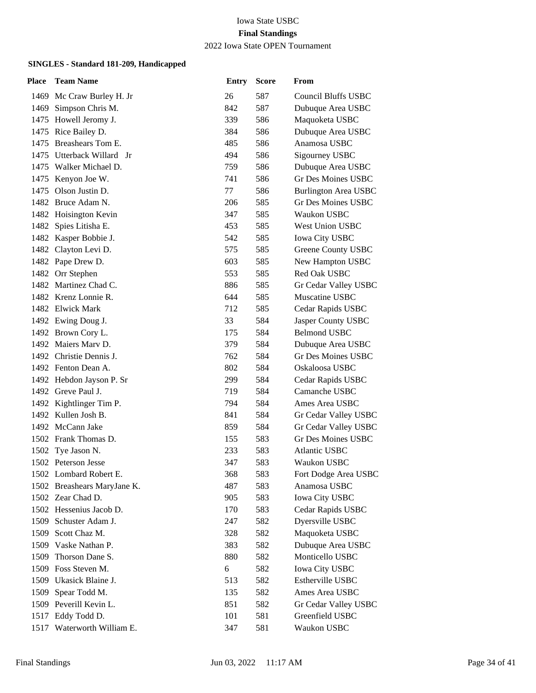#### 2022 Iowa State OPEN Tournament

| <b>Place</b> | <b>Team Name</b>            | <b>Entry</b> | <b>Score</b> | From                        |
|--------------|-----------------------------|--------------|--------------|-----------------------------|
|              | 1469 Mc Craw Burley H. Jr   | 26           | 587          | <b>Council Bluffs USBC</b>  |
|              | 1469 Simpson Chris M.       | 842          | 587          | Dubuque Area USBC           |
|              | 1475 Howell Jeromy J.       | 339          | 586          | Maquoketa USBC              |
|              | 1475 Rice Bailey D.         | 384          | 586          | Dubuque Area USBC           |
|              | 1475 Breashears Tom E.      | 485          | 586          | Anamosa USBC                |
|              | 1475 Utterback Willard Jr   | 494          | 586          | Sigourney USBC              |
|              | 1475 Walker Michael D.      | 759          | 586          | Dubuque Area USBC           |
|              | 1475 Kenyon Joe W.          | 741          | 586          | Gr Des Moines USBC          |
|              | 1475 Olson Justin D.        | 77           | 586          | <b>Burlington Area USBC</b> |
|              | 1482 Bruce Adam N.          | 206          | 585          | <b>Gr Des Moines USBC</b>   |
|              | 1482 Hoisington Kevin       | 347          | 585          | Waukon USBC                 |
|              | 1482 Spies Litisha E.       | 453          | 585          | West Union USBC             |
|              | 1482 Kasper Bobbie J.       | 542          | 585          | <b>Iowa City USBC</b>       |
|              | 1482 Clayton Levi D.        | 575          | 585          | Greene County USBC          |
|              | 1482 Pape Drew D.           | 603          | 585          | New Hampton USBC            |
|              | 1482 Orr Stephen            | 553          | 585          | Red Oak USBC                |
|              | 1482 Martinez Chad C.       | 886          | 585          | Gr Cedar Valley USBC        |
|              | 1482 Krenz Lonnie R.        | 644          | 585          | Muscatine USBC              |
|              | 1482 Elwick Mark            | 712          | 585          | Cedar Rapids USBC           |
|              | 1492 Ewing Doug J.          | 33           | 584          | Jasper County USBC          |
|              | 1492 Brown Cory L.          | 175          | 584          | <b>Belmond USBC</b>         |
|              | 1492 Maiers Mary D.         | 379          | 584          | Dubuque Area USBC           |
|              | 1492 Christie Dennis J.     | 762          | 584          | <b>Gr Des Moines USBC</b>   |
|              | 1492 Fenton Dean A.         | 802          | 584          | Oskaloosa USBC              |
|              | 1492 Hebdon Jayson P. Sr    | 299          | 584          | Cedar Rapids USBC           |
|              | 1492 Greve Paul J.          | 719          | 584          | Camanche USBC               |
|              | 1492 Kightlinger Tim P.     | 794          | 584          | Ames Area USBC              |
|              | 1492 Kullen Josh B.         | 841          | 584          | Gr Cedar Valley USBC        |
|              | 1492 McCann Jake            | 859          | 584          | Gr Cedar Valley USBC        |
|              | 1502 Frank Thomas D.        | 155          | 583          | <b>Gr Des Moines USBC</b>   |
|              | 1502 Tye Jason N.           | 233          | 583          | <b>Atlantic USBC</b>        |
|              | 1502 Peterson Jesse         | 347          | 583          | Waukon USBC                 |
|              | 1502 Lombard Robert E.      | 368          | 583          | Fort Dodge Area USBC        |
|              | 1502 Breashears MaryJane K. | 487          | 583          | Anamosa USBC                |
|              | 1502 Zear Chad D.           | 905          | 583          | <b>Iowa City USBC</b>       |
|              | 1502 Hessenius Jacob D.     | 170          | 583          | Cedar Rapids USBC           |
|              | 1509 Schuster Adam J.       | 247          | 582          | Dyersville USBC             |
|              | 1509 Scott Chaz M.          | 328          | 582          | Maquoketa USBC              |
|              | 1509 Vaske Nathan P.        | 383          | 582          | Dubuque Area USBC           |
|              | 1509 Thorson Dane S.        | 880          | 582          | Monticello USBC             |
|              | 1509 Foss Steven M.         | 6            | 582          | <b>Iowa City USBC</b>       |
|              | 1509 Ukasick Blaine J.      | 513          | 582          | Estherville USBC            |
|              | 1509 Spear Todd M.          | 135          | 582          | Ames Area USBC              |
|              | 1509 Peverill Kevin L.      | 851          | 582          | Gr Cedar Valley USBC        |
|              | 1517 Eddy Todd D.           | 101          | 581          | Greenfield USBC             |
|              | 1517 Waterworth William E.  | 347          | 581          | Waukon USBC                 |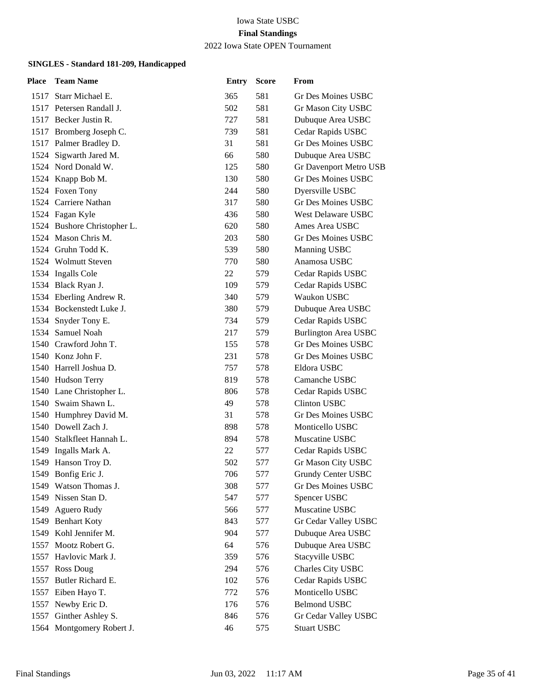2022 Iowa State OPEN Tournament

| <b>Place</b> | <b>Team Name</b>            | <b>Entry</b> | <b>Score</b> | From                        |
|--------------|-----------------------------|--------------|--------------|-----------------------------|
|              | 1517 Starr Michael E.       | 365          | 581          | Gr Des Moines USBC          |
|              | 1517 Petersen Randall J.    | 502          | 581          | Gr Mason City USBC          |
|              | 1517 Becker Justin R.       | 727          | 581          | Dubuque Area USBC           |
|              | 1517 Bromberg Joseph C.     | 739          | 581          | Cedar Rapids USBC           |
|              | 1517 Palmer Bradley D.      | 31           | 581          | Gr Des Moines USBC          |
|              | 1524 Sigwarth Jared M.      | 66           | 580          | Dubuque Area USBC           |
|              | 1524 Nord Donald W.         | 125          | 580          | Gr Davenport Metro USB      |
|              | 1524 Knapp Bob M.           | 130          | 580          | <b>Gr Des Moines USBC</b>   |
|              | 1524 Foxen Tony             | 244          | 580          | Dyersville USBC             |
|              | 1524 Carriere Nathan        | 317          | 580          | Gr Des Moines USBC          |
|              | 1524 Fagan Kyle             | 436          | 580          | <b>West Delaware USBC</b>   |
|              | 1524 Bushore Christopher L. | 620          | 580          | Ames Area USBC              |
|              | 1524 Mason Chris M.         | 203          | 580          | Gr Des Moines USBC          |
|              | 1524 Gruhn Todd K.          | 539          | 580          | Manning USBC                |
|              | 1524 Wolmutt Steven         | 770          | 580          | Anamosa USBC                |
|              | 1534 Ingalls Cole           | 22           | 579          | Cedar Rapids USBC           |
|              | 1534 Black Ryan J.          | 109          | 579          | Cedar Rapids USBC           |
|              | 1534 Eberling Andrew R.     | 340          | 579          | Waukon USBC                 |
|              | 1534 Bockenstedt Luke J.    | 380          | 579          | Dubuque Area USBC           |
|              | 1534 Snyder Tony E.         | 734          | 579          | Cedar Rapids USBC           |
|              | 1534 Samuel Noah            | 217          | 579          | <b>Burlington Area USBC</b> |
|              | 1540 Crawford John T.       | 155          | 578          | Gr Des Moines USBC          |
|              | 1540 Konz John F.           | 231          | 578          | Gr Des Moines USBC          |
|              | 1540 Harrell Joshua D.      | 757          | 578          | Eldora USBC                 |
|              | 1540 Hudson Terry           | 819          | 578          | Camanche USBC               |
|              | 1540 Lane Christopher L.    | 806          | 578          | Cedar Rapids USBC           |
|              | 1540 Swaim Shawn L.         | 49           | 578          | <b>Clinton USBC</b>         |
|              | 1540 Humphrey David M.      | 31           | 578          | <b>Gr Des Moines USBC</b>   |
|              | 1540 Dowell Zach J.         | 898          | 578          | Monticello USBC             |
|              | 1540 Stalkfleet Hannah L.   | 894          | 578          | Muscatine USBC              |
|              | 1549 Ingalls Mark A.        | 22           | 577          | Cedar Rapids USBC           |
|              | 1549 Hanson Troy D.         | 502          | 577          | Gr Mason City USBC          |
|              | 1549 Bonfig Eric J.         | 706          | 577          | Grundy Center USBC          |
|              | 1549 Watson Thomas J.       | 308          | 577          | Gr Des Moines USBC          |
|              | 1549 Nissen Stan D.         | 547          | 577          | Spencer USBC                |
| 1549         | Aguero Rudy                 | 566          | 577          | Muscatine USBC              |
|              | 1549 Benhart Koty           | 843          | 577          | Gr Cedar Valley USBC        |
|              | 1549 Kohl Jennifer M.       | 904          | 577          | Dubuque Area USBC           |
| 1557         | Mootz Robert G.             | 64           | 576          | Dubuque Area USBC           |
| 1557         | Havlovic Mark J.            | 359          | 576          | Stacyville USBC             |
|              | 1557 Ross Doug              | 294          | 576          | Charles City USBC           |
| 1557         | Butler Richard E.           | 102          | 576          | Cedar Rapids USBC           |
| 1557         | Eiben Hayo T.               | 772          | 576          | Monticello USBC             |
| 1557         | Newby Eric D.               | 176          | 576          | <b>Belmond USBC</b>         |
|              | 1557 Ginther Ashley S.      | 846          | 576          | Gr Cedar Valley USBC        |
|              | 1564 Montgomery Robert J.   | 46           | 575          | <b>Stuart USBC</b>          |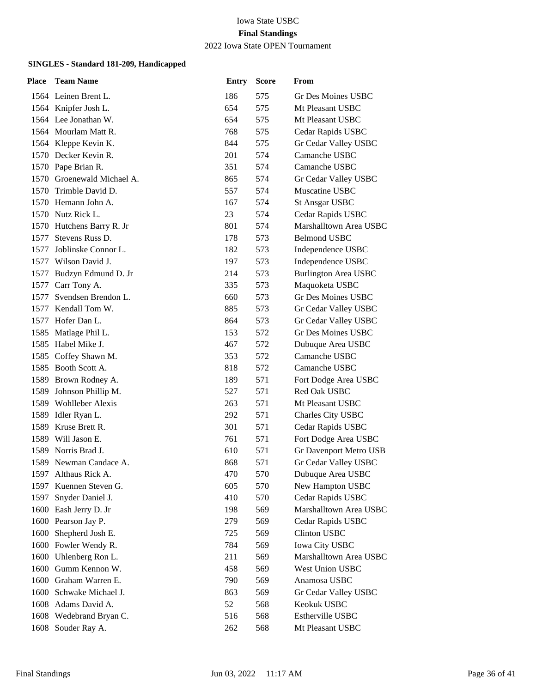2022 Iowa State OPEN Tournament

| Place | <b>Team Name</b>           | <b>Entry</b> | <b>Score</b> | From                        |
|-------|----------------------------|--------------|--------------|-----------------------------|
|       | 1564 Leinen Brent L.       | 186          | 575          | Gr Des Moines USBC          |
|       | 1564 Knipfer Josh L.       | 654          | 575          | Mt Pleasant USBC            |
|       | 1564 Lee Jonathan W.       | 654          | 575          | Mt Pleasant USBC            |
|       | 1564 Mourlam Matt R.       | 768          | 575          | Cedar Rapids USBC           |
|       | 1564 Kleppe Kevin K.       | 844          | 575          | Gr Cedar Valley USBC        |
|       | 1570 Decker Kevin R.       | 201          | 574          | Camanche USBC               |
|       | 1570 Pape Brian R.         | 351          | 574          | Camanche USBC               |
|       | 1570 Groenewald Michael A. | 865          | 574          | Gr Cedar Valley USBC        |
|       | 1570 Trimble David D.      | 557          | 574          | Muscatine USBC              |
|       | 1570 Hemann John A.        | 167          | 574          | <b>St Ansgar USBC</b>       |
|       | 1570 Nutz Rick L.          | 23           | 574          | Cedar Rapids USBC           |
|       | 1570 Hutchens Barry R. Jr  | 801          | 574          | Marshalltown Area USBC      |
|       | 1577 Stevens Russ D.       | 178          | 573          | <b>Belmond USBC</b>         |
| 1577  | Joblinske Connor L.        | 182          | 573          | Independence USBC           |
|       | 1577 Wilson David J.       | 197          | 573          | Independence USBC           |
|       | 1577 Budzyn Edmund D. Jr   | 214          | 573          | <b>Burlington Area USBC</b> |
|       | 1577 Carr Tony A.          | 335          | 573          | Maquoketa USBC              |
| 1577  | Svendsen Brendon L.        | 660          | 573          | Gr Des Moines USBC          |
| 1577  | Kendall Tom W.             | 885          | 573          | Gr Cedar Valley USBC        |
|       | 1577 Hofer Dan L.          | 864          | 573          | Gr Cedar Valley USBC        |
|       | 1585 Matlage Phil L.       | 153          | 572          | Gr Des Moines USBC          |
| 1585  | Habel Mike J.              | 467          | 572          | Dubuque Area USBC           |
| 1585  | Coffey Shawn M.            | 353          | 572          | Camanche USBC               |
|       | 1585 Booth Scott A.        | 818          | 572          | Camanche USBC               |
|       | 1589 Brown Rodney A.       | 189          | 571          | Fort Dodge Area USBC        |
| 1589  | Johnson Phillip M.         | 527          | 571          | Red Oak USBC                |
|       | 1589 Wohlleber Alexis      | 263          | 571          | Mt Pleasant USBC            |
|       | 1589 Idler Ryan L.         | 292          | 571          | Charles City USBC           |
|       | 1589 Kruse Brett R.        | 301          | 571          | Cedar Rapids USBC           |
|       | 1589 Will Jason E.         | 761          | 571          | Fort Dodge Area USBC        |
|       | 1589 Norris Brad J.        | 610          | 571          | Gr Davenport Metro USB      |
|       | 1589 Newman Candace A.     | 868          | 571          | Gr Cedar Valley USBC        |
|       | 1597 Althaus Rick A.       | 470          | 570          | Dubuque Area USBC           |
| 1597  | Kuennen Steven G.          | 605          | 570          | New Hampton USBC            |
| 1597  | Snyder Daniel J.           | 410          | 570          | Cedar Rapids USBC           |
|       | 1600 Eash Jerry D. Jr      | 198          | 569          | Marshalltown Area USBC      |
|       | 1600 Pearson Jay P.        | 279          | 569          | Cedar Rapids USBC           |
| 1600  | Shepherd Josh E.           | 725          | 569          | <b>Clinton USBC</b>         |
|       | 1600 Fowler Wendy R.       | 784          | 569          | Iowa City USBC              |
| 1600  | Uhlenberg Ron L.           | 211          | 569          | Marshalltown Area USBC      |
|       | 1600 Gumm Kennon W.        | 458          | 569          | West Union USBC             |
| 1600  | Graham Warren E.           | 790          | 569          | Anamosa USBC                |
|       | 1600 Schwake Michael J.    | 863          | 569          | Gr Cedar Valley USBC        |
|       | 1608 Adams David A.        | 52           | 568          | Keokuk USBC                 |
|       | 1608 Wedebrand Bryan C.    | 516          | 568          | Estherville USBC            |
|       | 1608 Souder Ray A.         | 262          | 568          | Mt Pleasant USBC            |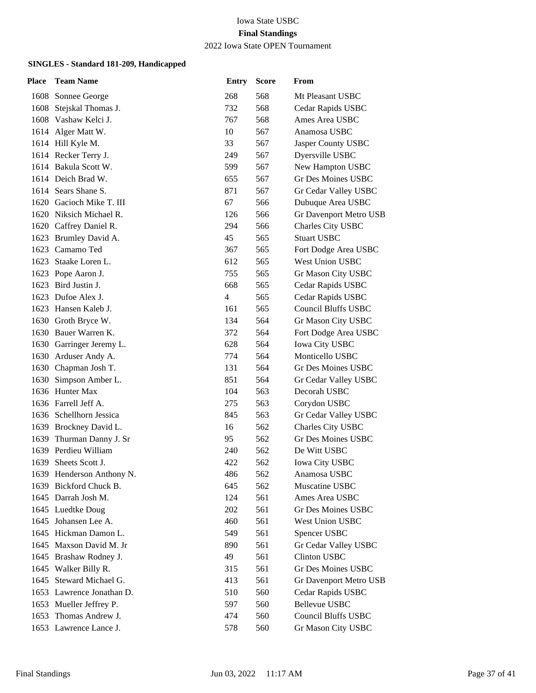2022 Iowa State OPEN Tournament

| <b>Place</b> | <b>Team Name</b>          | <b>Entry</b> | <b>Score</b> | From                       |
|--------------|---------------------------|--------------|--------------|----------------------------|
|              | 1608 Sonnee George        | 268          | 568          | Mt Pleasant USBC           |
| 1608         | Stejskal Thomas J.        | 732          | 568          | Cedar Rapids USBC          |
|              | 1608 Vashaw Kelci J.      | 767          | 568          | Ames Area USBC             |
|              | 1614 Alger Matt W.        | 10           | 567          | Anamosa USBC               |
|              | 1614 Hill Kyle M.         | 33           | 567          | Jasper County USBC         |
|              | 1614 Recker Terry J.      | 249          | 567          | Dyersville USBC            |
|              | 1614 Bakula Scott W.      | 599          | 567          | New Hampton USBC           |
|              | 1614 Deich Brad W.        | 655          | 567          | Gr Des Moines USBC         |
|              | 1614 Sears Shane S.       | 871          | 567          | Gr Cedar Valley USBC       |
|              | 1620 Gacioch Mike T. III  | 67           | 566          | Dubuque Area USBC          |
|              | 1620 Niksich Michael R.   | 126          | 566          | Gr Davenport Metro USB     |
|              | 1620 Caffrey Daniel R.    | 294          | 566          | Charles City USBC          |
|              | 1623 Brumley David A.     | 45           | 565          | <b>Stuart USBC</b>         |
|              | 1623 Camamo Ted           | 367          | 565          | Fort Dodge Area USBC       |
| 1623         | Staake Loren L.           | 612          | 565          | <b>West Union USBC</b>     |
|              | 1623 Pope Aaron J.        | 755          | 565          | Gr Mason City USBC         |
|              | 1623 Bird Justin J.       | 668          | 565          | Cedar Rapids USBC          |
|              | 1623 Dufoe Alex J.        | 4            | 565          | Cedar Rapids USBC          |
|              | 1623 Hansen Kaleb J.      | 161          | 565          | <b>Council Bluffs USBC</b> |
|              | 1630 Groth Bryce W.       | 134          | 564          | Gr Mason City USBC         |
|              | 1630 Bauer Warren K.      | 372          | 564          | Fort Dodge Area USBC       |
|              | 1630 Garringer Jeremy L.  | 628          | 564          | <b>Iowa City USBC</b>      |
|              | 1630 Arduser Andy A.      | 774          | 564          | Monticello USBC            |
|              | 1630 Chapman Josh T.      | 131          | 564          | Gr Des Moines USBC         |
| 1630         | Simpson Amber L.          | 851          | 564          | Gr Cedar Valley USBC       |
|              | 1636 Hunter Max           | 104          | 563          | Decorah USBC               |
|              | 1636 Farrell Jeff A.      | 275          | 563          | Corydon USBC               |
|              | 1636 Schellhorn Jessica   | 845          | 563          | Gr Cedar Valley USBC       |
|              | 1639 Brockney David L.    | 16           | 562          | Charles City USBC          |
| 1639         | Thurman Danny J. Sr       | 95           | 562          | <b>Gr Des Moines USBC</b>  |
| 1639         | Perdieu William           | 240          | 562          | De Witt USBC               |
| 1639         | Sheets Scott J.           | 422          | 562          | <b>Iowa City USBC</b>      |
|              | 1639 Henderson Anthony N. | 486          | 562          | Anamosa USBC               |
| 1639         | Bickford Chuck B.         | 645          | 562          | Muscatine USBC             |
|              | 1645 Darrah Josh M.       | 124          | 561          | Ames Area USBC             |
|              | 1645 Luedtke Doug         | 202          | 561          | Gr Des Moines USBC         |
|              | 1645 Johansen Lee A.      | 460          | 561          | West Union USBC            |
|              | 1645 Hickman Damon L.     | 549          | 561          | Spencer USBC               |
| 1645         | Maxson David M. Jr        | 890          | 561          | Gr Cedar Valley USBC       |
|              | 1645 Brashaw Rodney J.    | 49           | 561          | <b>Clinton USBC</b>        |
|              | 1645 Walker Billy R.      | 315          | 561          | Gr Des Moines USBC         |
| 1645         | Steward Michael G.        | 413          | 561          | Gr Davenport Metro USB     |
|              | 1653 Lawrence Jonathan D. | 510          | 560          | Cedar Rapids USBC          |
|              | 1653 Mueller Jeffrey P.   | 597          | 560          | <b>Bellevue USBC</b>       |
|              | 1653 Thomas Andrew J.     | 474          | 560          | Council Bluffs USBC        |
|              | 1653 Lawrence Lance J.    | 578          | 560          | Gr Mason City USBC         |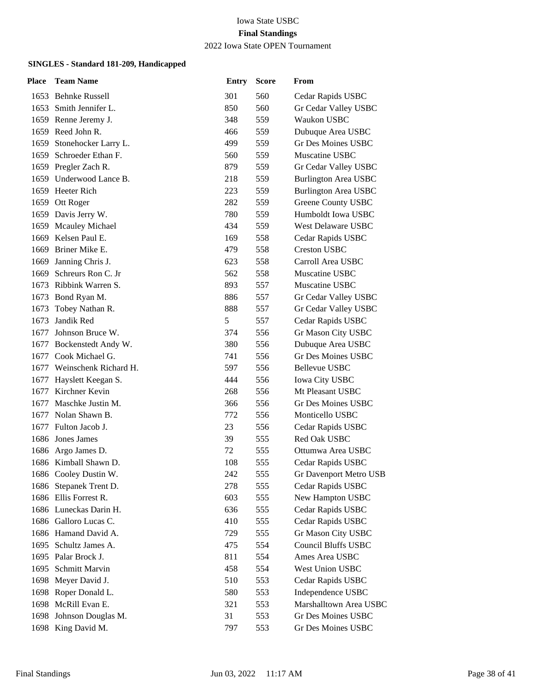2022 Iowa State OPEN Tournament

| Place | <b>Team Name</b>           | <b>Entry</b> | <b>Score</b> | From                        |
|-------|----------------------------|--------------|--------------|-----------------------------|
|       | 1653 Behnke Russell        | 301          | 560          | Cedar Rapids USBC           |
|       | 1653 Smith Jennifer L.     | 850          | 560          | Gr Cedar Valley USBC        |
|       | 1659 Renne Jeremy J.       | 348          | 559          | Waukon USBC                 |
| 1659  | Reed John R.               | 466          | 559          | Dubuque Area USBC           |
|       | 1659 Stonehocker Larry L.  | 499          | 559          | Gr Des Moines USBC          |
|       | 1659 Schroeder Ethan F.    | 560          | 559          | Muscatine USBC              |
|       | 1659 Pregler Zach R.       | 879          | 559          | Gr Cedar Valley USBC        |
|       | 1659 Underwood Lance B.    | 218          | 559          | <b>Burlington Area USBC</b> |
|       | 1659 Heeter Rich           | 223          | 559          | <b>Burlington Area USBC</b> |
|       | 1659 Ott Roger             | 282          | 559          | Greene County USBC          |
|       | 1659 Davis Jerry W.        | 780          | 559          | Humboldt Iowa USBC          |
| 1659  | <b>Mcauley Michael</b>     | 434          | 559          | <b>West Delaware USBC</b>   |
|       | 1669 Kelsen Paul E.        | 169          | 558          | Cedar Rapids USBC           |
|       | 1669 Briner Mike E.        | 479          | 558          | <b>Creston USBC</b>         |
| 1669  | Janning Chris J.           | 623          | 558          | Carroll Area USBC           |
| 1669  | Schreurs Ron C. Jr         | 562          | 558          | Muscatine USBC              |
|       | 1673 Ribbink Warren S.     | 893          | 557          | Muscatine USBC              |
|       | 1673 Bond Ryan M.          | 886          | 557          | Gr Cedar Valley USBC        |
| 1673  | Tobey Nathan R.            | 888          | 557          | Gr Cedar Valley USBC        |
| 1673  | Jandik Red                 | 5            | 557          | Cedar Rapids USBC           |
| 1677  | Johnson Bruce W.           | 374          | 556          | Gr Mason City USBC          |
|       | 1677 Bockenstedt Andy W.   | 380          | 556          | Dubuque Area USBC           |
| 1677  | Cook Michael G.            | 741          | 556          | Gr Des Moines USBC          |
|       | 1677 Weinschenk Richard H. | 597          | 556          | Bellevue USBC               |
|       | 1677 Hayslett Keegan S.    | 444          | 556          | <b>Iowa City USBC</b>       |
| 1677  | Kirchner Kevin             | 268          | 556          | Mt Pleasant USBC            |
| 1677  | Maschke Justin M.          | 366          | 556          | Gr Des Moines USBC          |
| 1677  | Nolan Shawn B.             | 772          | 556          | Monticello USBC             |
|       | 1677 Fulton Jacob J.       | 23           | 556          | Cedar Rapids USBC           |
|       | 1686 Jones James           | 39           | 555          | Red Oak USBC                |
|       | 1686 Argo James D.         | 72           | 555          | Ottumwa Area USBC           |
|       | 1686 Kimball Shawn D.      | 108          | 555          | Cedar Rapids USBC           |
|       | 1686 Cooley Dustin W.      | 242          | 555          | Gr Davenport Metro USB      |
|       | 1686 Stepanek Trent D.     | 278          | 555          | Cedar Rapids USBC           |
|       | 1686 Ellis Forrest R.      | 603          | 555          | New Hampton USBC            |
|       | 1686 Luneckas Darin H.     | 636          | 555          | Cedar Rapids USBC           |
|       | 1686 Galloro Lucas C.      | 410          | 555          | Cedar Rapids USBC           |
|       | 1686 Hamand David A.       | 729          | 555          | Gr Mason City USBC          |
|       | 1695 Schultz James A.      | 475          | 554          | <b>Council Bluffs USBC</b>  |
|       | 1695 Palar Brock J.        | 811          | 554          | Ames Area USBC              |
| 1695  | Schmitt Marvin             | 458          | 554          | West Union USBC             |
|       | 1698 Meyer David J.        | 510          | 553          | Cedar Rapids USBC           |
| 1698  | Roper Donald L.            | 580          | 553          | Independence USBC           |
| 1698  | McRill Evan E.             | 321          | 553          | Marshalltown Area USBC      |
|       | 1698 Johnson Douglas M.    | 31           | 553          | Gr Des Moines USBC          |
|       | 1698 King David M.         | 797          | 553          | Gr Des Moines USBC          |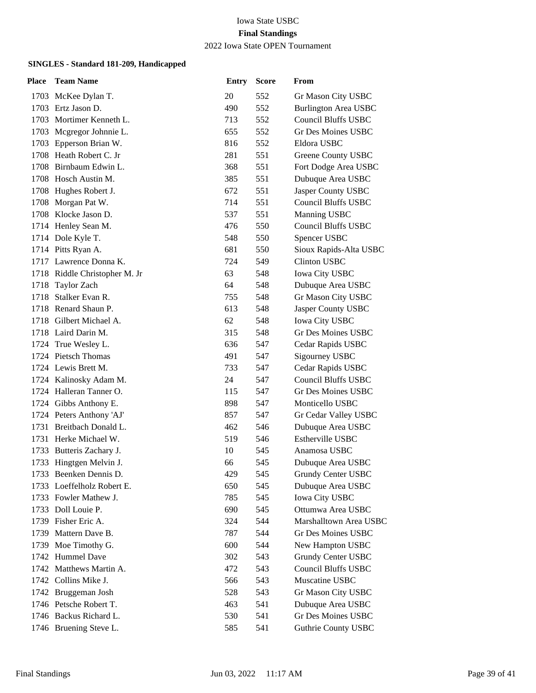### 2022 Iowa State OPEN Tournament

| Place | <b>Team Name</b>              | <b>Entry</b> | <b>Score</b> | From                        |
|-------|-------------------------------|--------------|--------------|-----------------------------|
|       | 1703 McKee Dylan T.           | 20           | 552          | Gr Mason City USBC          |
|       | 1703 Ertz Jason D.            | 490          | 552          | <b>Burlington Area USBC</b> |
|       | 1703 Mortimer Kenneth L.      | 713          | 552          | <b>Council Bluffs USBC</b>  |
|       | 1703 Mcgregor Johnnie L.      | 655          | 552          | <b>Gr Des Moines USBC</b>   |
|       | 1703 Epperson Brian W.        | 816          | 552          | Eldora USBC                 |
|       | 1708 Heath Robert C. Jr       | 281          | 551          | Greene County USBC          |
|       | 1708 Birnbaum Edwin L.        | 368          | 551          | Fort Dodge Area USBC        |
|       | 1708 Hosch Austin M.          | 385          | 551          | Dubuque Area USBC           |
|       | 1708 Hughes Robert J.         | 672          | 551          | Jasper County USBC          |
|       | 1708 Morgan Pat W.            | 714          | 551          | <b>Council Bluffs USBC</b>  |
|       | 1708 Klocke Jason D.          | 537          | 551          | Manning USBC                |
|       | 1714 Henley Sean M.           | 476          | 550          | <b>Council Bluffs USBC</b>  |
|       | 1714 Dole Kyle T.             | 548          | 550          | Spencer USBC                |
|       | 1714 Pitts Ryan A.            | 681          | 550          | Sioux Rapids-Alta USBC      |
|       | 1717 Lawrence Donna K.        | 724          | 549          | <b>Clinton USBC</b>         |
|       | 1718 Riddle Christopher M. Jr | 63           | 548          | Iowa City USBC              |
|       | 1718 Taylor Zach              | 64           | 548          | Dubuque Area USBC           |
|       | 1718 Stalker Evan R.          | 755          | 548          | Gr Mason City USBC          |
|       | 1718 Renard Shaun P.          | 613          | 548          | Jasper County USBC          |
|       | 1718 Gilbert Michael A.       | 62           | 548          | Iowa City USBC              |
|       | 1718 Laird Darin M.           | 315          | 548          | Gr Des Moines USBC          |
|       | 1724 True Wesley L.           | 636          | 547          | Cedar Rapids USBC           |
|       | 1724 Pietsch Thomas           | 491          | 547          | Sigourney USBC              |
|       | 1724 Lewis Brett M.           | 733          | 547          | Cedar Rapids USBC           |
|       | 1724 Kalinosky Adam M.        | 24           | 547          | <b>Council Bluffs USBC</b>  |
|       | 1724 Halleran Tanner O.       | 115          | 547          | Gr Des Moines USBC          |
|       | 1724 Gibbs Anthony E.         | 898          | 547          | Monticello USBC             |
|       | 1724 Peters Anthony 'AJ'      | 857          | 547          | Gr Cedar Valley USBC        |
|       | 1731 Breitbach Donald L.      | 462          | 546          | Dubuque Area USBC           |
|       | 1731 Herke Michael W.         | 519          | 546          | Estherville USBC            |
| 1733  | Butteris Zachary J.           | 10           | 545          | Anamosa USBC                |
|       | 1733 Hingtgen Melvin J.       | 66           | 545          | Dubuque Area USBC           |
|       | 1733 Beenken Dennis D.        | 429          | 545          | Grundy Center USBC          |
|       | 1733 Loeffelholz Robert E.    | 650          | 545          | Dubuque Area USBC           |
|       | 1733 Fowler Mathew J.         | 785          | 545          | <b>Iowa City USBC</b>       |
|       | 1733 Doll Louie P.            | 690          | 545          | Ottumwa Area USBC           |
|       | 1739 Fisher Eric A.           | 324          | 544          | Marshalltown Area USBC      |
| 1739  | Mattern Dave B.               | 787          | 544          | Gr Des Moines USBC          |
| 1739  | Moe Timothy G.                | 600          | 544          | New Hampton USBC            |
| 1742  | <b>Hummel Dave</b>            | 302          | 543          | Grundy Center USBC          |
|       | 1742 Matthews Martin A.       | 472          | 543          | <b>Council Bluffs USBC</b>  |
|       | 1742 Collins Mike J.          | 566          | 543          | Muscatine USBC              |
|       | 1742 Bruggeman Josh           | 528          | 543          | Gr Mason City USBC          |
|       | 1746 Petsche Robert T.        | 463          | 541          | Dubuque Area USBC           |
|       | 1746 Backus Richard L.        | 530          | 541          | Gr Des Moines USBC          |
|       | 1746 Bruening Steve L.        | 585          | 541          | <b>Guthrie County USBC</b>  |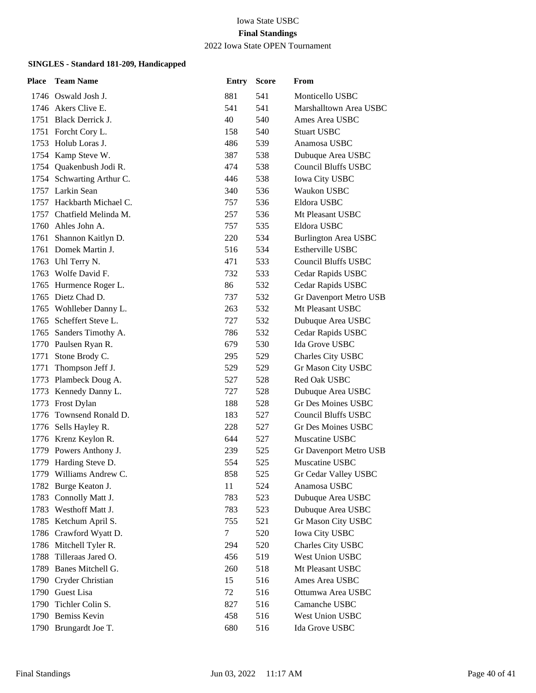2022 Iowa State OPEN Tournament

| <b>Place</b> | <b>Team Name</b>          | <b>Entry</b> | <b>Score</b> | From                        |
|--------------|---------------------------|--------------|--------------|-----------------------------|
|              | 1746 Oswald Josh J.       | 881          | 541          | Monticello USBC             |
|              | 1746 Akers Clive E.       | 541          | 541          | Marshalltown Area USBC      |
|              | 1751 Black Derrick J.     | 40           | 540          | Ames Area USBC              |
|              | 1751 Forcht Cory L.       | 158          | 540          | <b>Stuart USBC</b>          |
|              | 1753 Holub Loras J.       | 486          | 539          | Anamosa USBC                |
|              | 1754 Kamp Steve W.        | 387          | 538          | Dubuque Area USBC           |
|              | 1754 Quakenbush Jodi R.   | 474          | 538          | <b>Council Bluffs USBC</b>  |
|              | 1754 Schwarting Arthur C. | 446          | 538          | <b>Iowa City USBC</b>       |
|              | 1757 Larkin Sean          | 340          | 536          | <b>Waukon USBC</b>          |
|              | 1757 Hackbarth Michael C. | 757          | 536          | Eldora USBC                 |
|              | 1757 Chatfield Melinda M. | 257          | 536          | Mt Pleasant USBC            |
|              | 1760 Ahles John A.        | 757          | 535          | Eldora USBC                 |
|              | 1761 Shannon Kaitlyn D.   | 220          | 534          | <b>Burlington Area USBC</b> |
|              | 1761 Domek Martin J.      | 516          | 534          | Estherville USBC            |
|              | 1763 Uhl Terry N.         | 471          | 533          | <b>Council Bluffs USBC</b>  |
|              | 1763 Wolfe David F.       | 732          | 533          | Cedar Rapids USBC           |
|              | 1765 Hurmence Roger L.    | 86           | 532          | Cedar Rapids USBC           |
|              | 1765 Dietz Chad D.        | 737          | 532          | Gr Davenport Metro USB      |
|              | 1765 Wohlleber Danny L.   | 263          | 532          | Mt Pleasant USBC            |
| 1765         | Scheffert Steve L.        | 727          | 532          | Dubuque Area USBC           |
|              | 1765 Sanders Timothy A.   | 786          | 532          | Cedar Rapids USBC           |
|              | 1770 Paulsen Ryan R.      | 679          | 530          | Ida Grove USBC              |
|              | 1771 Stone Brody C.       | 295          | 529          | Charles City USBC           |
|              | 1771 Thompson Jeff J.     | 529          | 529          | Gr Mason City USBC          |
|              | 1773 Plambeck Doug A.     | 527          | 528          | Red Oak USBC                |
|              | 1773 Kennedy Danny L.     | 727          | 528          | Dubuque Area USBC           |
|              | 1773 Frost Dylan          | 188          | 528          | Gr Des Moines USBC          |
|              | 1776 Townsend Ronald D.   | 183          | 527          | <b>Council Bluffs USBC</b>  |
|              | 1776 Sells Hayley R.      | 228          | 527          | Gr Des Moines USBC          |
|              | 1776 Krenz Keylon R.      | 644          | 527          | Muscatine USBC              |
|              | 1779 Powers Anthony J.    | 239          | 525          | Gr Davenport Metro USB      |
|              | 1779 Harding Steve D.     | 554          | 525          | <b>Muscatine USBC</b>       |
|              | 1779 Williams Andrew C.   | 858          | 525          | Gr Cedar Valley USBC        |
|              | 1782 Burge Keaton J.      | 11           | 524          | Anamosa USBC                |
|              | 1783 Connolly Matt J.     | 783          | 523          | Dubuque Area USBC           |
|              | 1783 Westhoff Matt J.     | 783          | 523          | Dubuque Area USBC           |
|              | 1785 Ketchum April S.     | 755          | 521          | Gr Mason City USBC          |
|              | 1786 Crawford Wyatt D.    | 7            | 520          | <b>Iowa City USBC</b>       |
|              | 1786 Mitchell Tyler R.    | 294          | 520          | Charles City USBC           |
| 1788         | Tilleraas Jared O.        | 456          | 519          | West Union USBC             |
|              | 1789 Banes Mitchell G.    | 260          | 518          | Mt Pleasant USBC            |
|              | 1790 Cryder Christian     | 15           | 516          | Ames Area USBC              |
|              | 1790 Guest Lisa           | 72           | 516          | Ottumwa Area USBC           |
|              | 1790 Tichler Colin S.     | 827          | 516          | Camanche USBC               |
|              | 1790 Bemiss Kevin         | 458          | 516          | West Union USBC             |
|              | 1790 Brungardt Joe T.     | 680          | 516          | Ida Grove USBC              |